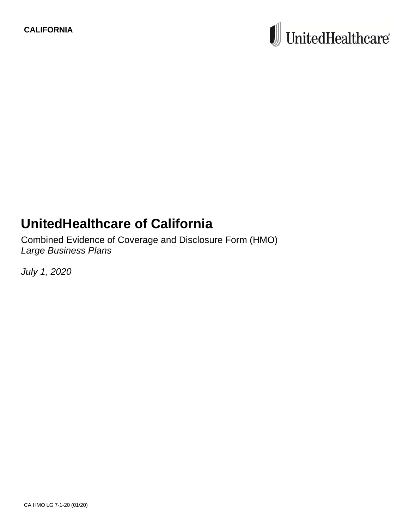# $\textcolor{red}{\blacksquare}$  United<br>Healthcare®

# **UnitedHealthcare of California**

Combined Evidence of Coverage and Disclosure Form (HMO) *Large Business Plans*

*July 1, 2020*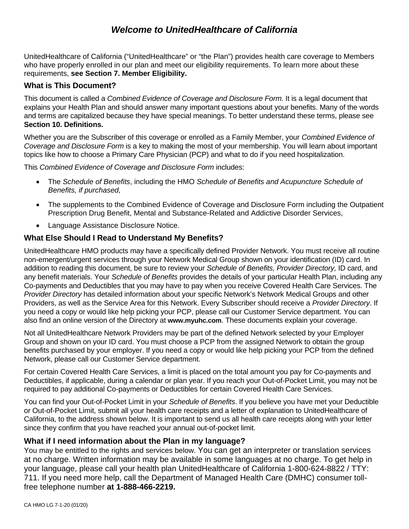# *Welcome to UnitedHealthcare of California*

UnitedHealthcare of California ("UnitedHealthcare" or "the Plan") provides health care coverage to Members who have properly enrolled in our plan and meet our eligibility requirements. To learn more about these requirements, **see Section 7. Member Eligibility.** 

## **What is This Document?**

This document is called a *Combined Evidence of Coverage and Disclosure Form*. It is a legal document that explains your Health Plan and should answer many important questions about your benefits. Many of the words and terms are capitalized because they have special meanings. To better understand these terms, please see **Section 10. Definitions.** 

Whether you are the Subscriber of this coverage or enrolled as a Family Member, your *Combined Evidence of Coverage and Disclosure Form* is a key to making the most of your membership. You will learn about important topics like how to choose a Primary Care Physician (PCP) and what to do if you need hospitalization.

This *Combined Evidence of Coverage and Disclosure Form* includes:

- The *Schedule of Benefits*, including the HMO *Schedule of Benefits and Acupuncture Schedule of Benefits, if purchased,*
- The supplements to the Combined Evidence of Coverage and Disclosure Form including the Outpatient Prescription Drug Benefit, Mental and Substance-Related and Addictive Disorder Services,
- Language Assistance Disclosure Notice.

# **What Else Should I Read to Understand My Benefits?**

UnitedHealthcare HMO products may have a specifically defined Provider Network. You must receive all routine non-emergent/urgent services through your Network Medical Group shown on your identification (ID) card. In addition to reading this document, be sure to review your *Schedule of Benefits, Provider Directory,* ID card, and any benefit materials. Your *Schedule of Benefits* provides the details of your particular Health Plan, including any Co-payments and Deductibles that you may have to pay when you receive Covered Health Care Services. The *Provider Directory* has detailed information about your specific Network's Network Medical Groups and other Providers, as well as the Service Area for this Network. Every Subscriber should receive a *Provider Directory*. If you need a copy or would like help picking your PCP, please call our Customer Service department. You can also find an online version of the Directory at **www.myuhc.com**. These documents explain your coverage.

Not all UnitedHealthcare Network Providers may be part of the defined Network selected by your Employer Group and shown on your ID card. You must choose a PCP from the assigned Network to obtain the group benefits purchased by your employer. If you need a copy or would like help picking your PCP from the defined Network, please call our Customer Service department.

For certain Covered Health Care Services, a limit is placed on the total amount you pay for Co-payments and Deductibles, if applicable, during a calendar or plan year. If you reach your Out-of-Pocket Limit, you may not be required to pay additional Co-payments or Deductibles for certain Covered Health Care Services.

You can find your Out-of-Pocket Limit in your *Schedule of Benefits*. If you believe you have met your Deductible or Out-of-Pocket Limit, submit all your health care receipts and a letter of explanation to UnitedHealthcare of California, to the address shown below. It is important to send us all health care receipts along with your letter since they confirm that you have reached your annual out-of-pocket limit.

#### **What if I need information about the Plan in my language?**

You may be entitled to the rights and services below. You can get an interpreter or translation services at no charge. Written information may be available in some languages at no charge. To get help in your language, please call your health plan UnitedHealthcare of California 1-800-624-8822 / TTY: 711. If you need more help, call the Department of Managed Health Care (DMHC) consumer tollfree telephone number **at 1-888-466-2219.**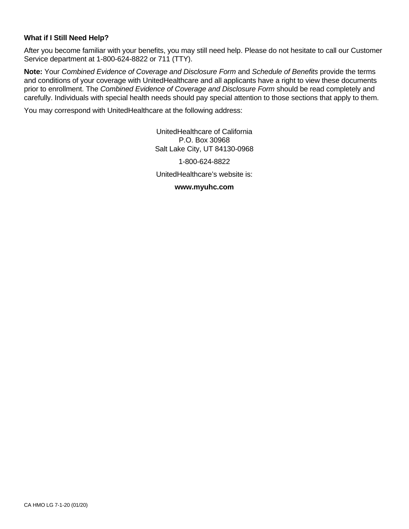#### **What if I Still Need Help?**

After you become familiar with your benefits, you may still need help. Please do not hesitate to call our Customer Service department at 1-800-624-8822 or 711 (TTY).

**Note:** Your *Combined Evidence of Coverage and Disclosure Form* and *Schedule of Benefits* provide the terms and conditions of your coverage with UnitedHealthcare and all applicants have a right to view these documents prior to enrollment. The *Combined Evidence of Coverage and Disclosure Form* should be read completely and carefully. Individuals with special health needs should pay special attention to those sections that apply to them.

You may correspond with UnitedHealthcare at the following address:

UnitedHealthcare of California P.O. Box 30968 Salt Lake City, UT 84130-0968

1-800-624-8822

UnitedHealthcare's website is:

#### **www.myuhc.com**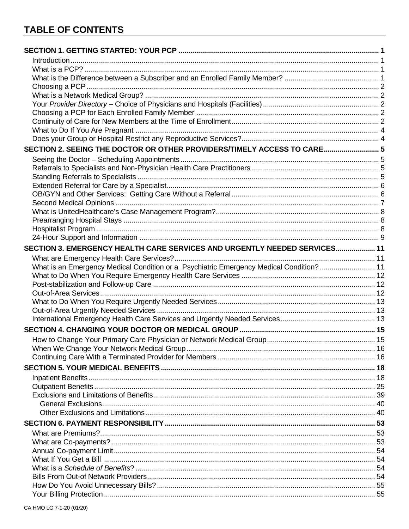| SECTION 2. SEEING THE DOCTOR OR OTHER PROVIDERS/TIMELY ACCESS TO CARE 5                  |  |
|------------------------------------------------------------------------------------------|--|
|                                                                                          |  |
|                                                                                          |  |
|                                                                                          |  |
|                                                                                          |  |
|                                                                                          |  |
|                                                                                          |  |
|                                                                                          |  |
|                                                                                          |  |
|                                                                                          |  |
|                                                                                          |  |
| SECTION 3. EMERGENCY HEALTH CARE SERVICES AND URGENTLY NEEDED SERVICES 11                |  |
|                                                                                          |  |
| What is an Emergency Medical Condition or a Psychiatric Emergency Medical Condition?  11 |  |
|                                                                                          |  |
|                                                                                          |  |
|                                                                                          |  |
|                                                                                          |  |
|                                                                                          |  |
|                                                                                          |  |
|                                                                                          |  |
|                                                                                          |  |
|                                                                                          |  |
|                                                                                          |  |
|                                                                                          |  |
|                                                                                          |  |
|                                                                                          |  |
|                                                                                          |  |
|                                                                                          |  |
|                                                                                          |  |
|                                                                                          |  |
|                                                                                          |  |
|                                                                                          |  |
|                                                                                          |  |
|                                                                                          |  |
|                                                                                          |  |
|                                                                                          |  |
|                                                                                          |  |
|                                                                                          |  |
|                                                                                          |  |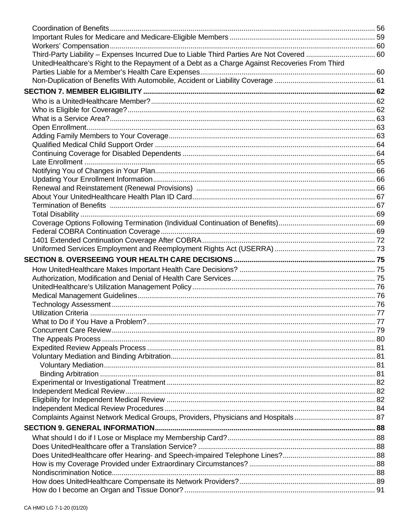| Third-Party Liability - Expenses Incurred Due to Liable Third Parties Are Not Covered  60     |  |
|-----------------------------------------------------------------------------------------------|--|
| UnitedHealthcare's Right to the Repayment of a Debt as a Charge Against Recoveries From Third |  |
|                                                                                               |  |
|                                                                                               |  |
|                                                                                               |  |
|                                                                                               |  |
|                                                                                               |  |
|                                                                                               |  |
|                                                                                               |  |
|                                                                                               |  |
|                                                                                               |  |
|                                                                                               |  |
|                                                                                               |  |
|                                                                                               |  |
|                                                                                               |  |
|                                                                                               |  |
|                                                                                               |  |
|                                                                                               |  |
|                                                                                               |  |
|                                                                                               |  |
|                                                                                               |  |
|                                                                                               |  |
|                                                                                               |  |
|                                                                                               |  |
|                                                                                               |  |
|                                                                                               |  |
|                                                                                               |  |
|                                                                                               |  |
|                                                                                               |  |
|                                                                                               |  |
|                                                                                               |  |
|                                                                                               |  |
|                                                                                               |  |
|                                                                                               |  |
|                                                                                               |  |
|                                                                                               |  |
|                                                                                               |  |
|                                                                                               |  |
|                                                                                               |  |
|                                                                                               |  |
|                                                                                               |  |
|                                                                                               |  |
|                                                                                               |  |
|                                                                                               |  |
|                                                                                               |  |
|                                                                                               |  |
|                                                                                               |  |
|                                                                                               |  |
|                                                                                               |  |
|                                                                                               |  |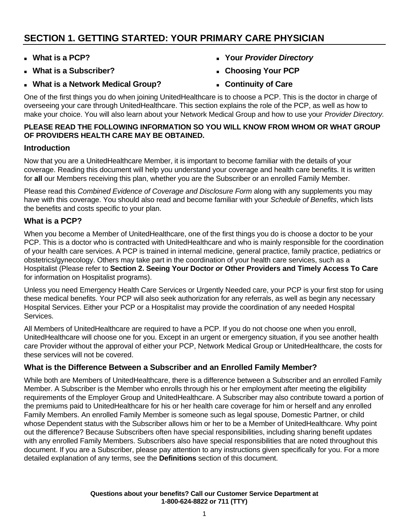# **SECTION 1. GETTING STARTED: YOUR PRIMARY CARE PHYSICIAN**

- **What is a PCP?**
- **What is a Subscriber?**
- **What is a Network Medical Group?**
- **Your** *Provider Directory*
- **Choosing Your PCP**
- **Continuity of Care**

One of the first things you do when joining UnitedHealthcare is to choose a PCP. This is the doctor in charge of overseeing your care through UnitedHealthcare. This section explains the role of the PCP, as well as how to make your choice. You will also learn about your Network Medical Group and how to use your *Provider Directory.*

# **PLEASE READ THE FOLLOWING INFORMATION SO YOU WILL KNOW FROM WHOM OR WHAT GROUP OF PROVIDERS HEALTH CARE MAY BE OBTAINED.**

# **Introduction**

Now that you are a UnitedHealthcare Member, it is important to become familiar with the details of your coverage. Reading this document will help you understand your coverage and health care benefits. It is written for **all** our Members receiving this plan, whether you are the Subscriber or an enrolled Family Member.

Please read this *Combined Evidence of Coverage and Disclosure Form* along with any supplements you may have with this coverage. You should also read and become familiar with your *Schedule of Benefits*, which lists the benefits and costs specific to your plan.

# **What is a PCP?**

When you become a Member of UnitedHealthcare, one of the first things you do is choose a doctor to be your PCP. This is a doctor who is contracted with UnitedHealthcare and who is mainly responsible for the coordination of your health care services. A PCP is trained in internal medicine, general practice, family practice, pediatrics or obstetrics/gynecology. Others may take part in the coordination of your health care services, such as a Hospitalist (Please refer to **Section 2. Seeing Your Doctor** *o***r Other Providers and Timely Access To Care**  for information on Hospitalist programs).

Unless you need Emergency Health Care Services or Urgently Needed care, your PCP is your first stop for using these medical benefits. Your PCP will also seek authorization for any referrals, as well as begin any necessary Hospital Services. Either your PCP or a Hospitalist may provide the coordination of any needed Hospital Services.

All Members of UnitedHealthcare are required to have a PCP. If you do not choose one when you enroll, UnitedHealthcare will choose one for you. Except in an urgent or emergency situation, if you see another health care Provider without the approval of either your PCP, Network Medical Group or UnitedHealthcare, the costs for these services will not be covered.

# **What is the Difference Between a Subscriber and an Enrolled Family Member?**

While both are Members of UnitedHealthcare, there is a difference between a Subscriber and an enrolled Family Member. A Subscriber is the Member who enrolls through his or her employment after meeting the eligibility requirements of the Employer Group and UnitedHealthcare. A Subscriber may also contribute toward a portion of the premiums paid to UnitedHealthcare for his or her health care coverage for him or herself and any enrolled Family Members. An enrolled Family Member is someone such as legal spouse, Domestic Partner, or child whose Dependent status with the Subscriber allows him or her to be a Member of UnitedHealthcare. Why point out the difference? Because Subscribers often have special responsibilities, including sharing benefit updates with any enrolled Family Members. Subscribers also have special responsibilities that are noted throughout this document. If you are a Subscriber, please pay attention to any instructions given specifically for you. For a more detailed explanation of any terms, see the **Definitions** section of this document.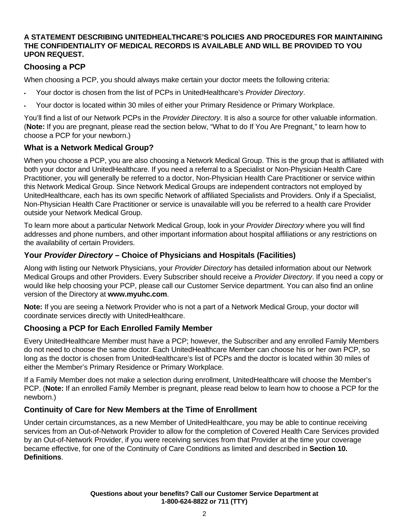# **A STATEMENT DESCRIBING UNITEDHEALTHCARE'S POLICIES AND PROCEDURES FOR MAINTAINING THE CONFIDENTIALITY OF MEDICAL RECORDS IS AVAILABLE AND WILL BE PROVIDED TO YOU UPON REQUEST.**

# **Choosing a PCP**

When choosing a PCP, you should always make certain your doctor meets the following criteria:

- Your doctor is chosen from the list of PCPs in UnitedHealthcare's *Provider Directory*.
- Your doctor is located within 30 miles of either your Primary Residence or Primary Workplace.

You'll find a list of our Network PCPs in the *Provider Directory*. It is also a source for other valuable information. (**Note:** If you are pregnant, please read the section below, "What to do If You Are Pregnant," to learn how to choose a PCP for your newborn.)

# **What is a Network Medical Group?**

When you choose a PCP, you are also choosing a Network Medical Group. This is the group that is affiliated with both your doctor and UnitedHealthcare. If you need a referral to a Specialist or Non-Physician Health Care Practitioner, you will generally be referred to a doctor, Non-Physician Health Care Practitioner or service within this Network Medical Group. Since Network Medical Groups are independent contractors not employed by UnitedHealthcare, each has its own specific Network of affiliated Specialists and Providers. Only if a Specialist, Non-Physician Health Care Practitioner or service is unavailable will you be referred to a health care Provider outside your Network Medical Group.

To learn more about a particular Network Medical Group, look in your *Provider Directory* where you will find addresses and phone numbers, and other important information about hospital affiliations or any restrictions on the availability of certain Providers.

# **Your** *Provider Directory* **– Choice of Physicians and Hospitals (Facilities)**

Along with listing our Network Physicians, your *Provider Directory* has detailed information about our Network Medical Groups and other Providers. Every Subscriber should receive a *Provider Directory*. If you need a copy or would like help choosing your PCP, please call our Customer Service department. You can also find an online version of the Directory at **www.myuhc.com**.

**Note:** If you are seeing a Network Provider who is not a part of a Network Medical Group, your doctor will coordinate services directly with UnitedHealthcare.

# **Choosing a PCP for Each Enrolled Family Member**

Every UnitedHealthcare Member must have a PCP; however, the Subscriber and any enrolled Family Members do not need to choose the same doctor. Each UnitedHealthcare Member can choose his or her own PCP, so long as the doctor is chosen from UnitedHealthcare's list of PCPs and the doctor is located within 30 miles of either the Member's Primary Residence or Primary Workplace.

If a Family Member does not make a selection during enrollment, UnitedHealthcare will choose the Member's PCP. (**Note:** If an enrolled Family Member is pregnant, please read below to learn how to choose a PCP for the newborn.)

# **Continuity of Care for New Members at the Time of Enrollment**

Under certain circumstances, as a new Member of UnitedHealthcare, you may be able to continue receiving services from an Out-of-Network Provider to allow for the completion of Covered Health Care Services provided by an Out-of-Network Provider, if you were receiving services from that Provider at the time your coverage became effective, for one of the Continuity of Care Conditions as limited and described in **Section 10. Definitions**.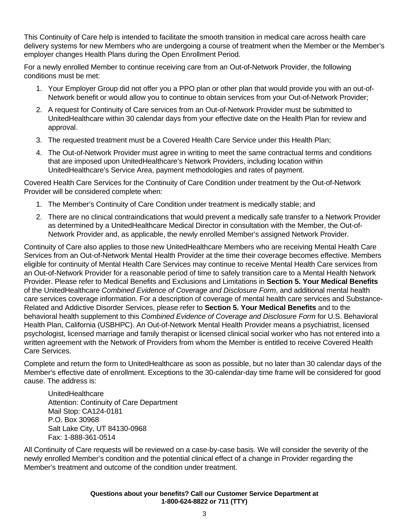This Continuity of Care help is intended to facilitate the smooth transition in medical care across health care delivery systems for new Members who are undergoing a course of treatment when the Member or the Member's employer changes Health Plans during the Open Enrollment Period.

For a newly enrolled Member to continue receiving care from an Out-of-Network Provider, the following conditions must be met:

- 1. Your Employer Group did not offer you a PPO plan or other plan that would provide you with an out-of-Network benefit or would allow you to continue to obtain services from your Out-of-Network Provider;
- 2. A request for Continuity of Care services from an Out-of-Network Provider must be submitted to UnitedHealthcare within 30 calendar days from your effective date on the Health Plan for review and approval.
- 3. The requested treatment must be a Covered Health Care Service under this Health Plan;
- 4. The Out-of-Network Provider must agree in writing to meet the same contractual terms and conditions that are imposed upon UnitedHealthcare's Network Providers, including location within UnitedHealthcare's Service Area, payment methodologies and rates of payment.

Covered Health Care Services for the Continuity of Care Condition under treatment by the Out-of-Network Provider will be considered complete when:

- 1. The Member's Continuity of Care Condition under treatment is medically stable; and
- 2. There are no clinical contraindications that would prevent a medically safe transfer to a Network Provider as determined by a UnitedHealthcare Medical Director in consultation with the Member, the Out-of-Network Provider and, as applicable, the newly enrolled Member's assigned Network Provider.

Continuity of Care also applies to those new UnitedHealthcare Members who are receiving Mental Health Care Services from an Out-of-Network Mental Health Provider at the time their coverage becomes effective. Members eligible for continuity of Mental Health Care Services may continue to receive Mental Health Care services from an Out-of-Network Provider for a reasonable period of time to safely transition care to a Mental Health Network Provider. Please refer to Medical Benefits and Exclusions and Limitations in **Section 5. Your Medical Benefits**  of the UnitedHealthcare *Combined Evidence of Coverage and Disclosure Form*, and additional mental health care services coverage information. For a description of coverage of mental health care services and Substance-Related and Addictive Disorder Services, please refer to **Section 5. Your Medical Benefits** and to the behavioral health supplement to this *Combined Evidence of Coverage and Disclosure Form* for U.S. Behavioral Health Plan, California (USBHPC). An Out-of-Network Mental Health Provider means a psychiatrist, licensed psychologist, licensed marriage and family therapist or licensed clinical social worker who has not entered into a written agreement with the Network of Providers from whom the Member is entitled to receive Covered Health Care Services.

Complete and return the form to UnitedHealthcare as soon as possible, but no later than 30 calendar days of the Member's effective date of enrollment. Exceptions to the 30-calendar-day time frame will be considered for good cause. The address is:

UnitedHealthcare Attention: Continuity of Care Department Mail Stop: CA124-0181 P.O. Box 30968 Salt Lake City, UT 84130-0968 Fax: 1-888-361-0514

All Continuity of Care requests will be reviewed on a case-by-case basis. We will consider the severity of the newly enrolled Member's condition and the potential clinical effect of a change in Provider regarding the Member's treatment and outcome of the condition under treatment.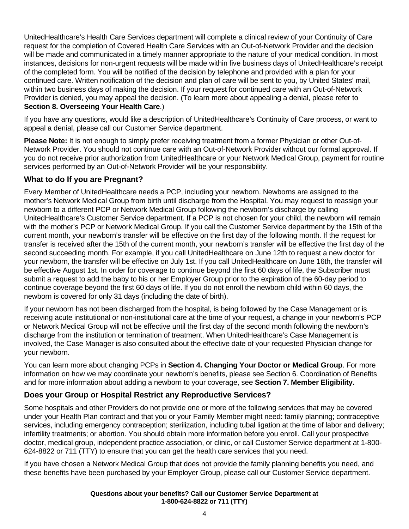UnitedHealthcare's Health Care Services department will complete a clinical review of your Continuity of Care request for the completion of Covered Health Care Services with an Out-of-Network Provider and the decision will be made and communicated in a timely manner appropriate to the nature of your medical condition. In most instances, decisions for non-urgent requests will be made within five business days of UnitedHealthcare's receipt of the completed form. You will be notified of the decision by telephone and provided with a plan for your continued care. Written notification of the decision and plan of care will be sent to you, by United States' mail, within two business days of making the decision. If your request for continued care with an Out-of-Network Provider is denied, you may appeal the decision. (To learn more about appealing a denial, please refer to **Section 8. Overseeing Your Health Care**.)

If you have any questions, would like a description of UnitedHealthcare's Continuity of Care process, or want to appeal a denial, please call our Customer Service department.

**Please Note:** It is not enough to simply prefer receiving treatment from a former Physician or other Out-of-Network Provider. You should not continue care with an Out-of-Network Provider without our formal approval. If you do not receive prior authorization from UnitedHealthcare or your Network Medical Group, payment for routine services performed by an Out-of-Network Provider will be your responsibility.

# **What to do If you are Pregnant?**

Every Member of UnitedHealthcare needs a PCP, including your newborn. Newborns are assigned to the mother's Network Medical Group from birth until discharge from the Hospital. You may request to reassign your newborn to a different PCP or Network Medical Group following the newborn's discharge by calling UnitedHealthcare's Customer Service department. If a PCP is not chosen for your child, the newborn will remain with the mother's PCP or Network Medical Group. If you call the Customer Service department by the 15th of the current month, your newborn's transfer will be effective on the first day of the following month. If the request for transfer is received after the 15th of the current month, your newborn's transfer will be effective the first day of the second succeeding month. For example, if you call UnitedHealthcare on June 12th to request a new doctor for your newborn, the transfer will be effective on July 1st. If you call UnitedHealthcare on June 16th, the transfer will be effective August 1st. In order for coverage to continue beyond the first 60 days of life, the Subscriber must submit a request to add the baby to his or her Employer Group prior to the expiration of the 60-day period to continue coverage beyond the first 60 days of life. If you do not enroll the newborn child within 60 days, the newborn is covered for only 31 days (including the date of birth).

If your newborn has not been discharged from the hospital, is being followed by the Case Management or is receiving acute institutional or non-institutional care at the time of your request, a change in your newborn's PCP or Network Medical Group will not be effective until the first day of the second month following the newborn's discharge from the institution or termination of treatment. When UnitedHealthcare's Case Management is involved, the Case Manager is also consulted about the effective date of your requested Physician change for your newborn.

You can learn more about changing PCPs in **Section 4. Changing Your Doctor or Medical Group**. For more information on how we may coordinate your newborn's benefits, please see Section 6. Coordination of Benefits and for more information about adding a newborn to your coverage, see **Section 7. Member Eligibility.**

# **Does your Group or Hospital Restrict any Reproductive Services?**

Some hospitals and other Providers do not provide one or more of the following services that may be covered under your Health Plan contract and that you or your Family Member might need: family planning; contraceptive services, including emergency contraception; sterilization, including tubal ligation at the time of labor and delivery; infertility treatments; or abortion. You should obtain more information before you enroll. Call your prospective doctor, medical group, independent practice association, or clinic, or call Customer Service department at 1-800- 624-8822 or 711 (TTY) to ensure that you can get the health care services that you need.

If you have chosen a Network Medical Group that does not provide the family planning benefits you need, and these benefits have been purchased by your Employer Group, please call our Customer Service department.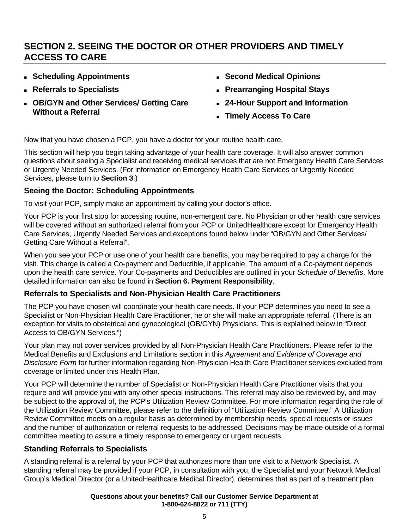# **SECTION 2. SEEING THE DOCTOR OR OTHER PROVIDERS AND TIMELY ACCESS TO CARE**

- **Scheduling Appointments**
- **Referrals to Specialists**
- **OB/GYN and Other Services/ Getting Care Without a Referral**
- **Second Medical Opinions**
- **Prearranging Hospital Stays**
- **24-Hour Support and Information**
- **Timely Access To Care**

Now that you have chosen a PCP, you have a doctor for your routine health care.

This section will help you begin taking advantage of your health care coverage. It will also answer common questions about seeing a Specialist and receiving medical services that are not Emergency Health Care Services or Urgently Needed Services. (For information on Emergency Health Care Services or Urgently Needed Services, please turn to **Section 3**.)

# **Seeing the Doctor: Scheduling Appointments**

To visit your PCP, simply make an appointment by calling your doctor's office.

Your PCP is your first stop for accessing routine, non-emergent care. No Physician or other health care services will be covered without an authorized referral from your PCP or UnitedHealthcare except for Emergency Health Care Services, Urgently Needed Services and exceptions found below under "OB/GYN and Other Services/ Getting Care Without a Referral".

When you see your PCP or use one of your health care benefits, you may be required to pay a charge for the visit. This charge is called a Co-payment and Deductible, if applicable. The amount of a Co-payment depends upon the health care service. Your Co-payments and Deductibles are outlined in your *Schedule of Benefits*. More detailed information can also be found in **Section 6. Payment Responsibility**.

# **Referrals to Specialists and Non-Physician Health Care Practitioners**

The PCP you have chosen will coordinate your health care needs. If your PCP determines you need to see a Specialist or Non-Physician Health Care Practitioner, he or she will make an appropriate referral. (There is an exception for visits to obstetrical and gynecological (OB/GYN) Physicians. This is explained below in "Direct Access to OB/GYN Services.")

Your plan may not cover services provided by all Non-Physician Health Care Practitioners. Please refer to the Medical Benefits and Exclusions and Limitations section in this *Agreement and Evidence of Coverage and Disclosure Form* for further information regarding Non-Physician Health Care Practitioner services excluded from coverage or limited under this Health Plan.

Your PCP will determine the number of Specialist or Non-Physician Health Care Practitioner visits that you require and will provide you with any other special instructions. This referral may also be reviewed by, and may be subject to the approval of, the PCP's Utilization Review Committee. For more information regarding the role of the Utilization Review Committee, please refer to the definition of "Utilization Review Committee." A Utilization Review Committee meets on a regular basis as determined by membership needs, special requests or issues and the number of authorization or referral requests to be addressed. Decisions may be made outside of a formal committee meeting to assure a timely response to emergency or urgent requests.

# **Standing Referrals to Specialists**

A standing referral is a referral by your PCP that authorizes more than one visit to a Network Specialist. A standing referral may be provided if your PCP, in consultation with you, the Specialist and your Network Medical Group's Medical Director (or a UnitedHealthcare Medical Director), determines that as part of a treatment plan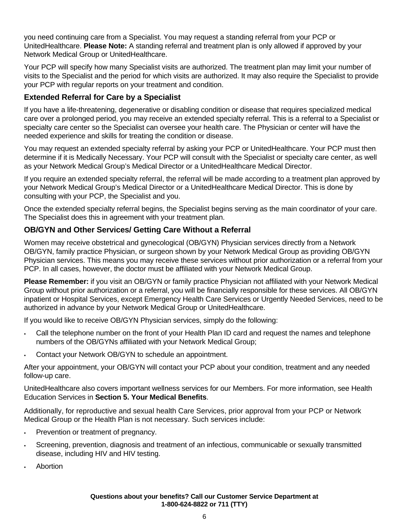you need continuing care from a Specialist. You may request a standing referral from your PCP or UnitedHealthcare. **Please Note:** A standing referral and treatment plan is only allowed if approved by your Network Medical Group or UnitedHealthcare.

Your PCP will specify how many Specialist visits are authorized. The treatment plan may limit your number of visits to the Specialist and the period for which visits are authorized. It may also require the Specialist to provide your PCP with regular reports on your treatment and condition.

# **Extended Referral for Care by a Specialist**

If you have a life-threatening, degenerative or disabling condition or disease that requires specialized medical care over a prolonged period, you may receive an extended specialty referral. This is a referral to a Specialist or specialty care center so the Specialist can oversee your health care. The Physician or center will have the needed experience and skills for treating the condition or disease.

You may request an extended specialty referral by asking your PCP or UnitedHealthcare. Your PCP must then determine if it is Medically Necessary. Your PCP will consult with the Specialist or specialty care center, as well as your Network Medical Group's Medical Director or a UnitedHealthcare Medical Director.

If you require an extended specialty referral, the referral will be made according to a treatment plan approved by your Network Medical Group's Medical Director or a UnitedHealthcare Medical Director. This is done by consulting with your PCP, the Specialist and you.

Once the extended specialty referral begins, the Specialist begins serving as the main coordinator of your care. The Specialist does this in agreement with your treatment plan.

# **OB/GYN and Other Services/ Getting Care Without a Referral**

Women may receive obstetrical and gynecological (OB/GYN) Physician services directly from a Network OB/GYN, family practice Physician, or surgeon shown by your Network Medical Group as providing OB/GYN Physician services. This means you may receive these services without prior authorization or a referral from your PCP. In all cases, however, the doctor must be affiliated with your Network Medical Group.

**Please Remember:** if you visit an OB/GYN or family practice Physician not affiliated with your Network Medical Group without prior authorization or a referral, you will be financially responsible for these services. All OB/GYN inpatient or Hospital Services, except Emergency Health Care Services or Urgently Needed Services, need to be authorized in advance by your Network Medical Group or UnitedHealthcare.

If you would like to receive OB/GYN Physician services, simply do the following:

- Call the telephone number on the front of your Health Plan ID card and request the names and telephone numbers of the OB/GYNs affiliated with your Network Medical Group;
- Contact your Network OB/GYN to schedule an appointment.

After your appointment, your OB/GYN will contact your PCP about your condition, treatment and any needed follow-up care.

UnitedHealthcare also covers important wellness services for our Members. For more information, see Health Education Services in **Section 5. Your Medical Benefits**.

Additionally, for reproductive and sexual health Care Services, prior approval from your PCP or Network Medical Group or the Health Plan is not necessary. Such services include:

- Prevention or treatment of pregnancy.
- Screening, prevention, diagnosis and treatment of an infectious, communicable or sexually transmitted disease, including HIV and HIV testing.
- Abortion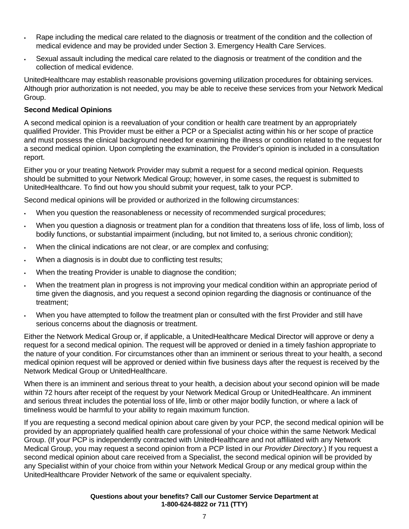- Rape including the medical care related to the diagnosis or treatment of the condition and the collection of medical evidence and may be provided under Section 3. Emergency Health Care Services.
- Sexual assault including the medical care related to the diagnosis or treatment of the condition and the collection of medical evidence.

UnitedHealthcare may establish reasonable provisions governing utilization procedures for obtaining services. Although prior authorization is not needed, you may be able to receive these services from your Network Medical Group.

#### **Second Medical Opinions**

A second medical opinion is a reevaluation of your condition or health care treatment by an appropriately qualified Provider. This Provider must be either a PCP or a Specialist acting within his or her scope of practice and must possess the clinical background needed for examining the illness or condition related to the request for a second medical opinion. Upon completing the examination, the Provider's opinion is included in a consultation report.

Either you or your treating Network Provider may submit a request for a second medical opinion. Requests should be submitted to your Network Medical Group; however, in some cases, the request is submitted to UnitedHealthcare. To find out how you should submit your request, talk to your PCP.

Second medical opinions will be provided or authorized in the following circumstances:

- When you question the reasonableness or necessity of recommended surgical procedures;
- When you question a diagnosis or treatment plan for a condition that threatens loss of life, loss of limb, loss of bodily functions, or substantial impairment (including, but not limited to, a serious chronic condition);
- When the clinical indications are not clear, or are complex and confusing;
- When a diagnosis is in doubt due to conflicting test results;
- When the treating Provider is unable to diagnose the condition;
- When the treatment plan in progress is not improving your medical condition within an appropriate period of time given the diagnosis, and you request a second opinion regarding the diagnosis or continuance of the treatment;
- When you have attempted to follow the treatment plan or consulted with the first Provider and still have serious concerns about the diagnosis or treatment.

Either the Network Medical Group or, if applicable, a UnitedHealthcare Medical Director will approve or deny a request for a second medical opinion. The request will be approved or denied in a timely fashion appropriate to the nature of your condition. For circumstances other than an imminent or serious threat to your health, a second medical opinion request will be approved or denied within five business days after the request is received by the Network Medical Group or UnitedHealthcare.

When there is an imminent and serious threat to your health, a decision about your second opinion will be made within 72 hours after receipt of the request by your Network Medical Group or UnitedHealthcare. An imminent and serious threat includes the potential loss of life, limb or other major bodily function, or where a lack of timeliness would be harmful to your ability to regain maximum function.

If you are requesting a second medical opinion about care given by your PCP, the second medical opinion will be provided by an appropriately qualified health care professional of your choice within the same Network Medical Group. (If your PCP is independently contracted with UnitedHealthcare and not affiliated with any Network Medical Group, you may request a second opinion from a PCP listed in our *Provider Directory*.) If you request a second medical opinion about care received from a Specialist, the second medical opinion will be provided by any Specialist within of your choice from within your Network Medical Group or any medical group within the UnitedHealthcare Provider Network of the same or equivalent specialty.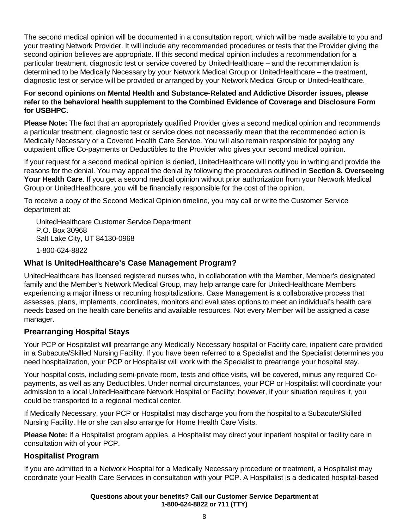The second medical opinion will be documented in a consultation report, which will be made available to you and your treating Network Provider. It will include any recommended procedures or tests that the Provider giving the second opinion believes are appropriate. If this second medical opinion includes a recommendation for a particular treatment, diagnostic test or service covered by UnitedHealthcare – and the recommendation is determined to be Medically Necessary by your Network Medical Group or UnitedHealthcare – the treatment, diagnostic test or service will be provided or arranged by your Network Medical Group or UnitedHealthcare.

#### **For second opinions on Mental Health and Substance-Related and Addictive Disorder issues, please refer to the behavioral health supplement to the Combined Evidence of Coverage and Disclosure Form for USBHPC.**

**Please Note:** The fact that an appropriately qualified Provider gives a second medical opinion and recommends a particular treatment, diagnostic test or service does not necessarily mean that the recommended action is Medically Necessary or a Covered Health Care Service. You will also remain responsible for paying any outpatient office Co-payments or Deductibles to the Provider who gives your second medical opinion.

If your request for a second medical opinion is denied, UnitedHealthcare will notify you in writing and provide the reasons for the denial. You may appeal the denial by following the procedures outlined in **Section 8. Overseeing Your Health Care**. If you get a second medical opinion without prior authorization from your Network Medical Group or UnitedHealthcare, you will be financially responsible for the cost of the opinion.

To receive a copy of the Second Medical Opinion timeline, you may call or write the Customer Service department at:

UnitedHealthcare Customer Service Department P.O. Box 30968 Salt Lake City, UT 84130-0968 1-800-624-8822

# **What is UnitedHealthcare's Case Management Program?**

UnitedHealthcare has licensed registered nurses who, in collaboration with the Member, Member's designated family and the Member's Network Medical Group, may help arrange care for UnitedHealthcare Members experiencing a major illness or recurring hospitalizations. Case Management is a collaborative process that assesses, plans, implements, coordinates, monitors and evaluates options to meet an individual's health care needs based on the health care benefits and available resources. Not every Member will be assigned a case manager.

# **Prearranging Hospital Stays**

Your PCP or Hospitalist will prearrange any Medically Necessary hospital or Facility care, inpatient care provided in a Subacute/Skilled Nursing Facility. If you have been referred to a Specialist and the Specialist determines you need hospitalization, your PCP or Hospitalist will work with the Specialist to prearrange your hospital stay.

Your hospital costs, including semi-private room, tests and office visits, will be covered, minus any required Copayments, as well as any Deductibles. Under normal circumstances, your PCP or Hospitalist will coordinate your admission to a local UnitedHealthcare Network Hospital or Facility; however, if your situation requires it, you could be transported to a regional medical center.

If Medically Necessary, your PCP or Hospitalist may discharge you from the hospital to a Subacute/Skilled Nursing Facility. He or she can also arrange for Home Health Care Visits.

**Please Note:** If a Hospitalist program applies, a Hospitalist may direct your inpatient hospital or facility care in consultation with of your PCP.

# **Hospitalist Program**

If you are admitted to a Network Hospital for a Medically Necessary procedure or treatment, a Hospitalist may coordinate your Health Care Services in consultation with your PCP. A Hospitalist is a dedicated hospital-based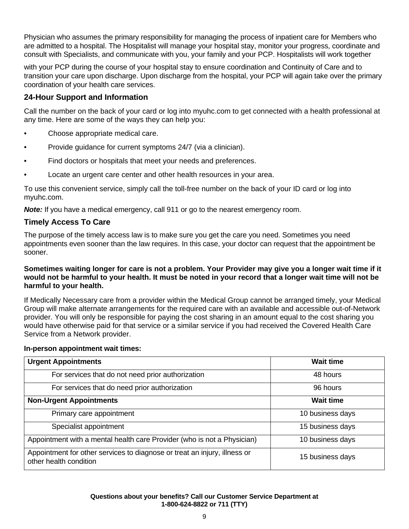Physician who assumes the primary responsibility for managing the process of inpatient care for Members who are admitted to a hospital. The Hospitalist will manage your hospital stay, monitor your progress, coordinate and consult with Specialists, and communicate with you, your family and your PCP. Hospitalists will work together

with your PCP during the course of your hospital stay to ensure coordination and Continuity of Care and to transition your care upon discharge. Upon discharge from the hospital, your PCP will again take over the primary coordination of your health care services.

# **24-Hour Support and Information**

Call the number on the back of your card or log into myuhc.com to get connected with a health professional at any time. Here are some of the ways they can help you:

- Choose appropriate medical care.
- Provide guidance for current symptoms 24/7 (via a clinician).
- Find doctors or hospitals that meet your needs and preferences.
- Locate an urgent care center and other health resources in your area.

To use this convenient service, simply call the toll-free number on the back of your ID card or log into myuhc.com.

*Note:* If you have a medical emergency, call 911 or go to the nearest emergency room.

# **Timely Access To Care**

The purpose of the timely access law is to make sure you get the care you need. Sometimes you need appointments even sooner than the law requires. In this case, your doctor can request that the appointment be sooner.

#### **Sometimes waiting longer for care is not a problem. Your Provider may give you a longer wait time if it would not be harmful to your health. It must be noted in your record that a longer wait time will not be harmful to your health.**

If Medically Necessary care from a provider within the Medical Group cannot be arranged timely, your Medical Group will make alternate arrangements for the required care with an available and accessible out-of-Network provider. You will only be responsible for paying the cost sharing in an amount equal to the cost sharing you would have otherwise paid for that service or a similar service if you had received the Covered Health Care Service from a Network provider.

#### **In-person appointment wait times:**

| <b>Urgent Appointments</b>                                                                          | <b>Wait time</b> |
|-----------------------------------------------------------------------------------------------------|------------------|
| For services that do not need prior authorization                                                   | 48 hours         |
| For services that do need prior authorization                                                       | 96 hours         |
| <b>Non-Urgent Appointments</b>                                                                      | <b>Wait time</b> |
| Primary care appointment                                                                            | 10 business days |
| Specialist appointment                                                                              | 15 business days |
| Appointment with a mental health care Provider (who is not a Physician)                             | 10 business days |
| Appointment for other services to diagnose or treat an injury, illness or<br>other health condition | 15 business days |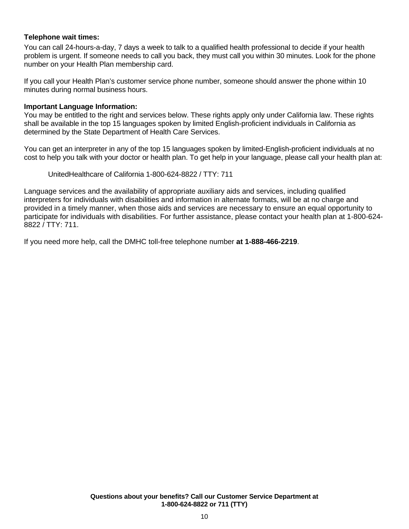#### **Telephone wait times:**

You can call 24-hours-a-day, 7 days a week to talk to a qualified health professional to decide if your health problem is urgent. If someone needs to call you back, they must call you within 30 minutes. Look for the phone number on your Health Plan membership card.

If you call your Health Plan's customer service phone number, someone should answer the phone within 10 minutes during normal business hours.

#### **Important Language Information:**

You may be entitled to the right and services below. These rights apply only under California law. These rights shall be available in the top 15 languages spoken by limited English-proficient individuals in California as determined by the State Department of Health Care Services.

You can get an interpreter in any of the top 15 languages spoken by limited-English-proficient individuals at no cost to help you talk with your doctor or health plan. To get help in your language, please call your health plan at:

UnitedHealthcare of California 1-800-624-8822 / TTY: 711

Language services and the availability of appropriate auxiliary aids and services, including qualified interpreters for individuals with disabilities and information in alternate formats, will be at no charge and provided in a timely manner, when those aids and services are necessary to ensure an equal opportunity to participate for individuals with disabilities. For further assistance, please contact your health plan at 1-800-624- 8822 / TTY: 711.

If you need more help, call the DMHC toll-free telephone number **at 1-888-466-2219**.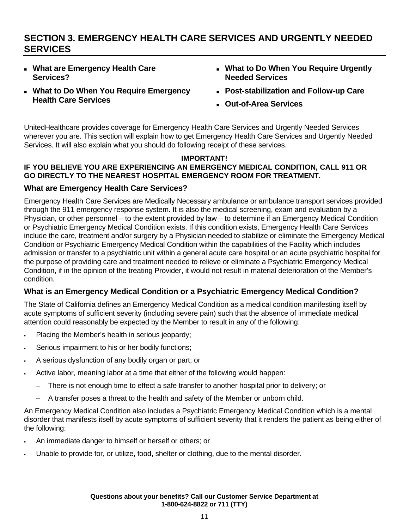# **SECTION 3. EMERGENCY HEALTH CARE SERVICES AND URGENTLY NEEDED SERVICES**

- **What are Emergency Health Care Services?**
- **What to Do When You Require Emergency Health Care Services**
- **What to Do When You Require Urgently Needed Services**
- **Post-stabilization and Follow-up Care**
- **Out-of-Area Services**

UnitedHealthcare provides coverage for Emergency Health Care Services and Urgently Needed Services wherever you are. This section will explain how to get Emergency Health Care Services and Urgently Needed Services. It will also explain what you should do following receipt of these services.

#### **IMPORTANT! IF YOU BELIEVE YOU ARE EXPERIENCING AN EMERGENCY MEDICAL CONDITION, CALL 911 OR GO DIRECTLY TO THE NEAREST HOSPITAL EMERGENCY ROOM FOR TREATMENT.**

# **What are Emergency Health Care Services?**

Emergency Health Care Services are Medically Necessary ambulance or ambulance transport services provided through the 911 emergency response system. It is also the medical screening, exam and evaluation by a Physician, or other personnel – to the extent provided by law – to determine if an Emergency Medical Condition or Psychiatric Emergency Medical Condition exists. If this condition exists, Emergency Health Care Services include the care, treatment and/or surgery by a Physician needed to stabilize or eliminate the Emergency Medical Condition or Psychiatric Emergency Medical Condition within the capabilities of the Facility which includes admission or transfer to a psychiatric unit within a general acute care hospital or an acute psychiatric hospital for the purpose of providing care and treatment needed to relieve or eliminate a Psychiatric Emergency Medical Condition, if in the opinion of the treating Provider, it would not result in material deterioration of the Member's condition.

# **What is an Emergency Medical Condition or a Psychiatric Emergency Medical Condition?**

The State of California defines an Emergency Medical Condition as a medical condition manifesting itself by acute symptoms of sufficient severity (including severe pain) such that the absence of immediate medical attention could reasonably be expected by the Member to result in any of the following:

- Placing the Member's health in serious jeopardy;
- Serious impairment to his or her bodily functions;
- A serious dysfunction of any bodily organ or part; or
- Active labor, meaning labor at a time that either of the following would happen:
	- There is not enough time to effect a safe transfer to another hospital prior to delivery; or
	- A transfer poses a threat to the health and safety of the Member or unborn child.

An Emergency Medical Condition also includes a Psychiatric Emergency Medical Condition which is a mental disorder that manifests itself by acute symptoms of sufficient severity that it renders the patient as being either of the following:

- An immediate danger to himself or herself or others; or
- Unable to provide for, or utilize, food, shelter or clothing, due to the mental disorder.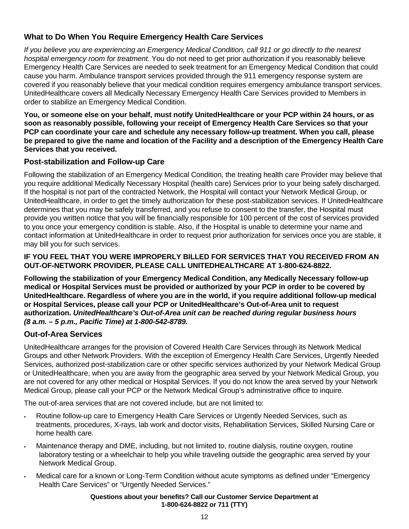# **What to Do When You Require Emergency Health Care Services**

*If you believe you are experiencing an Emergency Medical Condition, call 911 or go directly to the nearest hospital emergency room for treatment.* You do not need to get prior authorization if you reasonably believe Emergency Health Care Services are needed to seek treatment for an Emergency Medical Condition that could cause you harm. Ambulance transport services provided through the 911 emergency response system are covered if you reasonably believe that your medical condition requires emergency ambulance transport services. UnitedHealthcare covers all Medically Necessary Emergency Health Care Services provided to Members in order to stabilize an Emergency Medical Condition.

**You, or someone else on your behalf, must notify UnitedHealthcare or your PCP within 24 hours, or as soon as reasonably possible, following your receipt of Emergency Health Care Services so that your PCP can coordinate your care and schedule any necessary follow-up treatment. When you call, please be prepared to give the name and location of the Facility and a description of the Emergency Health Care Services that you received.** 

# **Post-stabilization and Follow-up Care**

Following the stabilization of an Emergency Medical Condition, the treating health care Provider may believe that you require additional Medically Necessary Hospital (health care) Services prior to your being safely discharged. If the hospital is not part of the contracted Network, the Hospital will contact your Network Medical Group, or UnitedHealthcare, in order to get the timely authorization for these post-stabilization services. If UnitedHealthcare determines that you may be safely transferred, and you refuse to consent to the transfer, the Hospital must provide you written notice that you will be financially responsible for 100 percent of the cost of services provided to you once your emergency condition is stable. Also, if the Hospital is unable to determine your name and contact information at UnitedHealthcare in order to request prior authorization for services once you are stable, it may bill you for such services.

#### **IF YOU FEEL THAT YOU WERE IMPROPERLY BILLED FOR SERVICES THAT YOU RECEIVED FROM AN OUT-OF-NETWORK PROVIDER, PLEASE CALL UNITEDHEALTHCARE AT 1-800-624-8822.**

**Following the stabilization of your Emergency Medical Condition, any Medically Necessary follow-up medical or Hospital Services must be provided or authorized by your PCP in order to be covered by UnitedHealthcare. Regardless of where you are in the world, if you require additional follow-up medical or Hospital Services, please call your PCP or UnitedHealthcare's Out-of-Area unit to request authorization.** *UnitedHealthcare's Out-of-Area unit can be reached during regular business hours (8 a.m. – 5 p.m., Pacific Time) at 1-800-542-8789.*

# **Out-of-Area Services**

UnitedHealthcare arranges for the provision of Covered Health Care Services through its Network Medical Groups and other Network Providers. With the exception of Emergency Health Care Services, Urgently Needed Services, authorized post-stabilization care or other specific services authorized by your Network Medical Group or UnitedHealthcare, when you are away from the geographic area served by your Network Medical Group, you are not covered for any other medical or Hospital Services. If you do not know the area served by your Network Medical Group, please call your PCP or the Network Medical Group's administrative office to inquire.

The out-of-area services that are not covered include, but are not limited to:

- Routine follow-up care to Emergency Health Care Services or Urgently Needed Services, such as treatments, procedures, X-rays, lab work and doctor visits, Rehabilitation Services, Skilled Nursing Care or home health care.
- Maintenance therapy and DME, including, but not limited to, routine dialysis, routine oxygen, routine laboratory testing or a wheelchair to help you while traveling outside the geographic area served by your Network Medical Group.
- Medical care for a known or Long-Term Condition without acute symptoms as defined under "Emergency Health Care Services" or "Urgently Needed Services."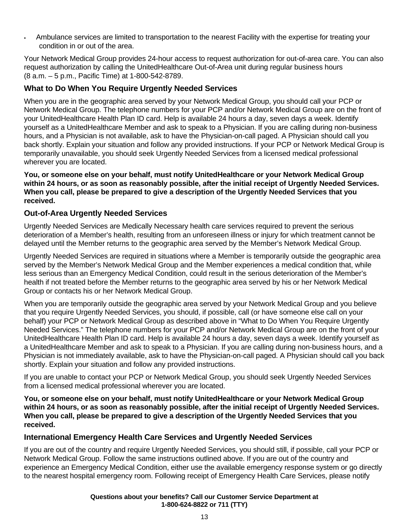Ambulance services are limited to transportation to the nearest Facility with the expertise for treating your condition in or out of the area.

Your Network Medical Group provides 24-hour access to request authorization for out-of-area care. You can also request authorization by calling the UnitedHealthcare Out-of-Area unit during regular business hours (8 a.m. – 5 p.m., Pacific Time) at 1-800-542-8789.

# **What to Do When You Require Urgently Needed Services**

When you are in the geographic area served by your Network Medical Group, you should call your PCP or Network Medical Group. The telephone numbers for your PCP and/or Network Medical Group are on the front of your UnitedHealthcare Health Plan ID card. Help is available 24 hours a day, seven days a week. Identify yourself as a UnitedHealthcare Member and ask to speak to a Physician. If you are calling during non-business hours, and a Physician is not available, ask to have the Physician-on-call paged. A Physician should call you back shortly. Explain your situation and follow any provided instructions. If your PCP or Network Medical Group is temporarily unavailable, you should seek Urgently Needed Services from a licensed medical professional wherever you are located.

**You, or someone else on your behalf, must notify UnitedHealthcare or your Network Medical Group within 24 hours, or as soon as reasonably possible, after the initial receipt of Urgently Needed Services. When you call, please be prepared to give a description of the Urgently Needed Services that you received.** 

# **Out-of-Area Urgently Needed Services**

Urgently Needed Services are Medically Necessary health care services required to prevent the serious deterioration of a Member's health, resulting from an unforeseen illness or injury for which treatment cannot be delayed until the Member returns to the geographic area served by the Member's Network Medical Group.

Urgently Needed Services are required in situations where a Member is temporarily outside the geographic area served by the Member's Network Medical Group and the Member experiences a medical condition that, while less serious than an Emergency Medical Condition, could result in the serious deterioration of the Member's health if not treated before the Member returns to the geographic area served by his or her Network Medical Group or contacts his or her Network Medical Group.

When you are temporarily outside the geographic area served by your Network Medical Group and you believe that you require Urgently Needed Services, you should, if possible, call (or have someone else call on your behalf) your PCP or Network Medical Group as described above in "What to Do When You Require Urgently Needed Services." The telephone numbers for your PCP and/or Network Medical Group are on the front of your UnitedHealthcare Health Plan ID card. Help is available 24 hours a day, seven days a week. Identify yourself as a UnitedHealthcare Member and ask to speak to a Physician. If you are calling during non-business hours, and a Physician is not immediately available, ask to have the Physician-on-call paged. A Physician should call you back shortly. Explain your situation and follow any provided instructions.

If you are unable to contact your PCP or Network Medical Group, you should seek Urgently Needed Services from a licensed medical professional wherever you are located.

**You, or someone else on your behalf, must notify UnitedHealthcare or your Network Medical Group within 24 hours, or as soon as reasonably possible, after the initial receipt of Urgently Needed Services. When you call, please be prepared to give a description of the Urgently Needed Services that you received.** 

# **International Emergency Health Care Services and Urgently Needed Services**

If you are out of the country and require Urgently Needed Services, you should still, if possible, call your PCP or Network Medical Group. Follow the same instructions outlined above. If you are out of the country and experience an Emergency Medical Condition, either use the available emergency response system or go directly to the nearest hospital emergency room. Following receipt of Emergency Health Care Services, please notify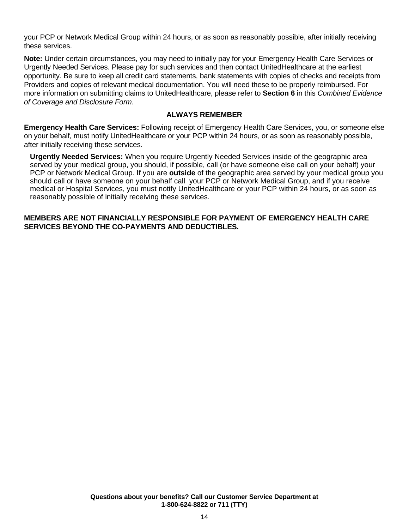your PCP or Network Medical Group within 24 hours, or as soon as reasonably possible, after initially receiving these services.

**Note:** Under certain circumstances, you may need to initially pay for your Emergency Health Care Services or Urgently Needed Services. Please pay for such services and then contact UnitedHealthcare at the earliest opportunity. Be sure to keep all credit card statements, bank statements with copies of checks and receipts from Providers and copies of relevant medical documentation. You will need these to be properly reimbursed. For more information on submitting claims to UnitedHealthcare, please refer to **Section 6** in this *Combined Evidence of Coverage and Disclosure Form*.

#### **ALWAYS REMEMBER**

**Emergency Health Care Services:** Following receipt of Emergency Health Care Services, you, or someone else on your behalf, must notify UnitedHealthcare or your PCP within 24 hours, or as soon as reasonably possible, after initially receiving these services.

**Urgently Needed Services:** When you require Urgently Needed Services inside of the geographic area served by your medical group, you should, if possible, call (or have someone else call on your behalf) your PCP or Network Medical Group. If you are **outside** of the geographic area served by your medical group you should call or have someone on your behalf call your PCP or Network Medical Group, and if you receive medical or Hospital Services, you must notify UnitedHealthcare or your PCP within 24 hours, or as soon as reasonably possible of initially receiving these services.

#### **MEMBERS ARE NOT FINANCIALLY RESPONSIBLE FOR PAYMENT OF EMERGENCY HEALTH CARE SERVICES BEYOND THE CO-PAYMENTS AND DEDUCTIBLES.**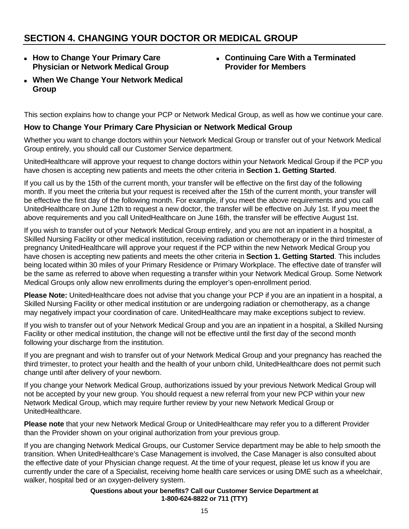# **SECTION 4. CHANGING YOUR DOCTOR OR MEDICAL GROUP**

 **How to Change Your Primary Care Physician or Network Medical Group** 

# **Continuing Care With a Terminated Provider for Members**

 **When We Change Your Network Medical Group** 

This section explains how to change your PCP or Network Medical Group, as well as how we continue your care.

#### **How to Change Your Primary Care Physician or Network Medical Group**

Whether you want to change doctors within your Network Medical Group or transfer out of your Network Medical Group entirely, you should call our Customer Service department.

UnitedHealthcare will approve your request to change doctors within your Network Medical Group if the PCP you have chosen is accepting new patients and meets the other criteria in **Section 1. Getting Started**.

If you call us by the 15th of the current month, your transfer will be effective on the first day of the following month. If you meet the criteria but your request is received after the 15th of the current month, your transfer will be effective the first day of the following month. For example, if you meet the above requirements and you call UnitedHealthcare on June 12th to request a new doctor, the transfer will be effective on July 1st. If you meet the above requirements and you call UnitedHealthcare on June 16th, the transfer will be effective August 1st.

If you wish to transfer out of your Network Medical Group entirely, and you are not an inpatient in a hospital, a Skilled Nursing Facility or other medical institution, receiving radiation or chemotherapy or in the third trimester of pregnancy UnitedHealthcare will approve your request if the PCP within the new Network Medical Group you have chosen is accepting new patients and meets the other criteria in **Section 1. Getting Started**. This includes being located within 30 miles of your Primary Residence or Primary Workplace. The effective date of transfer will be the same as referred to above when requesting a transfer within your Network Medical Group. Some Network Medical Groups only allow new enrollments during the employer's open-enrollment period.

**Please Note:** UnitedHealthcare does not advise that you change your PCP if you are an inpatient in a hospital, a Skilled Nursing Facility or other medical institution or are undergoing radiation or chemotherapy, as a change may negatively impact your coordination of care. UnitedHealthcare may make exceptions subject to review.

If you wish to transfer out of your Network Medical Group and you are an inpatient in a hospital, a Skilled Nursing Facility or other medical institution, the change will not be effective until the first day of the second month following your discharge from the institution.

If you are pregnant and wish to transfer out of your Network Medical Group and your pregnancy has reached the third trimester, to protect your health and the health of your unborn child, UnitedHealthcare does not permit such change until after delivery of your newborn.

If you change your Network Medical Group, authorizations issued by your previous Network Medical Group will not be accepted by your new group. You should request a new referral from your new PCP within your new Network Medical Group, which may require further review by your new Network Medical Group or UnitedHealthcare.

**Please note** that your new Network Medical Group or UnitedHealthcare may refer you to a different Provider than the Provider shown on your original authorization from your previous group.

If you are changing Network Medical Groups, our Customer Service department may be able to help smooth the transition. When UnitedHealthcare's Case Management is involved, the Case Manager is also consulted about the effective date of your Physician change request. At the time of your request, please let us know if you are currently under the care of a Specialist, receiving home health care services or using DME such as a wheelchair, walker, hospital bed or an oxygen-delivery system.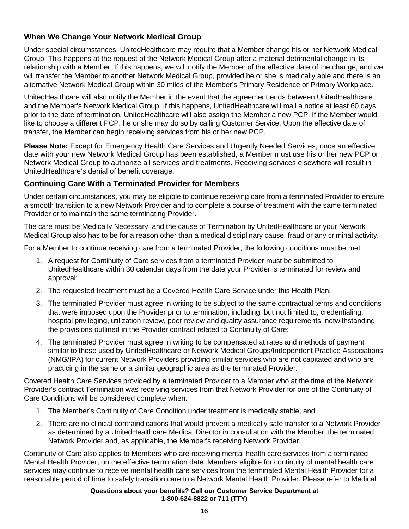# **When We Change Your Network Medical Group**

Under special circumstances, UnitedHealthcare may require that a Member change his or her Network Medical Group. This happens at the request of the Network Medical Group after a material detrimental change in its relationship with a Member. If this happens, we will notify the Member of the effective date of the change, and we will transfer the Member to another Network Medical Group, provided he or she is medically able and there is an alternative Network Medical Group within 30 miles of the Member's Primary Residence or Primary Workplace.

UnitedHealthcare will also notify the Member in the event that the agreement ends between UnitedHealthcare and the Member's Network Medical Group. If this happens, UnitedHealthcare will mail a notice at least 60 days prior to the date of termination. UnitedHealthcare will also assign the Member a new PCP. If the Member would like to choose a different PCP, he or she may do so by calling Customer Service. Upon the effective date of transfer, the Member can begin receiving services from his or her new PCP.

**Please Note:** Except for Emergency Health Care Services and Urgently Needed Services, once an effective date with your new Network Medical Group has been established, a Member must use his or her new PCP or Network Medical Group to authorize all services and treatments. Receiving services elsewhere will result in UnitedHealthcare's denial of benefit coverage.

# **Continuing Care With a Terminated Provider for Members**

Under certain circumstances, you may be eligible to continue receiving care from a terminated Provider to ensure a smooth transition to a new Network Provider and to complete a course of treatment with the same terminated Provider or to maintain the same terminating Provider.

The care must be Medically Necessary, and the cause of Termination by UnitedHealthcare or your Network Medical Group also has to be for a reason other than a medical disciplinary cause, fraud or any criminal activity.

For a Member to continue receiving care from a terminated Provider, the following conditions must be met:

- 1. A request for Continuity of Care services from a terminated Provider must be submitted to UnitedHealthcare within 30 calendar days from the date your Provider is terminated for review and approval;
- 2. The requested treatment must be a Covered Health Care Service under this Health Plan;
- 3. The terminated Provider must agree in writing to be subject to the same contractual terms and conditions that were imposed upon the Provider prior to termination, including, but not limited to, credentialing, hospital privileging, utilization review, peer review and quality assurance requirements, notwithstanding the provisions outlined in the Provider contract related to Continuity of Care;
- 4. The terminated Provider must agree in writing to be compensated at rates and methods of payment similar to those used by UnitedHealthcare or Network Medical Groups/Independent Practice Associations (NMG/IPA) for current Network Providers providing similar services who are not capitated and who are practicing in the same or a similar geographic area as the terminated Provider.

Covered Health Care Services provided by a terminated Provider to a Member who at the time of the Network Provider's contract Termination was receiving services from that Network Provider for one of the Continuity of Care Conditions will be considered complete when:

- 1. The Member's Continuity of Care Condition under treatment is medically stable, and
- 2. There are no clinical contraindications that would prevent a medically safe transfer to a Network Provider as determined by a UnitedHealthcare Medical Director in consultation with the Member, the terminated Network Provider and, as applicable, the Member's receiving Network Provider.

Continuity of Care also applies to Members who are receiving mental health care services from a terminated Mental Health Provider, on the effective termination date. Members eligible for continuity of mental health care services may continue to receive mental health care services from the terminated Mental Health Provider for a reasonable period of time to safely transition care to a Network Mental Health Provider. Please refer to Medical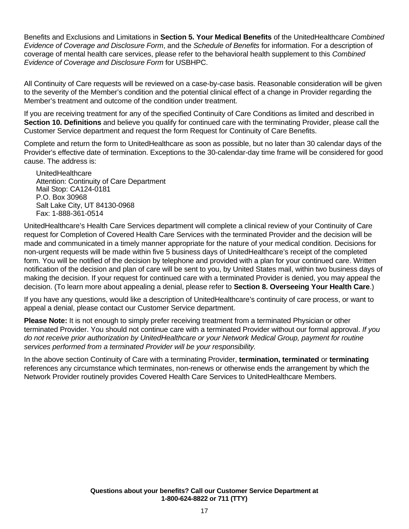Benefits and Exclusions and Limitations in **Section 5. Your Medical Benefits** of the UnitedHealthcare *Combined Evidence of Coverage and Disclosure Form*, and the *Schedule of Benefits* for information. For a description of coverage of mental health care services, please refer to the behavioral health supplement to this *Combined Evidence of Coverage and Disclosure Form* for USBHPC.

All Continuity of Care requests will be reviewed on a case-by-case basis. Reasonable consideration will be given to the severity of the Member's condition and the potential clinical effect of a change in Provider regarding the Member's treatment and outcome of the condition under treatment.

If you are receiving treatment for any of the specified Continuity of Care Conditions as limited and described in **Section 10. Definitions** and believe you qualify for continued care with the terminating Provider, please call the Customer Service department and request the form Request for Continuity of Care Benefits.

Complete and return the form to UnitedHealthcare as soon as possible, but no later than 30 calendar days of the Provider's effective date of termination. Exceptions to the 30-calendar-day time frame will be considered for good cause. The address is:

UnitedHealthcare Attention: Continuity of Care Department Mail Stop: CA124-0181 P.O. Box 30968 Salt Lake City, UT 84130-0968 Fax: 1-888-361-0514

UnitedHealthcare's Health Care Services department will complete a clinical review of your Continuity of Care request for Completion of Covered Health Care Services with the terminated Provider and the decision will be made and communicated in a timely manner appropriate for the nature of your medical condition. Decisions for non-urgent requests will be made within five 5 business days of UnitedHealthcare's receipt of the completed form. You will be notified of the decision by telephone and provided with a plan for your continued care. Written notification of the decision and plan of care will be sent to you, by United States mail, within two business days of making the decision. If your request for continued care with a terminated Provider is denied, you may appeal the decision. (To learn more about appealing a denial, please refer to **Section 8. Overseeing Your Health Care**.)

If you have any questions, would like a description of UnitedHealthcare's continuity of care process, or want to appeal a denial, please contact our Customer Service department.

**Please Note:** It is not enough to simply prefer receiving treatment from a terminated Physician or other terminated Provider. You should not continue care with a terminated Provider without our formal approval. *If you do not receive prior authorization by UnitedHealthcare or your Network Medical Group, payment for routine services performed from a terminated Provider will be your responsibility.*

In the above section Continuity of Care with a terminating Provider, **termination, terminated** or **terminating**  references any circumstance which terminates, non-renews or otherwise ends the arrangement by which the Network Provider routinely provides Covered Health Care Services to UnitedHealthcare Members.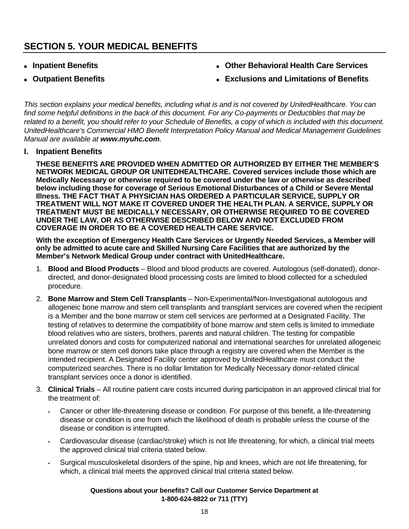# **SECTION 5. YOUR MEDICAL BENEFITS**

- **Inpatient Benefits**
- **Outpatient Benefits**
- **Other Behavioral Health Care Services**
- **Exclusions and Limitations of Benefits**

*This section explains your medical benefits, including what is and is not covered by UnitedHealthcare. You can find some helpful definitions in the back of this document. For any Co-payments or Deductibles that may be*  related to a benefit, you should refer to your Schedule of Benefits, a copy of which is included with this document. *UnitedHealthcare's Commercial HMO Benefit Interpretation Policy Manual and Medical Management Guidelines Manual are available at www.myuhc.com.* 

#### **I. Inpatient Benefits**

**THESE BENEFITS ARE PROVIDED WHEN ADMITTED OR AUTHORIZED BY EITHER THE MEMBER'S NETWORK MEDICAL GROUP OR UNITEDHEALTHCARE. Covered services include those which are Medically Necessary or otherwise required to be covered under the law or otherwise as described below including those for coverage of Serious Emotional Disturbances of a Child or Severe Mental Illness. THE FACT THAT A PHYSICIAN HAS ORDERED A PARTICULAR SERVICE, SUPPLY OR TREATMENT WILL NOT MAKE IT COVERED UNDER THE HEALTH PLAN. A SERVICE, SUPPLY OR TREATMENT MUST BE MEDICALLY NECESSARY, OR OTHERWISE REQUIRED TO BE COVERED UNDER THE LAW, OR AS OTHERWISE DESCRIBED BELOW AND NOT EXCLUDED FROM COVERAGE IN ORDER TO BE A COVERED HEALTH CARE SERVICE.** 

**With the exception of Emergency Health Care Services or Urgently Needed Services, a Member will only be admitted to acute care and Skilled Nursing Care Facilities that are authorized by the Member's Network Medical Group under contract with UnitedHealthcare.** 

- 1. **Blood and Blood Products**  Blood and blood products are covered. Autologous (self-donated), donordirected, and donor-designated blood processing costs are limited to blood collected for a scheduled procedure.
- 2. **Bone Marrow and Stem Cell Transplants**  Non-Experimental/Non-Investigational autologous and allogeneic bone marrow and stem cell transplants and transplant services are covered when the recipient is a Member and the bone marrow or stem cell services are performed at a Designated Facility. The testing of relatives to determine the compatibility of bone marrow and stem cells is limited to immediate blood relatives who are sisters, brothers, parents and natural children. The testing for compatible unrelated donors and costs for computerized national and international searches for unrelated allogeneic bone marrow or stem cell donors take place through a registry are covered when the Member is the intended recipient. A Designated Facility center approved by UnitedHealthcare must conduct the computerized searches. There is no dollar limitation for Medically Necessary donor-related clinical transplant services once a donor is identified.
- 3. **Clinical Trials**  All routine patient care costs incurred during participation in an approved clinical trial for the treatment of:
	- Cancer or other life-threatening disease or condition. For purpose of this benefit, a life-threatening disease or condition is one from which the likelihood of death is probable unless the course of the disease or condition is interrupted.
	- Cardiovascular disease (cardiac/stroke) which is not life threatening, for which, a clinical trial meets the approved clinical trial criteria stated below.
	- Surgical musculoskeletal disorders of the spine, hip and knees, which are not life threatening, for which, a clinical trial meets the approved clinical trial criteria stated below.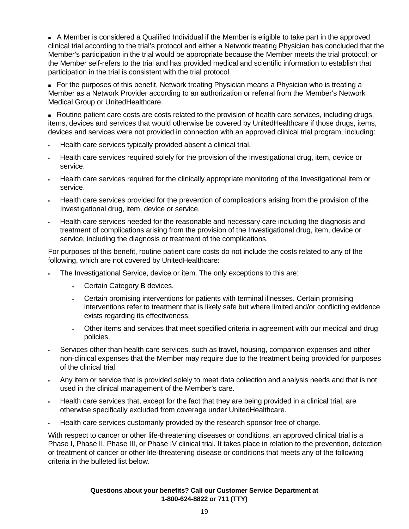A Member is considered a Qualified Individual if the Member is eligible to take part in the approved clinical trial according to the trial's protocol and either a Network treating Physician has concluded that the Member's participation in the trial would be appropriate because the Member meets the trial protocol; or the Member self-refers to the trial and has provided medical and scientific information to establish that participation in the trial is consistent with the trial protocol.

**For the purposes of this benefit, Network treating Physician means a Physician who is treating a** Member as a Network Provider according to an authorization or referral from the Member's Network Medical Group or UnitedHealthcare.

 Routine patient care costs are costs related to the provision of health care services, including drugs, items, devices and services that would otherwise be covered by UnitedHealthcare if those drugs, items, devices and services were not provided in connection with an approved clinical trial program, including:

- Health care services typically provided absent a clinical trial.
- Health care services required solely for the provision of the Investigational drug, item, device or service.
- Health care services required for the clinically appropriate monitoring of the Investigational item or service.
- Health care services provided for the prevention of complications arising from the provision of the Investigational drug, item, device or service.
- Health care services needed for the reasonable and necessary care including the diagnosis and treatment of complications arising from the provision of the Investigational drug, item, device or service, including the diagnosis or treatment of the complications.

For purposes of this benefit, routine patient care costs do not include the costs related to any of the following, which are not covered by UnitedHealthcare:

- The Investigational Service, device or item. The only exceptions to this are:
	- Certain Category B devices.
	- Certain promising interventions for patients with terminal illnesses. Certain promising interventions refer to treatment that is likely safe but where limited and/or conflicting evidence exists regarding its effectiveness.
	- Other items and services that meet specified criteria in agreement with our medical and drug policies.
- Services other than health care services, such as travel, housing, companion expenses and other non-clinical expenses that the Member may require due to the treatment being provided for purposes of the clinical trial.
- Any item or service that is provided solely to meet data collection and analysis needs and that is not used in the clinical management of the Member's care.
- Health care services that, except for the fact that they are being provided in a clinical trial, are otherwise specifically excluded from coverage under UnitedHealthcare.
- Health care services customarily provided by the research sponsor free of charge.

With respect to cancer or other life-threatening diseases or conditions, an approved clinical trial is a Phase I, Phase II, Phase III, or Phase IV clinical trial. It takes place in relation to the prevention, detection or treatment of cancer or other life-threatening disease or conditions that meets any of the following criteria in the bulleted list below.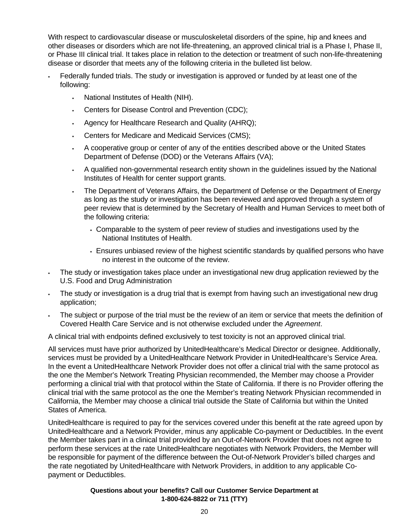With respect to cardiovascular disease or musculoskeletal disorders of the spine, hip and knees and other diseases or disorders which are not life-threatening, an approved clinical trial is a Phase I, Phase II, or Phase III clinical trial. It takes place in relation to the detection or treatment of such non-life-threatening disease or disorder that meets any of the following criteria in the bulleted list below.

- Federally funded trials. The study or investigation is approved or funded by at least one of the following:
	- National Institutes of Health (NIH).
	- Centers for Disease Control and Prevention (CDC);
	- Agency for Healthcare Research and Quality (AHRQ);
	- Centers for Medicare and Medicaid Services (CMS);
	- A cooperative group or center of any of the entities described above or the United States Department of Defense (DOD) or the Veterans Affairs (VA);
	- A qualified non-governmental research entity shown in the guidelines issued by the National Institutes of Health for center support grants.
	- The Department of Veterans Affairs, the Department of Defense or the Department of Energy as long as the study or investigation has been reviewed and approved through a system of peer review that is determined by the Secretary of Health and Human Services to meet both of the following criteria:
		- Comparable to the system of peer review of studies and investigations used by the National Institutes of Health.
		- Ensures unbiased review of the highest scientific standards by qualified persons who have no interest in the outcome of the review.
- The study or investigation takes place under an investigational new drug application reviewed by the U.S. Food and Drug Administration
- The study or investigation is a drug trial that is exempt from having such an investigational new drug application;
- The subject or purpose of the trial must be the review of an item or service that meets the definition of Covered Health Care Service and is not otherwise excluded under the *Agreement*.

A clinical trial with endpoints defined exclusively to test toxicity is not an approved clinical trial.

All services must have prior authorized by UnitedHealthcare's Medical Director or designee. Additionally, services must be provided by a UnitedHealthcare Network Provider in UnitedHealthcare's Service Area. In the event a UnitedHealthcare Network Provider does not offer a clinical trial with the same protocol as the one the Member's Network Treating Physician recommended, the Member may choose a Provider performing a clinical trial with that protocol within the State of California. If there is no Provider offering the clinical trial with the same protocol as the one the Member's treating Network Physician recommended in California, the Member may choose a clinical trial outside the State of California but within the United States of America.

UnitedHealthcare is required to pay for the services covered under this benefit at the rate agreed upon by UnitedHealthcare and a Network Provider, minus any applicable Co-payment or Deductibles. In the event the Member takes part in a clinical trial provided by an Out-of-Network Provider that does not agree to perform these services at the rate UnitedHealthcare negotiates with Network Providers, the Member will be responsible for payment of the difference between the Out-of-Network Provider's billed charges and the rate negotiated by UnitedHealthcare with Network Providers, in addition to any applicable Copayment or Deductibles.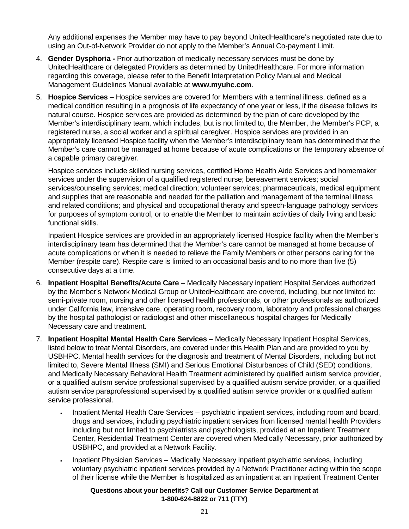Any additional expenses the Member may have to pay beyond UnitedHealthcare's negotiated rate due to using an Out-of-Network Provider do not apply to the Member's Annual Co-payment Limit.

- 4. **Gender Dysphoria -** Prior authorization of medically necessary services must be done by UnitedHealthcare or delegated Providers as determined by UnitedHealthcare. For more information regarding this coverage, please refer to the Benefit Interpretation Policy Manual and Medical Management Guidelines Manual available at **www.myuhc.com**.
- 5. **Hospice Services** Hospice services are covered for Members with a terminal illness, defined as a medical condition resulting in a prognosis of life expectancy of one year or less, if the disease follows its natural course. Hospice services are provided as determined by the plan of care developed by the Member's interdisciplinary team, which includes, but is not limited to, the Member, the Member's PCP, a registered nurse, a social worker and a spiritual caregiver. Hospice services are provided in an appropriately licensed Hospice facility when the Member's interdisciplinary team has determined that the Member's care cannot be managed at home because of acute complications or the temporary absence of a capable primary caregiver.

Hospice services include skilled nursing services, certified Home Health Aide Services and homemaker services under the supervision of a qualified registered nurse; bereavement services; social services/counseling services; medical direction; volunteer services; pharmaceuticals, medical equipment and supplies that are reasonable and needed for the palliation and management of the terminal illness and related conditions; and physical and occupational therapy and speech-language pathology services for purposes of symptom control, or to enable the Member to maintain activities of daily living and basic functional skills.

Inpatient Hospice services are provided in an appropriately licensed Hospice facility when the Member's interdisciplinary team has determined that the Member's care cannot be managed at home because of acute complications or when it is needed to relieve the Family Members or other persons caring for the Member (respite care). Respite care is limited to an occasional basis and to no more than five (5) consecutive days at a time.

- 6. **Inpatient Hospital Benefits/Acute Care**  Medically Necessary inpatient Hospital Services authorized by the Member's Network Medical Group or UnitedHealthcare are covered, including, but not limited to: semi-private room, nursing and other licensed health professionals, or other professionals as authorized under California law, intensive care, operating room, recovery room, laboratory and professional charges by the hospital pathologist or radiologist and other miscellaneous hospital charges for Medically Necessary care and treatment.
- 7. **Inpatient Hospital Mental Health Care Services** Medically Necessary Inpatient Hospital Services, listed below to treat Mental Disorders, are covered under this Health Plan and are provided to you by USBHPC. Mental health services for the diagnosis and treatment of Mental Disorders, including but not limited to, Severe Mental Illness (SMI) and Serious Emotional Disturbances of Child (SED) conditions, and Medically Necessary Behavioral Health Treatment administered by qualified autism service provider, or a qualified autism service professional supervised by a qualified autism service provider, or a qualified autism service paraprofessional supervised by a qualified autism service provider or a qualified autism service professional.
	- Inpatient Mental Health Care Services psychiatric inpatient services, including room and board, drugs and services, including psychiatric inpatient services from licensed mental health Providers including but not limited to psychiatrists and psychologists, provided at an Inpatient Treatment Center, Residential Treatment Center are covered when Medically Necessary, prior authorized by USBHPC, and provided at a Network Facility.
	- Inpatient Physician Services Medically Necessary inpatient psychiatric services, including voluntary psychiatric inpatient services provided by a Network Practitioner acting within the scope of their license while the Member is hospitalized as an inpatient at an Inpatient Treatment Center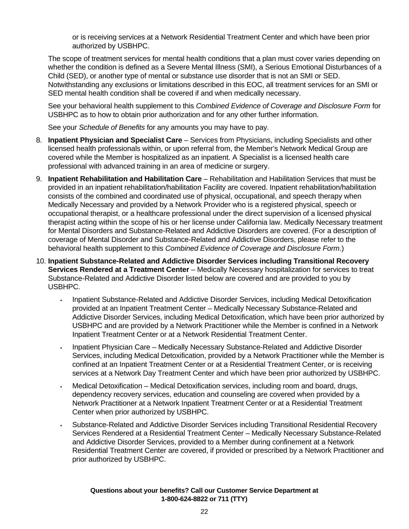or is receiving services at a Network Residential Treatment Center and which have been prior authorized by USBHPC.

 The scope of treatment services for mental health conditions that a plan must cover varies depending on whether the condition is defined as a Severe Mental Illness (SMI), a Serious Emotional Disturbances of a Child (SED), or another type of mental or substance use disorder that is not an SMI or SED. Notwithstanding any exclusions or limitations described in this EOC, all treatment services for an SMI or SED mental health condition shall be covered if and when medically necessary.

 See your behavioral health supplement to this *Combined Evidence of Coverage and Disclosure Form* for USBHPC as to how to obtain prior authorization and for any other further information.

See your *Schedule of Benefits* for any amounts you may have to pay.

- 8. **Inpatient Physician and Specialist Care**  Services from Physicians, including Specialists and other licensed health professionals within, or upon referral from, the Member's Network Medical Group are covered while the Member is hospitalized as an inpatient. A Specialist is a licensed health care professional with advanced training in an area of medicine or surgery.
- 9. **Inpatient Rehabilitation and Habilitation Care**  Rehabilitation and Habilitation Services that must be provided in an inpatient rehabilitation/habilitation Facility are covered. Inpatient rehabilitation/habilitation consists of the combined and coordinated use of physical, occupational, and speech therapy when Medically Necessary and provided by a Network Provider who is a registered physical, speech or occupational therapist, or a healthcare professional under the direct supervision of a licensed physical therapist acting within the scope of his or her license under California law. Medically Necessary treatment for Mental Disorders and Substance-Related and Addictive Disorders are covered. (For a description of coverage of Mental Disorder and Substance-Related and Addictive Disorders, please refer to the behavioral health supplement to this *Combined Evidence of Coverage and Disclosure Form*.)
- 10. **Inpatient Substance-Related and Addictive Disorder Services including Transitional Recovery Services Rendered at a Treatment Center** – Medically Necessary hospitalization for services to treat Substance-Related and Addictive Disorder listed below are covered and are provided to you by USBHPC.
	- Inpatient Substance-Related and Addictive Disorder Services, including Medical Detoxification provided at an Inpatient Treatment Center – Medically Necessary Substance-Related and Addictive Disorder Services, including Medical Detoxification, which have been prior authorized by USBHPC and are provided by a Network Practitioner while the Member is confined in a Network Inpatient Treatment Center or at a Network Residential Treatment Center.
	- Inpatient Physician Care Medically Necessary Substance-Related and Addictive Disorder Services, including Medical Detoxification, provided by a Network Practitioner while the Member is confined at an Inpatient Treatment Center or at a Residential Treatment Center, or is receiving services at a Network Day Treatment Center and which have been prior authorized by USBHPC.
	- Medical Detoxification Medical Detoxification services, including room and board, drugs, dependency recovery services, education and counseling are covered when provided by a Network Practitioner at a Network Inpatient Treatment Center or at a Residential Treatment Center when prior authorized by USBHPC.
	- Substance-Related and Addictive Disorder Services including Transitional Residential Recovery Services Rendered at a Residential Treatment Center – Medically Necessary Substance-Related and Addictive Disorder Services, provided to a Member during confinement at a Network Residential Treatment Center are covered, if provided or prescribed by a Network Practitioner and prior authorized by USBHPC.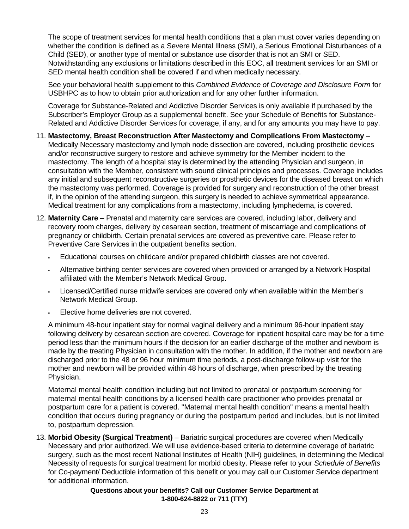The scope of treatment services for mental health conditions that a plan must cover varies depending on whether the condition is defined as a Severe Mental Illness (SMI), a Serious Emotional Disturbances of a Child (SED), or another type of mental or substance use disorder that is not an SMI or SED. Notwithstanding any exclusions or limitations described in this EOC, all treatment services for an SMI or SED mental health condition shall be covered if and when medically necessary.

See your behavioral health supplement to this *Combined Evidence of Coverage and Disclosure Form* for USBHPC as to how to obtain prior authorization and for any other further information.

Coverage for Substance-Related and Addictive Disorder Services is only available if purchased by the Subscriber's Employer Group as a supplemental benefit. See your Schedule of Benefits for Substance-Related and Addictive Disorder Services for coverage, if any, and for any amounts you may have to pay.

- 11. **Mastectomy, Breast Reconstruction After Mastectomy and Complications From Mastectomy**  Medically Necessary mastectomy and lymph node dissection are covered, including prosthetic devices and/or reconstructive surgery to restore and achieve symmetry for the Member incident to the mastectomy. The length of a hospital stay is determined by the attending Physician and surgeon, in consultation with the Member, consistent with sound clinical principles and processes. Coverage includes any initial and subsequent reconstructive surgeries or prosthetic devices for the diseased breast on which the mastectomy was performed. Coverage is provided for surgery and reconstruction of the other breast if, in the opinion of the attending surgeon, this surgery is needed to achieve symmetrical appearance. Medical treatment for any complications from a mastectomy, including lymphedema, is covered.
- 12. **Maternity Care**  Prenatal and maternity care services are covered, including labor, delivery and recovery room charges, delivery by cesarean section, treatment of miscarriage and complications of pregnancy or childbirth. Certain prenatal services are covered as preventive care. Please refer to Preventive Care Services in the outpatient benefits section.
	- Educational courses on childcare and/or prepared childbirth classes are not covered.
	- Alternative birthing center services are covered when provided or arranged by a Network Hospital affiliated with the Member's Network Medical Group.
	- Licensed/Certified nurse midwife services are covered only when available within the Member's Network Medical Group.
	- Elective home deliveries are not covered.

A minimum 48-hour inpatient stay for normal vaginal delivery and a minimum 96-hour inpatient stay following delivery by cesarean section are covered. Coverage for inpatient hospital care may be for a time period less than the minimum hours if the decision for an earlier discharge of the mother and newborn is made by the treating Physician in consultation with the mother. In addition, if the mother and newborn are discharged prior to the 48 or 96 hour minimum time periods, a post-discharge follow-up visit for the mother and newborn will be provided within 48 hours of discharge, when prescribed by the treating Physician.

Maternal mental health condition including but not limited to prenatal or postpartum screening for maternal mental health conditions by a licensed health care practitioner who provides prenatal or postpartum care for a patient is covered. "Maternal mental health condition" means a mental health condition that occurs during pregnancy or during the postpartum period and includes, but is not limited to, postpartum depression.

13. **Morbid Obesity (Surgical Treatment)** – Bariatric surgical procedures are covered when Medically Necessary and prior authorized. We will use evidence-based criteria to determine coverage of bariatric surgery, such as the most recent National Institutes of Health (NIH) guidelines, in determining the Medical Necessity of requests for surgical treatment for morbid obesity. Please refer to your *Schedule of Benefits* for Co-payment/ Deductible information of this benefit or you may call our Customer Service department for additional information.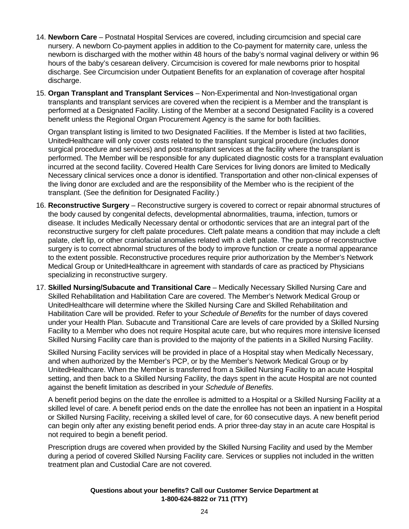- 14. **Newborn Care**  Postnatal Hospital Services are covered, including circumcision and special care nursery. A newborn Co-payment applies in addition to the Co-payment for maternity care, unless the newborn is discharged with the mother within 48 hours of the baby's normal vaginal delivery or within 96 hours of the baby's cesarean delivery. Circumcision is covered for male newborns prior to hospital discharge. See Circumcision under Outpatient Benefits for an explanation of coverage after hospital discharge.
- 15. **Organ Transplant and Transplant Services**  Non-Experimental and Non-Investigational organ transplants and transplant services are covered when the recipient is a Member and the transplant is performed at a Designated Facility. Listing of the Member at a second Designated Facility is a covered benefit unless the Regional Organ Procurement Agency is the same for both facilities.

Organ transplant listing is limited to two Designated Facilities. If the Member is listed at two facilities, UnitedHealthcare will only cover costs related to the transplant surgical procedure (includes donor surgical procedure and services) and post-transplant services at the facility where the transplant is performed. The Member will be responsible for any duplicated diagnostic costs for a transplant evaluation incurred at the second facility. Covered Health Care Services for living donors are limited to Medically Necessary clinical services once a donor is identified. Transportation and other non-clinical expenses of the living donor are excluded and are the responsibility of the Member who is the recipient of the transplant. (See the definition for Designated Facility.)

- 16. **Reconstructive Surgery**  Reconstructive surgery is covered to correct or repair abnormal structures of the body caused by congenital defects, developmental abnormalities, trauma, infection, tumors or disease. It includes Medically Necessary dental or orthodontic services that are an integral part of the reconstructive surgery for cleft palate procedures. Cleft palate means a condition that may include a cleft palate, cleft lip, or other craniofacial anomalies related with a cleft palate. The purpose of reconstructive surgery is to correct abnormal structures of the body to improve function or create a normal appearance to the extent possible. Reconstructive procedures require prior authorization by the Member's Network Medical Group or UnitedHealthcare in agreement with standards of care as practiced by Physicians specializing in reconstructive surgery.
- 17. **Skilled Nursing/Subacute and Transitional Care**  Medically Necessary Skilled Nursing Care and Skilled Rehabilitation and Habilitation Care are covered. The Member's Network Medical Group or UnitedHealthcare will determine where the Skilled Nursing Care and Skilled Rehabilitation and Habilitation Care will be provided. Refer to your *Schedule of Benefits* for the number of days covered under your Health Plan. Subacute and Transitional Care are levels of care provided by a Skilled Nursing Facility to a Member who does not require Hospital acute care, but who requires more intensive licensed Skilled Nursing Facility care than is provided to the majority of the patients in a Skilled Nursing Facility.

Skilled Nursing Facility services will be provided in place of a Hospital stay when Medically Necessary, and when authorized by the Member's PCP, or by the Member's Network Medical Group or by UnitedHealthcare. When the Member is transferred from a Skilled Nursing Facility to an acute Hospital setting, and then back to a Skilled Nursing Facility, the days spent in the acute Hospital are not counted against the benefit limitation as described in your *Schedule of Benefits*.

A benefit period begins on the date the enrollee is admitted to a Hospital or a Skilled Nursing Facility at a skilled level of care. A benefit period ends on the date the enrollee has not been an inpatient in a Hospital or Skilled Nursing Facility, receiving a skilled level of care, for 60 consecutive days. A new benefit period can begin only after any existing benefit period ends. A prior three-day stay in an acute care Hospital is not required to begin a benefit period.

Prescription drugs are covered when provided by the Skilled Nursing Facility and used by the Member during a period of covered Skilled Nursing Facility care. Services or supplies not included in the written treatment plan and Custodial Care are not covered.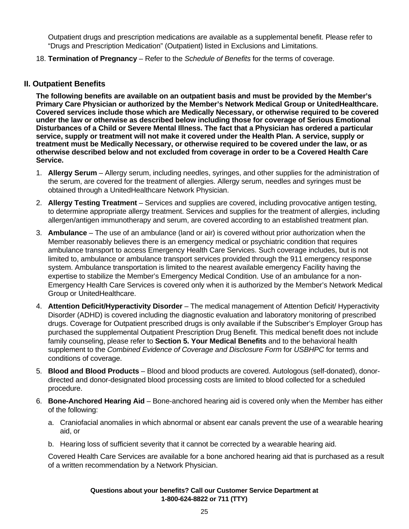Outpatient drugs and prescription medications are available as a supplemental benefit. Please refer to "Drugs and Prescription Medication" (Outpatient) listed in Exclusions and Limitations.

18. **Termination of Pregnancy** – Refer to the *Schedule of Benefits* for the terms of coverage.

#### **II. Outpatient Benefits**

**The following benefits are available on an outpatient basis and must be provided by the Member's Primary Care Physician or authorized by the Member's Network Medical Group or UnitedHealthcare. Covered services include those which are Medically Necessary, or otherwise required to be covered under the law or otherwise as described below including those for coverage of Serious Emotional Disturbances of a Child or Severe Mental Illness. The fact that a Physician has ordered a particular service, supply or treatment will not make it covered under the Health Plan. A service, supply or treatment must be Medically Necessary, or otherwise required to be covered under the law, or as otherwise described below and not excluded from coverage in order to be a Covered Health Care Service.** 

- 1. **Allergy Serum**  Allergy serum, including needles, syringes, and other supplies for the administration of the serum, are covered for the treatment of allergies. Allergy serum, needles and syringes must be obtained through a UnitedHealthcare Network Physician.
- 2. **Allergy Testing Treatment**  Services and supplies are covered, including provocative antigen testing, to determine appropriate allergy treatment. Services and supplies for the treatment of allergies, including allergen/antigen immunotherapy and serum, are covered according to an established treatment plan.
- 3. **Ambulance**  The use of an ambulance (land or air) is covered without prior authorization when the Member reasonably believes there is an emergency medical or psychiatric condition that requires ambulance transport to access Emergency Health Care Services. Such coverage includes, but is not limited to, ambulance or ambulance transport services provided through the 911 emergency response system. Ambulance transportation is limited to the nearest available emergency Facility having the expertise to stabilize the Member's Emergency Medical Condition. Use of an ambulance for a non-Emergency Health Care Services is covered only when it is authorized by the Member's Network Medical Group or UnitedHealthcare.
- 4. **Attention Deficit/Hyperactivity Disorder**  The medical management of Attention Deficit/ Hyperactivity Disorder (ADHD) is covered including the diagnostic evaluation and laboratory monitoring of prescribed drugs. Coverage for Outpatient prescribed drugs is only available if the Subscriber's Employer Group has purchased the supplemental Outpatient Prescription Drug Benefit. This medical benefit does not include family counseling, please refer to **Section 5. Your Medical Benefits** and to the behavioral health supplement to the *Combined Evidence of Coverage and Disclosure Form* for *USBHPC* for terms and conditions of coverage.
- 5. **Blood and Blood Products**  Blood and blood products are covered. Autologous (self-donated), donordirected and donor-designated blood processing costs are limited to blood collected for a scheduled procedure.
- 6. **Bone-Anchored Hearing Aid** Bone-anchored hearing aid is covered only when the Member has either of the following:
	- a. Craniofacial anomalies in which abnormal or absent ear canals prevent the use of a wearable hearing aid, or
	- b. Hearing loss of sufficient severity that it cannot be corrected by a wearable hearing aid.

 Covered Health Care Services are available for a bone anchored hearing aid that is purchased as a result of a written recommendation by a Network Physician.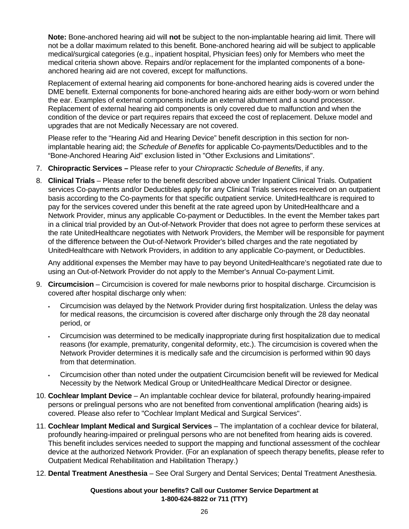**Note:** Bone-anchored hearing aid will **not** be subject to the non-implantable hearing aid limit. There will not be a dollar maximum related to this benefit. Bone-anchored hearing aid will be subject to applicable medical/surgical categories (e.g., inpatient hospital, Physician fees) only for Members who meet the medical criteria shown above. Repairs and/or replacement for the implanted components of a boneanchored hearing aid are not covered, except for malfunctions.

Replacement of external hearing aid components for bone-anchored hearing aids is covered under the DME benefit. External components for bone-anchored hearing aids are either body-worn or worn behind the ear. Examples of external components include an external abutment and a sound processor. Replacement of external hearing aid components is only covered due to malfunction and when the condition of the device or part requires repairs that exceed the cost of replacement. Deluxe model and upgrades that are not Medically Necessary are not covered.

 Please refer to the "Hearing Aid and Hearing Device" benefit description in this section for nonimplantable hearing aid; the *Schedule of Benefits* for applicable Co-payments/Deductibles and to the "Bone-Anchored Hearing Aid" exclusion listed in "Other Exclusions and Limitations".

- 7. **Chiropractic Services –** Please refer to your *Chiropractic Schedule of Benefits*, if any.
- 8. **Clinical Trials**  Please refer to the benefit described above under Inpatient Clinical Trials. Outpatient services Co-payments and/or Deductibles apply for any Clinical Trials services received on an outpatient basis according to the Co-payments for that specific outpatient service. UnitedHealthcare is required to pay for the services covered under this benefit at the rate agreed upon by UnitedHealthcare and a Network Provider, minus any applicable Co-payment or Deductibles. In the event the Member takes part in a clinical trial provided by an Out-of-Network Provider that does not agree to perform these services at the rate UnitedHealthcare negotiates with Network Providers, the Member will be responsible for payment of the difference between the Out-of-Network Provider's billed charges and the rate negotiated by UnitedHealthcare with Network Providers, in addition to any applicable Co-payment, or Deductibles.

 Any additional expenses the Member may have to pay beyond UnitedHealthcare's negotiated rate due to using an Out-of-Network Provider do not apply to the Member's Annual Co-payment Limit.

- 9. **Circumcision**  Circumcision is covered for male newborns prior to hospital discharge. Circumcision is covered after hospital discharge only when:
	- Circumcision was delayed by the Network Provider during first hospitalization. Unless the delay was for medical reasons, the circumcision is covered after discharge only through the 28 day neonatal period, or
	- Circumcision was determined to be medically inappropriate during first hospitalization due to medical reasons (for example, prematurity, congenital deformity, etc.). The circumcision is covered when the Network Provider determines it is medically safe and the circumcision is performed within 90 days from that determination.
	- Circumcision other than noted under the outpatient Circumcision benefit will be reviewed for Medical Necessity by the Network Medical Group or UnitedHealthcare Medical Director or designee.
- 10. **Cochlear Implant Device**  An implantable cochlear device for bilateral, profoundly hearing-impaired persons or prelingual persons who are not benefited from conventional amplification (hearing aids) is covered. Please also refer to "Cochlear Implant Medical and Surgical Services".
- 11. **Cochlear Implant Medical and Surgical Services**  The implantation of a cochlear device for bilateral, profoundly hearing-impaired or prelingual persons who are not benefited from hearing aids is covered. This benefit includes services needed to support the mapping and functional assessment of the cochlear device at the authorized Network Provider. (For an explanation of speech therapy benefits, please refer to Outpatient Medical Rehabilitation and Habilitation Therapy.)
- 12. **Dental Treatment Anesthesia**  See Oral Surgery and Dental Services; Dental Treatment Anesthesia.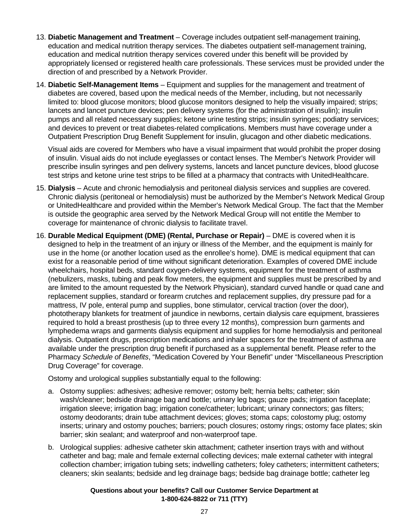- 13. **Diabetic Management and Treatment**  Coverage includes outpatient self-management training, education and medical nutrition therapy services. The diabetes outpatient self-management training, education and medical nutrition therapy services covered under this benefit will be provided by appropriately licensed or registered health care professionals. These services must be provided under the direction of and prescribed by a Network Provider.
- 14. **Diabetic Self-Management Items**  Equipment and supplies for the management and treatment of diabetes are covered, based upon the medical needs of the Member, including, but not necessarily limited to: blood glucose monitors; blood glucose monitors designed to help the visually impaired; strips; lancets and lancet puncture devices; pen delivery systems (for the administration of insulin); insulin pumps and all related necessary supplies; ketone urine testing strips; insulin syringes; podiatry services; and devices to prevent or treat diabetes-related complications. Members must have coverage under a Outpatient Prescription Drug Benefit Supplement for insulin, glucagon and other diabetic medications.

 Visual aids are covered for Members who have a visual impairment that would prohibit the proper dosing of insulin. Visual aids do not include eyeglasses or contact lenses. The Member's Network Provider will prescribe insulin syringes and pen delivery systems, lancets and lancet puncture devices, blood glucose test strips and ketone urine test strips to be filled at a pharmacy that contracts with UnitedHealthcare.

- 15. **Dialysis**  Acute and chronic hemodialysis and peritoneal dialysis services and supplies are covered. Chronic dialysis (peritoneal or hemodialysis) must be authorized by the Member's Network Medical Group or UnitedHealthcare and provided within the Member's Network Medical Group. The fact that the Member is outside the geographic area served by the Network Medical Group will not entitle the Member to coverage for maintenance of chronic dialysis to facilitate travel.
- 16. **Durable Medical Equipment (DME) (Rental, Purchase or Repair)** DME is covered when it is designed to help in the treatment of an injury or illness of the Member, and the equipment is mainly for use in the home (or another location used as the enrollee's home). DME is medical equipment that can exist for a reasonable period of time without significant deterioration. Examples of covered DME include wheelchairs, hospital beds, standard oxygen-delivery systems, equipment for the treatment of asthma (nebulizers, masks, tubing and peak flow meters, the equipment and supplies must be prescribed by and are limited to the amount requested by the Network Physician), standard curved handle or quad cane and replacement supplies, standard or forearm crutches and replacement supplies, dry pressure pad for a mattress, IV pole, enteral pump and supplies, bone stimulator, cervical traction (over the door), phototherapy blankets for treatment of jaundice in newborns, certain dialysis care equipment, brassieres required to hold a breast prosthesis (up to three every 12 months), compression burn garments and lymphedema wraps and garments dialysis equipment and supplies for home hemodialysis and peritoneal dialysis. Outpatient drugs, prescription medications and inhaler spacers for the treatment of asthma are available under the prescription drug benefit if purchased as a supplemental benefit. Please refer to the Pharmacy *Schedule of Benefits*, "Medication Covered by Your Benefit" under "Miscellaneous Prescription Drug Coverage" for coverage.

Ostomy and urological supplies substantially equal to the following:

- a. Ostomy supplies: adhesives; adhesive remover; ostomy belt; hernia belts; catheter; skin wash/cleaner; bedside drainage bag and bottle; urinary leg bags; gauze pads; irrigation faceplate; irrigation sleeve; irrigation bag; irrigation cone/catheter; lubricant; urinary connectors; gas filters; ostomy deodorants; drain tube attachment devices; gloves; stoma caps; colostomy plug; ostomy inserts; urinary and ostomy pouches; barriers; pouch closures; ostomy rings; ostomy face plates; skin barrier; skin sealant; and waterproof and non-waterproof tape.
- b. Urological supplies: adhesive catheter skin attachment; catheter insertion trays with and without catheter and bag; male and female external collecting devices; male external catheter with integral collection chamber; irrigation tubing sets; indwelling catheters; foley catheters; intermittent catheters; cleaners; skin sealants; bedside and leg drainage bags; bedside bag drainage bottle; catheter leg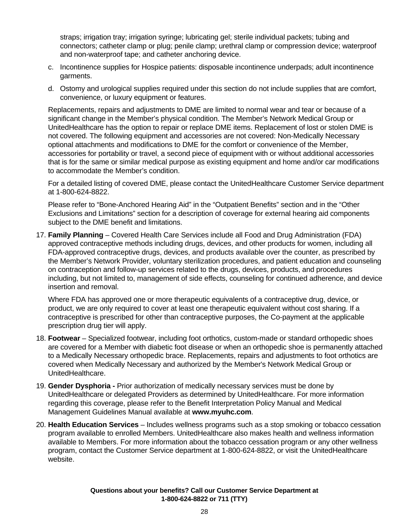straps; irrigation tray; irrigation syringe; lubricating gel; sterile individual packets; tubing and connectors; catheter clamp or plug; penile clamp; urethral clamp or compression device; waterproof and non-waterproof tape; and catheter anchoring device.

- c. Incontinence supplies for Hospice patients: disposable incontinence underpads; adult incontinence garments.
- d. Ostomy and urological supplies required under this section do not include supplies that are comfort, convenience, or luxury equipment or features.

Replacements, repairs and adjustments to DME are limited to normal wear and tear or because of a significant change in the Member's physical condition. The Member's Network Medical Group or UnitedHealthcare has the option to repair or replace DME items. Replacement of lost or stolen DME is not covered. The following equipment and accessories are not covered: Non-Medically Necessary optional attachments and modifications to DME for the comfort or convenience of the Member, accessories for portability or travel, a second piece of equipment with or without additional accessories that is for the same or similar medical purpose as existing equipment and home and/or car modifications to accommodate the Member's condition.

For a detailed listing of covered DME, please contact the UnitedHealthcare Customer Service department at 1-800-624-8822.

Please refer to "Bone-Anchored Hearing Aid" in the "Outpatient Benefits" section and in the "Other Exclusions and Limitations" section for a description of coverage for external hearing aid components subject to the DME benefit and limitations.

17. **Family Planning** – Covered Health Care Services include all Food and Drug Administration (FDA) approved contraceptive methods including drugs, devices, and other products for women, including all FDA-approved contraceptive drugs, devices, and products available over the counter, as prescribed by the Member's Network Provider, voluntary sterilization procedures, and patient education and counseling on contraception and follow-up services related to the drugs, devices, products, and procedures including, but not limited to, management of side effects, counseling for continued adherence, and device insertion and removal.

 Where FDA has approved one or more therapeutic equivalents of a contraceptive drug, device, or product, we are only required to cover at least one therapeutic equivalent without cost sharing. If a contraceptive is prescribed for other than contraceptive purposes, the Co-payment at the applicable prescription drug tier will apply.

- 18. **Footwear**  Specialized footwear, including foot orthotics, custom-made or standard orthopedic shoes are covered for a Member with diabetic foot disease or when an orthopedic shoe is permanently attached to a Medically Necessary orthopedic brace. Replacements, repairs and adjustments to foot orthotics are covered when Medically Necessary and authorized by the Member's Network Medical Group or UnitedHealthcare.
- 19. **Gender Dysphoria** Prior authorization of medically necessary services must be done by UnitedHealthcare or delegated Providers as determined by UnitedHealthcare. For more information regarding this coverage, please refer to the Benefit Interpretation Policy Manual and Medical Management Guidelines Manual available at **www.myuhc.com**.
- 20. **Health Education Services**  Includes wellness programs such as a stop smoking or tobacco cessation program available to enrolled Members. UnitedHealthcare also makes health and wellness information available to Members. For more information about the tobacco cessation program or any other wellness program, contact the Customer Service department at 1-800-624-8822, or visit the UnitedHealthcare website.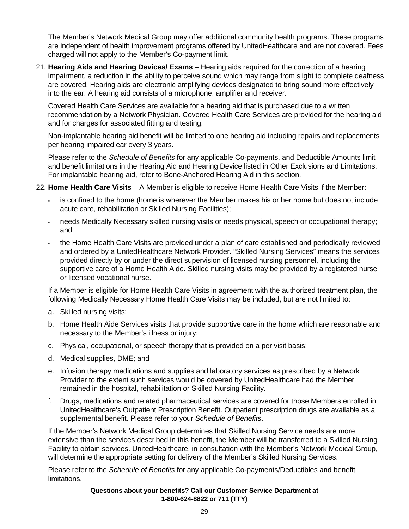The Member's Network Medical Group may offer additional community health programs. These programs are independent of health improvement programs offered by UnitedHealthcare and are not covered. Fees charged will not apply to the Member's Co-payment limit.

21. **Hearing Aids and Hearing Devices/ Exams** – Hearing aids required for the correction of a hearing impairment, a reduction in the ability to perceive sound which may range from slight to complete deafness are covered. Hearing aids are electronic amplifying devices designated to bring sound more effectively into the ear. A hearing aid consists of a microphone, amplifier and receiver.

 Covered Health Care Services are available for a hearing aid that is purchased due to a written recommendation by a Network Physician. Covered Health Care Services are provided for the hearing aid and for charges for associated fitting and testing.

 Non-implantable hearing aid benefit will be limited to one hearing aid including repairs and replacements per hearing impaired ear every 3 years.

 Please refer to the *Schedule of Benefits* for any applicable Co-payments, and Deductible Amounts limit and benefit limitations in the Hearing Aid and Hearing Device listed in Other Exclusions and Limitations. For implantable hearing aid, refer to Bone-Anchored Hearing Aid in this section.

- 22. **Home Health Care Visits**  A Member is eligible to receive Home Health Care Visits if the Member:
	- is confined to the home (home is wherever the Member makes his or her home but does not include acute care, rehabilitation or Skilled Nursing Facilities);
	- needs Medically Necessary skilled nursing visits or needs physical, speech or occupational therapy; and
	- the Home Health Care Visits are provided under a plan of care established and periodically reviewed and ordered by a UnitedHealthcare Network Provider. "Skilled Nursing Services" means the services provided directly by or under the direct supervision of licensed nursing personnel, including the supportive care of a Home Health Aide. Skilled nursing visits may be provided by a registered nurse or licensed vocational nurse.

If a Member is eligible for Home Health Care Visits in agreement with the authorized treatment plan, the following Medically Necessary Home Health Care Visits may be included, but are not limited to:

- a. Skilled nursing visits;
- b. Home Health Aide Services visits that provide supportive care in the home which are reasonable and necessary to the Member's illness or injury;
- c. Physical, occupational, or speech therapy that is provided on a per visit basis;
- d. Medical supplies, DME; and
- e. Infusion therapy medications and supplies and laboratory services as prescribed by a Network Provider to the extent such services would be covered by UnitedHealthcare had the Member remained in the hospital, rehabilitation or Skilled Nursing Facility.
- f. Drugs, medications and related pharmaceutical services are covered for those Members enrolled in UnitedHealthcare's Outpatient Prescription Benefit. Outpatient prescription drugs are available as a supplemental benefit. Please refer to your *Schedule of Benefits*.

If the Member's Network Medical Group determines that Skilled Nursing Service needs are more extensive than the services described in this benefit, the Member will be transferred to a Skilled Nursing Facility to obtain services. UnitedHealthcare, in consultation with the Member's Network Medical Group, will determine the appropriate setting for delivery of the Member's Skilled Nursing Services.

 Please refer to the *Schedule of Benefits* for any applicable Co-payments/Deductibles and benefit limitations.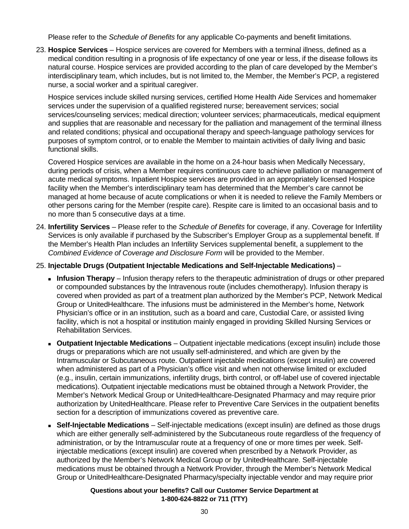Please refer to the *Schedule of Benefits* for any applicable Co-payments and benefit limitations.

23. **Hospice Services** – Hospice services are covered for Members with a terminal illness, defined as a medical condition resulting in a prognosis of life expectancy of one year or less, if the disease follows its natural course. Hospice services are provided according to the plan of care developed by the Member's interdisciplinary team, which includes, but is not limited to, the Member, the Member's PCP, a registered nurse, a social worker and a spiritual caregiver.

Hospice services include skilled nursing services, certified Home Health Aide Services and homemaker services under the supervision of a qualified registered nurse; bereavement services; social services/counseling services; medical direction; volunteer services; pharmaceuticals, medical equipment and supplies that are reasonable and necessary for the palliation and management of the terminal illness and related conditions; physical and occupational therapy and speech-language pathology services for purposes of symptom control, or to enable the Member to maintain activities of daily living and basic functional skills.

 Covered Hospice services are available in the home on a 24-hour basis when Medically Necessary, during periods of crisis, when a Member requires continuous care to achieve palliation or management of acute medical symptoms. Inpatient Hospice services are provided in an appropriately licensed Hospice facility when the Member's interdisciplinary team has determined that the Member's care cannot be managed at home because of acute complications or when it is needed to relieve the Family Members or other persons caring for the Member (respite care). Respite care is limited to an occasional basis and to no more than 5 consecutive days at a time.

24. **Infertility Services** – Please refer to the *Schedule of Benefits* for coverage, if any. Coverage for Infertility Services is only available if purchased by the Subscriber's Employer Group as a supplemental benefit. If the Member's Health Plan includes an Infertility Services supplemental benefit, a supplement to the *Combined Evidence of Coverage and Disclosure Form* will be provided to the Member.

#### 25. **Injectable Drugs (Outpatient Injectable Medications and Self-Injectable Medications)** –

- **Infusion Therapy** Infusion therapy refers to the therapeutic administration of drugs or other prepared or compounded substances by the Intravenous route (includes chemotherapy). Infusion therapy is covered when provided as part of a treatment plan authorized by the Member's PCP, Network Medical Group or UnitedHealthcare. The infusions must be administered in the Member's home, Network Physician's office or in an institution, such as a board and care, Custodial Care, or assisted living facility, which is not a hospital or institution mainly engaged in providing Skilled Nursing Services or Rehabilitation Services.
- **Outpatient Injectable Medications**  Outpatient injectable medications (except insulin) include those drugs or preparations which are not usually self-administered, and which are given by the Intramuscular or Subcutaneous route. Outpatient injectable medications (except insulin) are covered when administered as part of a Physician's office visit and when not otherwise limited or excluded (e.g., insulin, certain immunizations, infertility drugs, birth control, or off-label use of covered injectable medications). Outpatient injectable medications must be obtained through a Network Provider, the Member's Network Medical Group or UnitedHealthcare-Designated Pharmacy and may require prior authorization by UnitedHealthcare. Please refer to Preventive Care Services in the outpatient benefits section for a description of immunizations covered as preventive care.
- **Self-Injectable Medications** Self-injectable medications (except insulin) are defined as those drugs which are either generally self-administered by the Subcutaneous route regardless of the frequency of administration, or by the Intramuscular route at a frequency of one or more times per week. Selfinjectable medications (except insulin) are covered when prescribed by a Network Provider, as authorized by the Member's Network Medical Group or by UnitedHealthcare. Self-injectable medications must be obtained through a Network Provider, through the Member's Network Medical Group or UnitedHealthcare-Designated Pharmacy/specialty injectable vendor and may require prior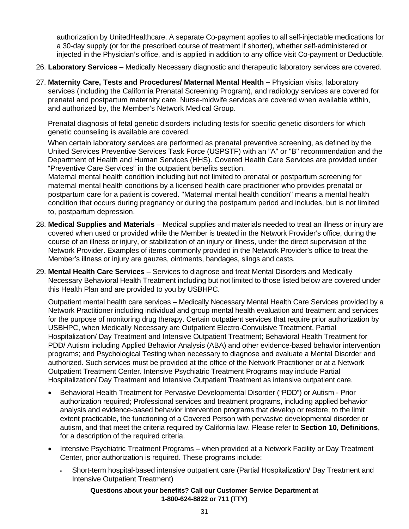authorization by UnitedHealthcare. A separate Co-payment applies to all self-injectable medications for a 30-day supply (or for the prescribed course of treatment if shorter), whether self-administered or injected in the Physician's office, and is applied in addition to any office visit Co-payment or Deductible.

- 26. **Laboratory Services**  Medically Necessary diagnostic and therapeutic laboratory services are covered.
- 27. **Maternity Care, Tests and Procedures/ Maternal Mental Health** Physician visits, laboratory services (including the California Prenatal Screening Program), and radiology services are covered for prenatal and postpartum maternity care. Nurse-midwife services are covered when available within, and authorized by, the Member's Network Medical Group.

Prenatal diagnosis of fetal genetic disorders including tests for specific genetic disorders for which genetic counseling is available are covered.

When certain laboratory services are performed as prenatal preventive screening, as defined by the United Services Preventive Services Task Force (USPSTF) with an "A" or "B" recommendation and the Department of Health and Human Services (HHS). Covered Health Care Services are provided under "Preventive Care Services" in the outpatient benefits section.

 Maternal mental health condition including but not limited to prenatal or postpartum screening for maternal mental health conditions by a licensed health care practitioner who provides prenatal or postpartum care for a patient is covered. "Maternal mental health condition" means a mental health condition that occurs during pregnancy or during the postpartum period and includes, but is not limited to, postpartum depression.

- 28. **Medical Supplies and Materials**  Medical supplies and materials needed to treat an illness or injury are covered when used or provided while the Member is treated in the Network Provider's office, during the course of an illness or injury, or stabilization of an injury or illness, under the direct supervision of the Network Provider. Examples of items commonly provided in the Network Provider's office to treat the Member's illness or injury are gauzes, ointments, bandages, slings and casts.
- 29. **Mental Health Care Services**  Services to diagnose and treat Mental Disorders and Medically Necessary Behavioral Health Treatment including but not limited to those listed below are covered under this Health Plan and are provided to you by USBHPC.

Outpatient mental health care services – Medically Necessary Mental Health Care Services provided by a Network Practitioner including individual and group mental health evaluation and treatment and services for the purpose of monitoring drug therapy. Certain outpatient services that require prior authorization by USBHPC, when Medically Necessary are Outpatient Electro-Convulsive Treatment, Partial Hospitalization/ Day Treatment and Intensive Outpatient Treatment; Behavioral Health Treatment for PDD/ Autism including Applied Behavior Analysis (ABA) and other evidence-based behavior intervention programs; and Psychological Testing when necessary to diagnose and evaluate a Mental Disorder and authorized. Such services must be provided at the office of the Network Practitioner or at a Network Outpatient Treatment Center. Intensive Psychiatric Treatment Programs may include Partial Hospitalization/ Day Treatment and Intensive Outpatient Treatment as intensive outpatient care.

- Behavioral Health Treatment for Pervasive Developmental Disorder ("PDD") or Autism Prior authorization required; Professional services and treatment programs, including applied behavior analysis and evidence-based behavior intervention programs that develop or restore, to the limit extent practicable, the functioning of a Covered Person with pervasive developmental disorder or autism, and that meet the criteria required by California law. Please refer to **Section 10, Definitions**, for a description of the required criteria.
- Intensive Psychiatric Treatment Programs when provided at a Network Facility or Day Treatment Center, prior authorization is required. These programs include:
	- Short-term hospital-based intensive outpatient care (Partial Hospitalization/ Day Treatment and Intensive Outpatient Treatment)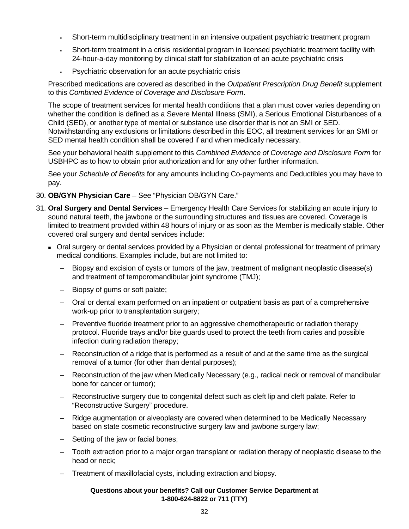- Short-term multidisciplinary treatment in an intensive outpatient psychiatric treatment program
- Short-term treatment in a crisis residential program in licensed psychiatric treatment facility with 24-hour-a-day monitoring by clinical staff for stabilization of an acute psychiatric crisis
- Psychiatric observation for an acute psychiatric crisis

 Prescribed medications are covered as described in the *Outpatient Prescription Drug Benefit* supplement to this *Combined Evidence of Coverage and Disclosure Form*.

The scope of treatment services for mental health conditions that a plan must cover varies depending on whether the condition is defined as a Severe Mental Illness (SMI), a Serious Emotional Disturbances of a Child (SED), or another type of mental or substance use disorder that is not an SMI or SED. Notwithstanding any exclusions or limitations described in this EOC, all treatment services for an SMI or SED mental health condition shall be covered if and when medically necessary.

See your behavioral health supplement to this *Combined Evidence of Coverage and Disclosure Form* for USBHPC as to how to obtain prior authorization and for any other further information.

 See your *Schedule of Benefits* for any amounts including Co-payments and Deductibles you may have to pay.

- 30. **OB/GYN Physician Care**  See "Physician OB/GYN Care."
- 31. **Oral Surgery and Dental Services**  Emergency Health Care Services for stabilizing an acute injury to sound natural teeth, the jawbone or the surrounding structures and tissues are covered. Coverage is limited to treatment provided within 48 hours of injury or as soon as the Member is medically stable. Other covered oral surgery and dental services include:
	- Oral surgery or dental services provided by a Physician or dental professional for treatment of primary medical conditions. Examples include, but are not limited to:
		- Biopsy and excision of cysts or tumors of the jaw, treatment of malignant neoplastic disease(s) and treatment of temporomandibular joint syndrome (TMJ);
		- Biopsy of gums or soft palate;
		- Oral or dental exam performed on an inpatient or outpatient basis as part of a comprehensive work-up prior to transplantation surgery;
		- Preventive fluoride treatment prior to an aggressive chemotherapeutic or radiation therapy protocol. Fluoride trays and/or bite guards used to protect the teeth from caries and possible infection during radiation therapy;
		- Reconstruction of a ridge that is performed as a result of and at the same time as the surgical removal of a tumor (for other than dental purposes);
		- Reconstruction of the jaw when Medically Necessary (e.g., radical neck or removal of mandibular bone for cancer or tumor);
		- Reconstructive surgery due to congenital defect such as cleft lip and cleft palate. Refer to "Reconstructive Surgery" procedure.
		- Ridge augmentation or alveoplasty are covered when determined to be Medically Necessary based on state cosmetic reconstructive surgery law and jawbone surgery law;
		- Setting of the jaw or facial bones;
		- Tooth extraction prior to a major organ transplant or radiation therapy of neoplastic disease to the head or neck;
		- Treatment of maxillofacial cysts, including extraction and biopsy.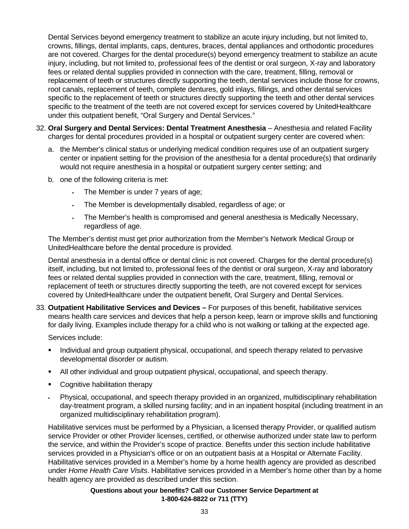Dental Services beyond emergency treatment to stabilize an acute injury including, but not limited to, crowns, fillings, dental implants, caps, dentures, braces, dental appliances and orthodontic procedures are not covered. Charges for the dental procedure(s) beyond emergency treatment to stabilize an acute injury, including, but not limited to, professional fees of the dentist or oral surgeon, X-ray and laboratory fees or related dental supplies provided in connection with the care, treatment, filling, removal or replacement of teeth or structures directly supporting the teeth, dental services include those for crowns, root canals, replacement of teeth, complete dentures, gold inlays, fillings, and other dental services specific to the replacement of teeth or structures directly supporting the teeth and other dental services specific to the treatment of the teeth are not covered except for services covered by UnitedHealthcare under this outpatient benefit, "Oral Surgery and Dental Services."

- 32. **Oral Surgery and Dental Services: Dental Treatment Anesthesia**  Anesthesia and related Facility charges for dental procedures provided in a hospital or outpatient surgery center are covered when:
	- a. the Member's clinical status or underlying medical condition requires use of an outpatient surgery center or inpatient setting for the provision of the anesthesia for a dental procedure(s) that ordinarily would not require anesthesia in a hospital or outpatient surgery center setting; and
	- b. one of the following criteria is met:
		- The Member is under 7 years of age;
		- The Member is developmentally disabled, regardless of age; or
		- The Member's health is compromised and general anesthesia is Medically Necessary, regardless of age.

The Member's dentist must get prior authorization from the Member's Network Medical Group or UnitedHealthcare before the dental procedure is provided.

 Dental anesthesia in a dental office or dental clinic is not covered. Charges for the dental procedure(s) itself, including, but not limited to, professional fees of the dentist or oral surgeon, X-ray and laboratory fees or related dental supplies provided in connection with the care, treatment, filling, removal or replacement of teeth or structures directly supporting the teeth, are not covered except for services covered by UnitedHealthcare under the outpatient benefit, Oral Surgery and Dental Services.

33. **Outpatient Habilitative Services and Devices –** For purposes of this benefit, habilitative services means health care services and devices that help a person keep, learn or improve skills and functioning for daily living. Examples include therapy for a child who is not walking or talking at the expected age.

Services include:

- **Individual and group outpatient physical, occupational, and speech therapy related to pervasive** developmental disorder or autism.
- All other individual and group outpatient physical, occupational, and speech therapy.
- Cognitive habilitation therapy
- Physical, occupational, and speech therapy provided in an organized, multidisciplinary rehabilitation day-treatment program, a skilled nursing facility; and in an inpatient hospital (including treatment in an organized multidisciplinary rehabilitation program).

 Habilitative services must be performed by a Physician, a licensed therapy Provider, or qualified autism service Provider or other Provider licenses, certified, or otherwise authorized under state law to perform the service, and within the Provider's scope of practice. Benefits under this section include habilitative services provided in a Physician's office or on an outpatient basis at a Hospital or Alternate Facility. Habilitative services provided in a Member's home by a home health agency are provided as described under *Home Health Care Visits*. Habilitative services provided in a Member's home other than by a home health agency are provided as described under this section.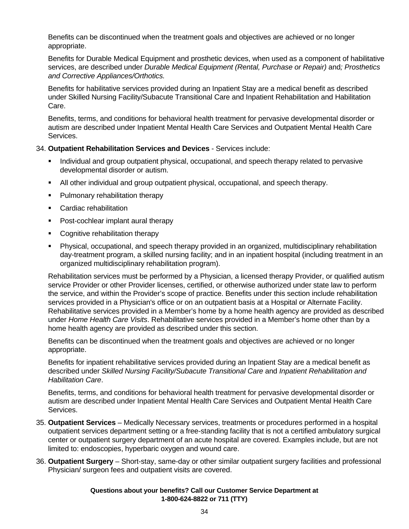Benefits can be discontinued when the treatment goals and objectives are achieved or no longer appropriate.

 Benefits for Durable Medical Equipment and prosthetic devices, when used as a component of habilitative services, are described under *Durable Medical Equipment (Rental, Purchase or Repair)* and*; Prosthetics and Corrective Appliances/Orthotics.*

 Benefits for habilitative services provided during an Inpatient Stay are a medical benefit as described under Skilled Nursing Facility/Subacute Transitional Care and Inpatient Rehabilitation and Habilitation Care.

 Benefits, terms, and conditions for behavioral health treatment for pervasive developmental disorder or autism are described under Inpatient Mental Health Care Services and Outpatient Mental Health Care Services.

#### 34. **Outpatient Rehabilitation Services and Devices** - Services include:

- Individual and group outpatient physical, occupational, and speech therapy related to pervasive developmental disorder or autism.
- All other individual and group outpatient physical, occupational, and speech therapy.
- **Pulmonary rehabilitation therapy**
- Cardiac rehabilitation
- Post-cochlear implant aural therapy
- Cognitive rehabilitation therapy
- Physical, occupational, and speech therapy provided in an organized, multidisciplinary rehabilitation day-treatment program, a skilled nursing facility; and in an inpatient hospital (including treatment in an organized multidisciplinary rehabilitation program).

 Rehabilitation services must be performed by a Physician, a licensed therapy Provider, or qualified autism service Provider or other Provider licenses, certified, or otherwise authorized under state law to perform the service, and within the Provider's scope of practice. Benefits under this section include rehabilitation services provided in a Physician's office or on an outpatient basis at a Hospital or Alternate Facility. Rehabilitative services provided in a Member's home by a home health agency are provided as described under *Home Health Care Visits*. Rehabilitative services provided in a Member's home other than by a home health agency are provided as described under this section.

 Benefits can be discontinued when the treatment goals and objectives are achieved or no longer appropriate.

 Benefits for inpatient rehabilitative services provided during an Inpatient Stay are a medical benefit as described under *Skilled Nursing Facility/Subacute Transitional Care* and *Inpatient Rehabilitation and Habilitation Care*.

 Benefits, terms, and conditions for behavioral health treatment for pervasive developmental disorder or autism are described under Inpatient Mental Health Care Services and Outpatient Mental Health Care Services.

- 35. **Outpatient Services** Medically Necessary services, treatments or procedures performed in a hospital outpatient services department setting or a free-standing facility that is not a certified ambulatory surgical center or outpatient surgery department of an acute hospital are covered. Examples include, but are not limited to: endoscopies, hyperbaric oxygen and wound care.
- 36. **Outpatient Surgery**  Short-stay, same-day or other similar outpatient surgery facilities and professional Physician/ surgeon fees and outpatient visits are covered.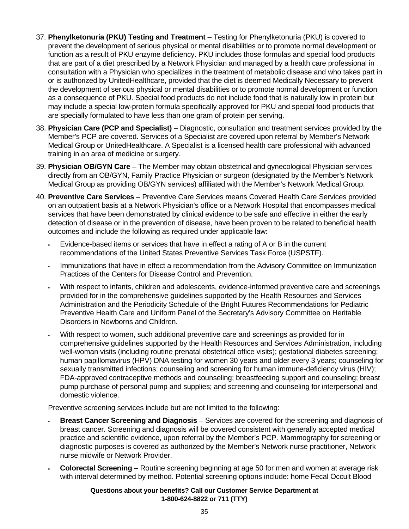- 37. **Phenylketonuria (PKU) Testing and Treatment**  Testing for Phenylketonuria (PKU) is covered to prevent the development of serious physical or mental disabilities or to promote normal development or function as a result of PKU enzyme deficiency. PKU includes those formulas and special food products that are part of a diet prescribed by a Network Physician and managed by a health care professional in consultation with a Physician who specializes in the treatment of metabolic disease and who takes part in or is authorized by UnitedHealthcare, provided that the diet is deemed Medically Necessary to prevent the development of serious physical or mental disabilities or to promote normal development or function as a consequence of PKU. Special food products do not include food that is naturally low in protein but may include a special low-protein formula specifically approved for PKU and special food products that are specially formulated to have less than one gram of protein per serving.
- 38. **Physician Care (PCP and Specialist)**  Diagnostic, consultation and treatment services provided by the Member's PCP are covered. Services of a Specialist are covered upon referral by Member's Network Medical Group or UnitedHealthcare. A Specialist is a licensed health care professional with advanced training in an area of medicine or surgery.
- 39. **Physician OB/GYN Care**  The Member may obtain obstetrical and gynecological Physician services directly from an OB/GYN, Family Practice Physician or surgeon (designated by the Member's Network Medical Group as providing OB/GYN services) affiliated with the Member's Network Medical Group.
- 40. **Preventive Care Services**  Preventive Care Services means Covered Health Care Services provided on an outpatient basis at a Network Physician's office or a Network Hospital that encompasses medical services that have been demonstrated by clinical evidence to be safe and effective in either the early detection of disease or in the prevention of disease, have been proven to be related to beneficial health outcomes and include the following as required under applicable law:
	- Evidence-based items or services that have in effect a rating of A or B in the current recommendations of the United States Preventive Services Task Force (USPSTF).
	- Immunizations that have in effect a recommendation from the Advisory Committee on Immunization Practices of the Centers for Disease Control and Prevention.
	- With respect to infants, children and adolescents, evidence-informed preventive care and screenings provided for in the comprehensive guidelines supported by the Health Resources and Services Administration and the Periodicity Schedule of the Bright Futures Recommendations for Pediatric Preventive Health Care and Uniform Panel of the Secretary's Advisory Committee on Heritable Disorders in Newborns and Children.
	- With respect to women, such additional preventive care and screenings as provided for in comprehensive guidelines supported by the Health Resources and Services Administration, including well-woman visits (including routine prenatal obstetrical office visits); gestational diabetes screening; human papillomavirus (HPV) DNA testing for women 30 years and older every 3 years; counseling for sexually transmitted infections; counseling and screening for human immune-deficiency virus (HIV); FDA-approved contraceptive methods and counseling; breastfeeding support and counseling; breast pump purchase of personal pump and supplies; and screening and counseling for interpersonal and domestic violence.

Preventive screening services include but are not limited to the following:

- **Breast Cancer Screening and Diagnosis**  Services are covered for the screening and diagnosis of breast cancer. Screening and diagnosis will be covered consistent with generally accepted medical practice and scientific evidence, upon referral by the Member's PCP. Mammography for screening or diagnostic purposes is covered as authorized by the Member's Network nurse practitioner, Network nurse midwife or Network Provider.
- **Colorectal Screening**  Routine screening beginning at age 50 for men and women at average risk with interval determined by method. Potential screening options include: home Fecal Occult Blood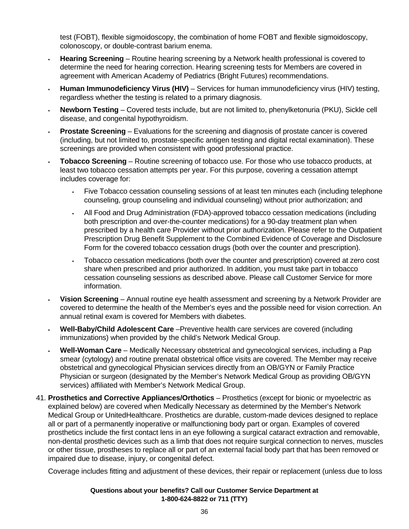test (FOBT), flexible sigmoidoscopy, the combination of home FOBT and flexible sigmoidoscopy, colonoscopy, or double-contrast barium enema.

- **Hearing Screening**  Routine hearing screening by a Network health professional is covered to determine the need for hearing correction. Hearing screening tests for Members are covered in agreement with American Academy of Pediatrics (Bright Futures) recommendations.
- **Human Immunodeficiency Virus (HIV)** Services for human immunodeficiency virus (HIV) testing, regardless whether the testing is related to a primary diagnosis.
- **Newborn Testing** Covered tests include, but are not limited to, phenylketonuria (PKU), Sickle cell disease, and congenital hypothyroidism.
- **Prostate Screening** Evaluations for the screening and diagnosis of prostate cancer is covered (including, but not limited to, prostate-specific antigen testing and digital rectal examination). These screenings are provided when consistent with good professional practice.
- **Tobacco Screening** Routine screening of tobacco use. For those who use tobacco products, at least two tobacco cessation attempts per year. For this purpose, covering a cessation attempt includes coverage for:
	- Five Tobacco cessation counseling sessions of at least ten minutes each (including telephone counseling, group counseling and individual counseling) without prior authorization; and
	- All Food and Drug Administration (FDA)-approved tobacco cessation medications (including both prescription and over-the-counter medications) for a 90-day treatment plan when prescribed by a health care Provider without prior authorization. Please refer to the Outpatient Prescription Drug Benefit Supplement to the Combined Evidence of Coverage and Disclosure Form for the covered tobacco cessation drugs (both over the counter and prescription).
	- Tobacco cessation medications (both over the counter and prescription) covered at zero cost share when prescribed and prior authorized. In addition, you must take part in tobacco cessation counseling sessions as described above. Please call Customer Service for more information.
- **Vision Screening**  Annual routine eye health assessment and screening by a Network Provider are covered to determine the health of the Member's eyes and the possible need for vision correction. An annual retinal exam is covered for Members with diabetes.
- **Well-Baby/Child Adolescent Care** –Preventive health care services are covered (including immunizations) when provided by the child's Network Medical Group.
- **Well-Woman Care**  Medically Necessary obstetrical and gynecological services, including a Pap smear (cytology) and routine prenatal obstetrical office visits are covered. The Member may receive obstetrical and gynecological Physician services directly from an OB/GYN or Family Practice Physician or surgeon (designated by the Member's Network Medical Group as providing OB/GYN services) affiliated with Member's Network Medical Group.
- 41. **Prosthetics and Corrective Appliances/Orthotics**  Prosthetics (except for bionic or myoelectric as explained below) are covered when Medically Necessary as determined by the Member's Network Medical Group or UnitedHealthcare. Prosthetics are durable, custom-made devices designed to replace all or part of a permanently inoperative or malfunctioning body part or organ. Examples of covered prosthetics include the first contact lens in an eye following a surgical cataract extraction and removable, non-dental prosthetic devices such as a limb that does not require surgical connection to nerves, muscles or other tissue, prostheses to replace all or part of an external facial body part that has been removed or impaired due to disease, injury, or congenital defect.

Coverage includes fitting and adjustment of these devices, their repair or replacement (unless due to loss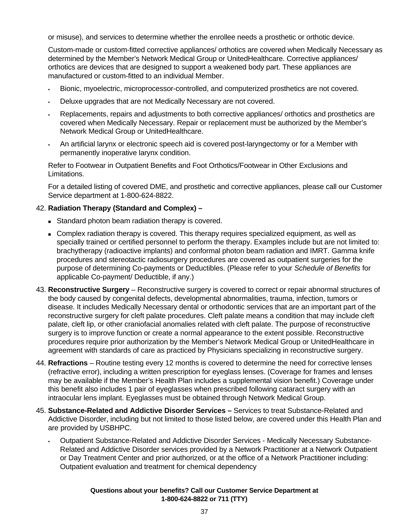or misuse), and services to determine whether the enrollee needs a prosthetic or orthotic device.

Custom-made or custom-fitted corrective appliances/ orthotics are covered when Medically Necessary as determined by the Member's Network Medical Group or UnitedHealthcare. Corrective appliances/ orthotics are devices that are designed to support a weakened body part. These appliances are manufactured or custom-fitted to an individual Member.

- Bionic, myoelectric, microprocessor-controlled, and computerized prosthetics are not covered.
- Deluxe upgrades that are not Medically Necessary are not covered.
- Replacements, repairs and adjustments to both corrective appliances/ orthotics and prosthetics are covered when Medically Necessary. Repair or replacement must be authorized by the Member's Network Medical Group or UnitedHealthcare.
- An artificial larynx or electronic speech aid is covered post-laryngectomy or for a Member with permanently inoperative larynx condition.

Refer to Footwear in Outpatient Benefits and Foot Orthotics/Footwear in Other Exclusions and Limitations.

 For a detailed listing of covered DME, and prosthetic and corrective appliances, please call our Customer Service department at 1-800-624-8822.

#### 42. **Radiation Therapy (Standard and Complex) –**

- Standard photon beam radiation therapy is covered.
- Complex radiation therapy is covered. This therapy requires specialized equipment, as well as specially trained or certified personnel to perform the therapy. Examples include but are not limited to: brachytherapy (radioactive implants) and conformal photon beam radiation and IMRT. Gamma knife procedures and stereotactic radiosurgery procedures are covered as outpatient surgeries for the purpose of determining Co-payments or Deductibles. (Please refer to your *Schedule of Benefits* for applicable Co-payment/ Deductible, if any.)
- 43. **Reconstructive Surgery**  Reconstructive surgery is covered to correct or repair abnormal structures of the body caused by congenital defects, developmental abnormalities, trauma, infection, tumors or disease. It includes Medically Necessary dental or orthodontic services that are an important part of the reconstructive surgery for cleft palate procedures. Cleft palate means a condition that may include cleft palate, cleft lip, or other craniofacial anomalies related with cleft palate. The purpose of reconstructive surgery is to improve function or create a normal appearance to the extent possible. Reconstructive procedures require prior authorization by the Member's Network Medical Group or UnitedHealthcare in agreement with standards of care as practiced by Physicians specializing in reconstructive surgery.
- 44. **Refractions**  Routine testing every 12 months is covered to determine the need for corrective lenses (refractive error), including a written prescription for eyeglass lenses. (Coverage for frames and lenses may be available if the Member's Health Plan includes a supplemental vision benefit.) Coverage under this benefit also includes 1 pair of eyeglasses when prescribed following cataract surgery with an intraocular lens implant. Eyeglasses must be obtained through Network Medical Group.
- 45. **Substance-Related and Addictive Disorder Services –** Services to treat Substance-Related and Addictive Disorder, including but not limited to those listed below, are covered under this Health Plan and are provided by USBHPC.
	- Outpatient Substance-Related and Addictive Disorder Services Medically Necessary Substance-Related and Addictive Disorder services provided by a Network Practitioner at a Network Outpatient or Day Treatment Center and prior authorized, or at the office of a Network Practitioner including: Outpatient evaluation and treatment for chemical dependency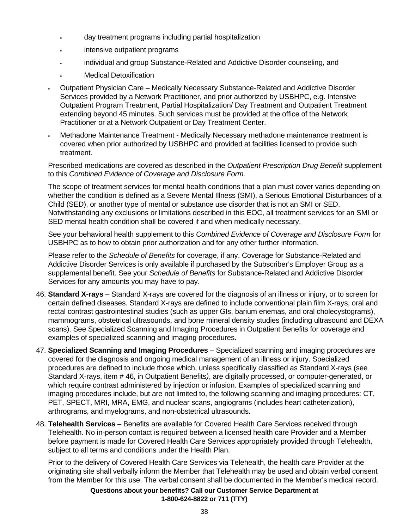- day treatment programs including partial hospitalization
- intensive outpatient programs
- individual and group Substance-Related and Addictive Disorder counseling, and
- Medical Detoxification
- Outpatient Physician Care Medically Necessary Substance-Related and Addictive Disorder Services provided by a Network Practitioner, and prior authorized by USBHPC, e.g. Intensive Outpatient Program Treatment, Partial Hospitalization/ Day Treatment and Outpatient Treatment extending beyond 45 minutes. Such services must be provided at the office of the Network Practitioner or at a Network Outpatient or Day Treatment Center.
- Methadone Maintenance Treatment Medically Necessary methadone maintenance treatment is covered when prior authorized by USBHPC and provided at facilities licensed to provide such treatment.

 Prescribed medications are covered as described in the *Outpatient Prescription Drug Benefit* supplement to this *Combined Evidence of Coverage and Disclosure Form.*

 The scope of treatment services for mental health conditions that a plan must cover varies depending on whether the condition is defined as a Severe Mental Illness (SMI), a Serious Emotional Disturbances of a Child (SED), or another type of mental or substance use disorder that is not an SMI or SED. Notwithstanding any exclusions or limitations described in this EOC, all treatment services for an SMI or SED mental health condition shall be covered if and when medically necessary.

 See your behavioral health supplement to this *Combined Evidence of Coverage and Disclosure Form* for USBHPC as to how to obtain prior authorization and for any other further information.

 Please refer to the *Schedule of Benefits* for coverage, if any. Coverage for Substance-Related and Addictive Disorder Services is only available if purchased by the Subscriber's Employer Group as a supplemental benefit. See your *Schedule of Benefits* for Substance-Related and Addictive Disorder Services for any amounts you may have to pay.

- 46. **Standard X-rays** Standard X-rays are covered for the diagnosis of an illness or injury, or to screen for certain defined diseases. Standard X-rays are defined to include conventional plain film X-rays, oral and rectal contrast gastrointestinal studies (such as upper GIs, barium enemas, and oral cholecystograms), mammograms, obstetrical ultrasounds, and bone mineral density studies (including ultrasound and DEXA scans). See Specialized Scanning and Imaging Procedures in Outpatient Benefits for coverage and examples of specialized scanning and imaging procedures.
- 47. **Specialized Scanning and Imaging Procedures** Specialized scanning and imaging procedures are covered for the diagnosis and ongoing medical management of an illness or injury. Specialized procedures are defined to include those which, unless specifically classified as Standard X-rays (see Standard X-rays, item # 46, in Outpatient Benefits*)*, are digitally processed, or computer-generated, or which require contrast administered by injection or infusion. Examples of specialized scanning and imaging procedures include, but are not limited to, the following scanning and imaging procedures: CT, PET, SPECT, MRI, MRA, EMG, and nuclear scans, angiograms (includes heart catheterization), arthrograms, and myelograms, and non-obstetrical ultrasounds.
- 48. **Telehealth Services** Benefits are available for Covered Health Care Services received through Telehealth. No in-person contact is required between a licensed health care Provider and a Member before payment is made for Covered Health Care Services appropriately provided through Telehealth, subject to all terms and conditions under the Health Plan.

 Prior to the delivery of Covered Health Care Services via Telehealth, the health care Provider at the originating site shall verbally inform the Member that Telehealth may be used and obtain verbal consent from the Member for this use. The verbal consent shall be documented in the Member's medical record.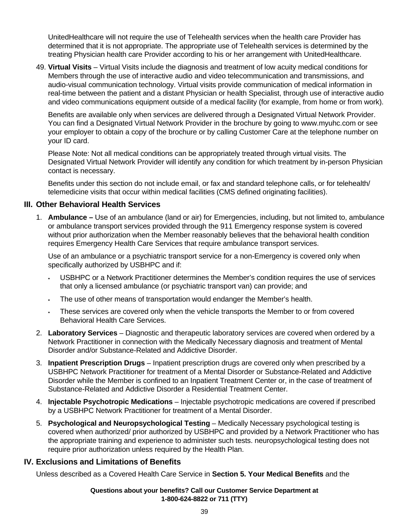UnitedHealthcare will not require the use of Telehealth services when the health care Provider has determined that it is not appropriate. The appropriate use of Telehealth services is determined by the treating Physician health care Provider according to his or her arrangement with UnitedHealthcare.

49. **Virtual Visits** – Virtual Visits include the diagnosis and treatment of low acuity medical conditions for Members through the use of interactive audio and video telecommunication and transmissions, and audio-visual communication technology. Virtual visits provide communication of medical information in real-time between the patient and a distant Physician or health Specialist, through use of interactive audio and video communications equipment outside of a medical facility (for example, from home or from work).

 Benefits are available only when services are delivered through a Designated Virtual Network Provider. You can find a Designated Virtual Network Provider in the brochure by going to www.myuhc.com or see your employer to obtain a copy of the brochure or by calling Customer Care at the telephone number on your ID card.

 Please Note: Not all medical conditions can be appropriately treated through virtual visits. The Designated Virtual Network Provider will identify any condition for which treatment by in-person Physician contact is necessary.

 Benefits under this section do not include email, or fax and standard telephone calls, or for telehealth/ telemedicine visits that occur within medical facilities (CMS defined originating facilities).

### **III. Other Behavioral Health Services**

1. **Ambulance –** Use of an ambulance (land or air) for Emergencies, including, but not limited to, ambulance or ambulance transport services provided through the 911 Emergency response system is covered without prior authorization when the Member reasonably believes that the behavioral health condition requires Emergency Health Care Services that require ambulance transport services.

 Use of an ambulance or a psychiatric transport service for a non-Emergency is covered only when specifically authorized by USBHPC and if:

- USBHPC or a Network Practitioner determines the Member's condition requires the use of services that only a licensed ambulance (or psychiatric transport van) can provide; and
- The use of other means of transportation would endanger the Member's health.
- These services are covered only when the vehicle transports the Member to or from covered Behavioral Health Care Services.
- 2. **Laboratory Services**  Diagnostic and therapeutic laboratory services are covered when ordered by a Network Practitioner in connection with the Medically Necessary diagnosis and treatment of Mental Disorder and/or Substance-Related and Addictive Disorder.
- 3. **Inpatient Prescription Drugs**  Inpatient prescription drugs are covered only when prescribed by a USBHPC Network Practitioner for treatment of a Mental Disorder or Substance-Related and Addictive Disorder while the Member is confined to an Inpatient Treatment Center or, in the case of treatment of Substance-Related and Addictive Disorder a Residential Treatment Center.
- 4. **Injectable Psychotropic Medications** Injectable psychotropic medications are covered if prescribed by a USBHPC Network Practitioner for treatment of a Mental Disorder.
- 5. **Psychological and Neuropsychological Testing** Medically Necessary psychological testing is covered when authorized/ prior authorized by USBHPC and provided by a Network Practitioner who has the appropriate training and experience to administer such tests. neuropsychological testing does not require prior authorization unless required by the Health Plan.

#### **IV. Exclusions and Limitations of Benefits**

Unless described as a Covered Health Care Service in **Section 5. Your Medical Benefits** and the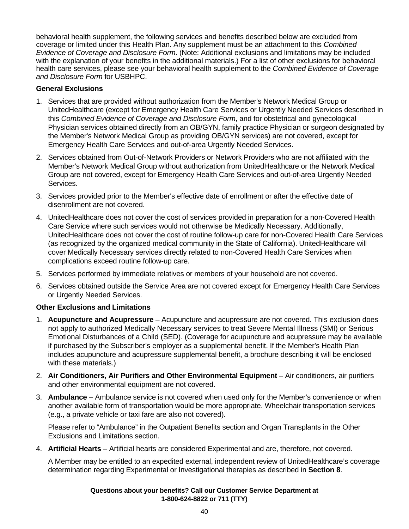behavioral health supplement, the following services and benefits described below are excluded from coverage or limited under this Health Plan. Any supplement must be an attachment to this *Combined Evidence of Coverage and Disclosure Form*. (Note: Additional exclusions and limitations may be included with the explanation of your benefits in the additional materials.) For a list of other exclusions for behavioral health care services, please see your behavioral health supplement to the *Combined Evidence of Coverage and Disclosure Form* for USBHPC.

#### **General Exclusions**

- 1. Services that are provided without authorization from the Member's Network Medical Group or UnitedHealthcare (except for Emergency Health Care Services or Urgently Needed Services described in this *Combined Evidence of Coverage and Disclosure Form*, and for obstetrical and gynecological Physician services obtained directly from an OB/GYN, family practice Physician or surgeon designated by the Member's Network Medical Group as providing OB/GYN services) are not covered, except for Emergency Health Care Services and out-of-area Urgently Needed Services.
- 2. Services obtained from Out-of-Network Providers or Network Providers who are not affiliated with the Member's Network Medical Group without authorization from UnitedHealthcare or the Network Medical Group are not covered, except for Emergency Health Care Services and out-of-area Urgently Needed Services.
- 3. Services provided prior to the Member's effective date of enrollment or after the effective date of disenrollment are not covered.
- 4. UnitedHealthcare does not cover the cost of services provided in preparation for a non-Covered Health Care Service where such services would not otherwise be Medically Necessary. Additionally, UnitedHealthcare does not cover the cost of routine follow-up care for non-Covered Health Care Services (as recognized by the organized medical community in the State of California). UnitedHealthcare will cover Medically Necessary services directly related to non-Covered Health Care Services when complications exceed routine follow-up care.
- 5. Services performed by immediate relatives or members of your household are not covered.
- 6. Services obtained outside the Service Area are not covered except for Emergency Health Care Services or Urgently Needed Services.

# **Other Exclusions and Limitations**

- 1. **Acupuncture and Acupressure**  Acupuncture and acupressure are not covered. This exclusion does not apply to authorized Medically Necessary services to treat Severe Mental Illness (SMI) or Serious Emotional Disturbances of a Child (SED). (Coverage for acupuncture and acupressure may be available if purchased by the Subscriber's employer as a supplemental benefit. If the Member's Health Plan includes acupuncture and acupressure supplemental benefit, a brochure describing it will be enclosed with these materials.)
- 2. Air Conditioners, Air Purifiers and Other Environmental Equipment Air conditioners, air purifiers and other environmental equipment are not covered.
- 3. **Ambulance**  Ambulance service is not covered when used only for the Member's convenience or when another available form of transportation would be more appropriate. Wheelchair transportation services (e.g., a private vehicle or taxi fare are also not covered).

 Please refer to "Ambulance" in the Outpatient Benefits section and Organ Transplants in the Other Exclusions and Limitations section.

4. **Artificial Hearts** – Artificial hearts are considered Experimental and are, therefore, not covered.

 A Member may be entitled to an expedited external, independent review of UnitedHealthcare's coverage determination regarding Experimental or Investigational therapies as described in **Section 8**.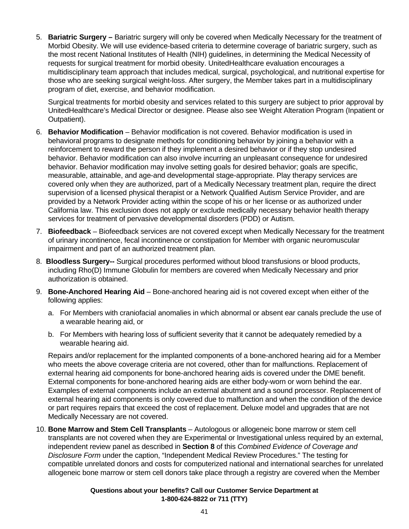5. **Bariatric Surgery –** Bariatric surgery will only be covered when Medically Necessary for the treatment of Morbid Obesity. We will use evidence-based criteria to determine coverage of bariatric surgery, such as the most recent National Institutes of Health (NIH) guidelines, in determining the Medical Necessity of requests for surgical treatment for morbid obesity. UnitedHealthcare evaluation encourages a multidisciplinary team approach that includes medical, surgical, psychological, and nutritional expertise for those who are seeking surgical weight-loss. After surgery, the Member takes part in a multidisciplinary program of diet, exercise, and behavior modification.

 Surgical treatments for morbid obesity and services related to this surgery are subject to prior approval by UnitedHealthcare's Medical Director or designee. Please also see Weight Alteration Program (Inpatient or Outpatient).

- 6. **Behavior Modification**  Behavior modification is not covered. Behavior modification is used in behavioral programs to designate methods for conditioning behavior by joining a behavior with a reinforcement to reward the person if they implement a desired behavior or if they stop undesired behavior. Behavior modification can also involve incurring an unpleasant consequence for undesired behavior. Behavior modification may involve setting goals for desired behavior; goals are specific, measurable, attainable, and age-and developmental stage-appropriate. Play therapy services are covered only when they are authorized, part of a Medically Necessary treatment plan, require the direct supervision of a licensed physical therapist or a Network Qualified Autism Service Provider, and are provided by a Network Provider acting within the scope of his or her license or as authorized under California law. This exclusion does not apply or exclude medically necessary behavior health therapy services for treatment of pervasive developmental disorders (PDD) or Autism.
- 7. **Biofeedback**  Biofeedback services are not covered except when Medically Necessary for the treatment of urinary incontinence, fecal incontinence or constipation for Member with organic neuromuscular impairment and part of an authorized treatment plan.
- 8. **Bloodless Surgery--** Surgical procedures performed without blood transfusions or blood products, including Rho(D) Immune Globulin for members are covered when Medically Necessary and prior authorization is obtained.
- 9. **Bone-Anchored Hearing Aid**  Bone-anchored hearing aid is not covered except when either of the following applies:
	- a. For Members with craniofacial anomalies in which abnormal or absent ear canals preclude the use of a wearable hearing aid, or
	- b. For Members with hearing loss of sufficient severity that it cannot be adequately remedied by a wearable hearing aid.

 Repairs and/or replacement for the implanted components of a bone-anchored hearing aid for a Member who meets the above coverage criteria are not covered, other than for malfunctions. Replacement of external hearing aid components for bone-anchored hearing aids is covered under the DME benefit. External components for bone-anchored hearing aids are either body-worn or worn behind the ear. Examples of external components include an external abutment and a sound processor. Replacement of external hearing aid components is only covered due to malfunction and when the condition of the device or part requires repairs that exceed the cost of replacement. Deluxe model and upgrades that are not Medically Necessary are not covered.

10. **Bone Marrow and Stem Cell Transplants** – Autologous or allogeneic bone marrow or stem cell transplants are not covered when they are Experimental or Investigational unless required by an external, independent review panel as described in **Section 8** of this *Combined Evidence of Coverage and Disclosure Form* under the caption, "Independent Medical Review Procedures." The testing for compatible unrelated donors and costs for computerized national and international searches for unrelated allogeneic bone marrow or stem cell donors take place through a registry are covered when the Member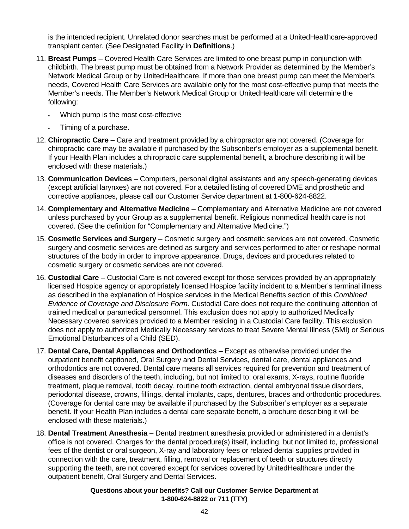is the intended recipient. Unrelated donor searches must be performed at a UnitedHealthcare-approved transplant center. (See Designated Facility in **Definitions**.)

- 11. **Breast Pumps**  Covered Health Care Services are limited to one breast pump in conjunction with childbirth. The breast pump must be obtained from a Network Provider as determined by the Member's Network Medical Group or by UnitedHealthcare. If more than one breast pump can meet the Member's needs, Covered Health Care Services are available only for the most cost-effective pump that meets the Member's needs. The Member's Network Medical Group or UnitedHealthcare will determine the following:
	- Which pump is the most cost-effective
	- Timing of a purchase.
- 12. **Chiropractic Care**  Care and treatment provided by a chiropractor are not covered. (Coverage for chiropractic care may be available if purchased by the Subscriber's employer as a supplemental benefit. If your Health Plan includes a chiropractic care supplemental benefit, a brochure describing it will be enclosed with these materials.)
- 13. **Communication Devices**  Computers, personal digital assistants and any speech-generating devices (except artificial larynxes) are not covered. For a detailed listing of covered DME and prosthetic and corrective appliances, please call our Customer Service department at 1-800-624-8822.
- 14. **Complementary and Alternative Medicine**  Complementary and Alternative Medicine are not covered unless purchased by your Group as a supplemental benefit. Religious nonmedical health care is not covered. (See the definition for "Complementary and Alternative Medicine.")
- 15. **Cosmetic Services and Surgery**  Cosmetic surgery and cosmetic services are not covered. Cosmetic surgery and cosmetic services are defined as surgery and services performed to alter or reshape normal structures of the body in order to improve appearance. Drugs, devices and procedures related to cosmetic surgery or cosmetic services are not covered.
- 16. **Custodial Care**  Custodial Care is not covered except for those services provided by an appropriately licensed Hospice agency or appropriately licensed Hospice facility incident to a Member's terminal illness as described in the explanation of Hospice services in the Medical Benefits section of this *Combined Evidence of Coverage and Disclosure Form*. Custodial Care does not require the continuing attention of trained medical or paramedical personnel. This exclusion does not apply to authorized Medically Necessary covered services provided to a Member residing in a Custodial Care facility. This exclusion does not apply to authorized Medically Necessary services to treat Severe Mental Illness (SMI) or Serious Emotional Disturbances of a Child (SED).
- 17. **Dental Care, Dental Appliances and Orthodontics**  Except as otherwise provided under the outpatient benefit captioned, Oral Surgery and Dental Services, dental care, dental appliances and orthodontics are not covered. Dental care means all services required for prevention and treatment of diseases and disorders of the teeth, including, but not limited to: oral exams, X-rays, routine fluoride treatment, plaque removal, tooth decay, routine tooth extraction, dental embryonal tissue disorders, periodontal disease, crowns, fillings, dental implants, caps, dentures, braces and orthodontic procedures. (Coverage for dental care may be available if purchased by the Subscriber's employer as a separate benefit. If your Health Plan includes a dental care separate benefit, a brochure describing it will be enclosed with these materials.)
- 18. **Dental Treatment Anesthesia**  Dental treatment anesthesia provided or administered in a dentist's office is not covered. Charges for the dental procedure(s) itself, including, but not limited to, professional fees of the dentist or oral surgeon, X-ray and laboratory fees or related dental supplies provided in connection with the care, treatment, filling, removal or replacement of teeth or structures directly supporting the teeth, are not covered except for services covered by UnitedHealthcare under the outpatient benefit, Oral Surgery and Dental Services.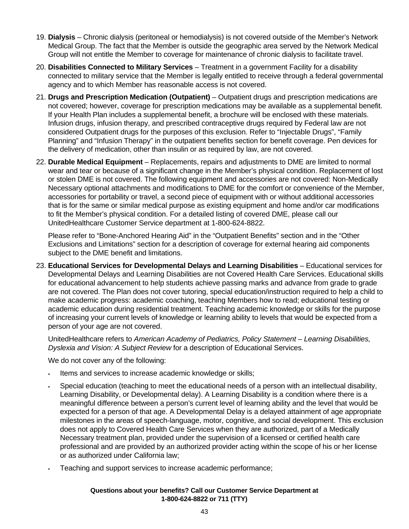- 19. **Dialysis**  Chronic dialysis (peritoneal or hemodialysis) is not covered outside of the Member's Network Medical Group. The fact that the Member is outside the geographic area served by the Network Medical Group will not entitle the Member to coverage for maintenance of chronic dialysis to facilitate travel.
- 20. **Disabilities Connected to Military Services**  Treatment in a government Facility for a disability connected to military service that the Member is legally entitled to receive through a federal governmental agency and to which Member has reasonable access is not covered.
- 21. **Drugs and Prescription Medication (Outpatient)**  Outpatient drugs and prescription medications are not covered; however, coverage for prescription medications may be available as a supplemental benefit. If your Health Plan includes a supplemental benefit, a brochure will be enclosed with these materials. Infusion drugs, infusion therapy, and prescribed contraceptive drugs required by Federal law are not considered Outpatient drugs for the purposes of this exclusion. Refer to "Injectable Drugs", "Family Planning" and "Infusion Therapy" in the outpatient benefits section for benefit coverage. Pen devices for the delivery of medication, other than insulin or as required by law, are not covered.
- 22. **Durable Medical Equipment**  Replacements, repairs and adjustments to DME are limited to normal wear and tear or because of a significant change in the Member's physical condition. Replacement of lost or stolen DME is not covered. The following equipment and accessories are not covered: Non-Medically Necessary optional attachments and modifications to DME for the comfort or convenience of the Member, accessories for portability or travel, a second piece of equipment with or without additional accessories that is for the same or similar medical purpose as existing equipment and home and/or car modifications to fit the Member's physical condition. For a detailed listing of covered DME, please call our UnitedHealthcare Customer Service department at 1-800-624-8822.

 Please refer to "Bone-Anchored Hearing Aid" in the "Outpatient Benefits" section and in the "Other Exclusions and Limitations" section for a description of coverage for external hearing aid components subject to the DME benefit and limitations.

23. **Educational Services for Developmental Delays and Learning Disabilities** – Educational services for Developmental Delays and Learning Disabilities are not Covered Health Care Services. Educational skills for educational advancement to help students achieve passing marks and advance from grade to grade are not covered. The Plan does not cover tutoring, special education/instruction required to help a child to make academic progress: academic coaching, teaching Members how to read; educational testing or academic education during residential treatment. Teaching academic knowledge or skills for the purpose of increasing your current levels of knowledge or learning ability to levels that would be expected from a person of your age are not covered.

UnitedHealthcare refers to *American Academy of Pediatrics, Policy Statement – Learning Disabilities, Dyslexia and Vision: A Subject Review* for a description of Educational Services.

We do not cover any of the following:

- Items and services to increase academic knowledge or skills;
- Special education (teaching to meet the educational needs of a person with an intellectual disability, Learning Disability, or Developmental delay). A Learning Disability is a condition where there is a meaningful difference between a person's current level of learning ability and the level that would be expected for a person of that age. A Developmental Delay is a delayed attainment of age appropriate milestones in the areas of speech-language, motor, cognitive, and social development. This exclusion does not apply to Covered Health Care Services when they are authorized, part of a Medically Necessary treatment plan, provided under the supervision of a licensed or certified health care professional and are provided by an authorized provider acting within the scope of his or her license or as authorized under California law;
- Teaching and support services to increase academic performance;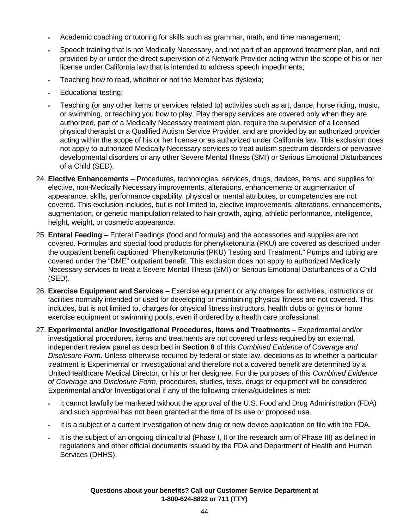- Academic coaching or tutoring for skills such as grammar, math, and time management;
- Speech training that is not Medically Necessary, and not part of an approved treatment plan, and not provided by or under the direct supervision of a Network Provider acting within the scope of his or her license under California law that is intended to address speech impediments;
- Teaching how to read, whether or not the Member has dyslexia;
- Educational testing;
- Teaching (or any other items or services related to) activities such as art, dance, horse riding, music, or swimming, or teaching you how to play. Play therapy services are covered only when they are authorized, part of a Medically Necessary treatment plan, require the supervision of a licensed physical therapist or a Qualified Autism Service Provider, and are provided by an authorized provider acting within the scope of his or her license or as authorized under California law. This exclusion does not apply to authorized Medically Necessary services to treat autism spectrum disorders or pervasive developmental disorders or any other Severe Mental Illness (SMI) or Serious Emotional Disturbances of a Child (SED).
- 24. **Elective Enhancements**  Procedures, technologies, services, drugs, devices, items, and supplies for elective, non-Medically Necessary improvements, alterations, enhancements or augmentation of appearance, skills, performance capability, physical or mental attributes, or competencies are not covered. This exclusion includes, but is not limited to, elective improvements, alterations, enhancements, augmentation, or genetic manipulation related to hair growth, aging, athletic performance, intelligence, height, weight, or cosmetic appearance.
- 25. **Enteral Feeding**  Enteral Feedings (food and formula) and the accessories and supplies are not covered. Formulas and special food products for phenylketonuria (PKU) are covered as described under the outpatient benefit captioned "Phenylketonuria (PKU) Testing and Treatment." Pumps and tubing are covered under the "DME" outpatient benefit. This exclusion does not apply to authorized Medically Necessary services to treat a Severe Mental Illness (SMI) or Serious Emotional Disturbances of a Child (SED).
- 26. **Exercise Equipment and Services**  Exercise equipment or any charges for activities, instructions or facilities normally intended or used for developing or maintaining physical fitness are not covered. This includes, but is not limited to, charges for physical fitness instructors, health clubs or gyms or home exercise equipment or swimming pools, even if ordered by a health care professional.
- 27. **Experimental and/or Investigational Procedures, Items and Treatments**  Experimental and/or investigational procedures, items and treatments are not covered unless required by an external, independent review panel as described in **Section 8** of this *Combined Evidence of Coverage and Disclosure Form*. Unless otherwise required by federal or state law, decisions as to whether a particular treatment is Experimental or Investigational and therefore not a covered benefit are determined by a UnitedHealthcare Medical Director, or his or her designee. For the purposes of this *Combined Evidence of Coverage and Disclosure Form*, procedures, studies, tests, drugs or equipment will be considered Experimental and/or Investigational if any of the following criteria/guidelines is met:
	- It cannot lawfully be marketed without the approval of the U.S. Food and Drug Administration (FDA) and such approval has not been granted at the time of its use or proposed use.
	- It is a subject of a current investigation of new drug or new device application on file with the FDA.
	- It is the subject of an ongoing clinical trial (Phase I, II or the research arm of Phase III) as defined in regulations and other official documents issued by the FDA and Department of Health and Human Services (DHHS).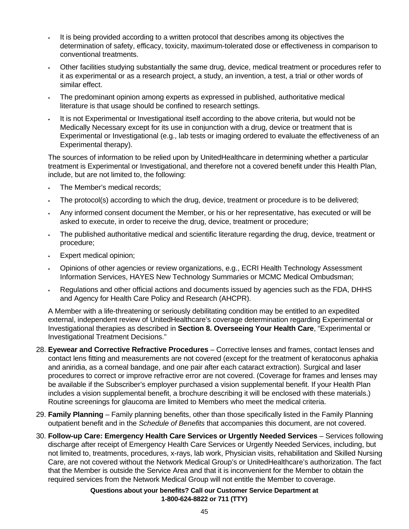- It is being provided according to a written protocol that describes among its objectives the determination of safety, efficacy, toxicity, maximum-tolerated dose or effectiveness in comparison to conventional treatments.
- Other facilities studying substantially the same drug, device, medical treatment or procedures refer to it as experimental or as a research project, a study, an invention, a test, a trial or other words of similar effect.
- The predominant opinion among experts as expressed in published, authoritative medical literature is that usage should be confined to research settings.
- It is not Experimental or Investigational itself according to the above criteria, but would not be Medically Necessary except for its use in conjunction with a drug, device or treatment that is Experimental or Investigational (e.g., lab tests or imaging ordered to evaluate the effectiveness of an Experimental therapy).

The sources of information to be relied upon by UnitedHealthcare in determining whether a particular treatment is Experimental or Investigational, and therefore not a covered benefit under this Health Plan, include, but are not limited to, the following:

- The Member's medical records;
- The protocol(s) according to which the drug, device, treatment or procedure is to be delivered;
- Any informed consent document the Member, or his or her representative, has executed or will be asked to execute, in order to receive the drug, device, treatment or procedure;
- The published authoritative medical and scientific literature regarding the drug, device, treatment or procedure;
- Expert medical opinion;
- Opinions of other agencies or review organizations, e.g., ECRI Health Technology Assessment Information Services, HAYES New Technology Summaries or MCMC Medical Ombudsman;
- Regulations and other official actions and documents issued by agencies such as the FDA, DHHS and Agency for Health Care Policy and Research (AHCPR).

 A Member with a life-threatening or seriously debilitating condition may be entitled to an expedited external, independent review of UnitedHealthcare's coverage determination regarding Experimental or Investigational therapies as described in **Section 8. Overseeing Your Health Care**, "Experimental or Investigational Treatment Decisions."

- 28. **Eyewear and Corrective Refractive Procedures**  Corrective lenses and frames, contact lenses and contact lens fitting and measurements are not covered (except for the treatment of keratoconus aphakia and aniridia, as a corneal bandage, and one pair after each cataract extraction). Surgical and laser procedures to correct or improve refractive error are not covered. (Coverage for frames and lenses may be available if the Subscriber's employer purchased a vision supplemental benefit. If your Health Plan includes a vision supplemental benefit, a brochure describing it will be enclosed with these materials.) Routine screenings for glaucoma are limited to Members who meet the medical criteria.
- 29. **Family Planning**  Family planning benefits, other than those specifically listed in the Family Planning outpatient benefit and in the *Schedule of Benefits* that accompanies this document, are not covered.
- 30. **Follow-up Care: Emergency Health Care Services or Urgently Needed Services**  Services following discharge after receipt of Emergency Health Care Services or Urgently Needed Services, including, but not limited to, treatments, procedures, x-rays, lab work, Physician visits, rehabilitation and Skilled Nursing Care, are not covered without the Network Medical Group's or UnitedHealthcare's authorization. The fact that the Member is outside the Service Area and that it is inconvenient for the Member to obtain the required services from the Network Medical Group will not entitle the Member to coverage.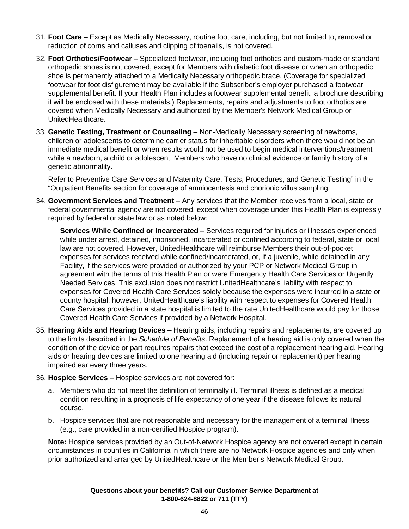- 31. **Foot Care**  Except as Medically Necessary, routine foot care, including, but not limited to, removal or reduction of corns and calluses and clipping of toenails, is not covered.
- 32. **Foot Orthotics/Footwear**  Specialized footwear, including foot orthotics and custom-made or standard orthopedic shoes is not covered, except for Members with diabetic foot disease or when an orthopedic shoe is permanently attached to a Medically Necessary orthopedic brace. (Coverage for specialized footwear for foot disfigurement may be available if the Subscriber's employer purchased a footwear supplemental benefit. If your Health Plan includes a footwear supplemental benefit, a brochure describing it will be enclosed with these materials.) Replacements, repairs and adjustments to foot orthotics are covered when Medically Necessary and authorized by the Member's Network Medical Group or UnitedHealthcare.
- 33. **Genetic Testing, Treatment or Counseling**  Non-Medically Necessary screening of newborns, children or adolescents to determine carrier status for inheritable disorders when there would not be an immediate medical benefit or when results would not be used to begin medical interventions/treatment while a newborn, a child or adolescent. Members who have no clinical evidence or family history of a genetic abnormality.

 Refer to Preventive Care Services and Maternity Care, Tests, Procedures, and Genetic Testing" in the "Outpatient Benefits section for coverage of amniocentesis and chorionic villus sampling.

34. **Government Services and Treatment** – Any services that the Member receives from a local, state or federal governmental agency are not covered, except when coverage under this Health Plan is expressly required by federal or state law or as noted below:

 **Services While Confined or Incarcerated** – Services required for injuries or illnesses experienced while under arrest, detained, imprisoned, incarcerated or confined according to federal, state or local law are not covered. However, UnitedHealthcare will reimburse Members their out-of-pocket expenses for services received while confined/incarcerated, or, if a juvenile, while detained in any Facility, if the services were provided or authorized by your PCP or Network Medical Group in agreement with the terms of this Health Plan or were Emergency Health Care Services or Urgently Needed Services. This exclusion does not restrict UnitedHealthcare's liability with respect to expenses for Covered Health Care Services solely because the expenses were incurred in a state or county hospital; however, UnitedHealthcare's liability with respect to expenses for Covered Health Care Services provided in a state hospital is limited to the rate UnitedHealthcare would pay for those Covered Health Care Services if provided by a Network Hospital.

- 35. **Hearing Aids and Hearing Devices**  Hearing aids, including repairs and replacements, are covered up to the limits described in the *Schedule of Benefits*. Replacement of a hearing aid is only covered when the condition of the device or part requires repairs that exceed the cost of a replacement hearing aid. Hearing aids or hearing devices are limited to one hearing aid (including repair or replacement) per hearing impaired ear every three years.
- 36. **Hospice Services**  Hospice services are not covered for:
	- a. Members who do not meet the definition of terminally ill. Terminal illness is defined as a medical condition resulting in a prognosis of life expectancy of one year if the disease follows its natural course.
	- b. Hospice services that are not reasonable and necessary for the management of a terminal illness (e.g., care provided in a non-certified Hospice program).

 **Note:** Hospice services provided by an Out-of-Network Hospice agency are not covered except in certain circumstances in counties in California in which there are no Network Hospice agencies and only when prior authorized and arranged by UnitedHealthcare or the Member's Network Medical Group.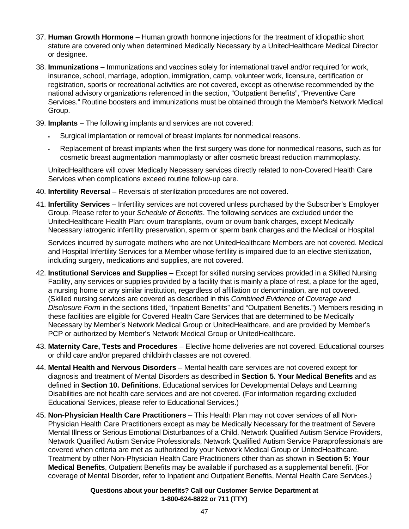- 37. **Human Growth Hormone**  Human growth hormone injections for the treatment of idiopathic short stature are covered only when determined Medically Necessary by a UnitedHealthcare Medical Director or designee.
- 38. **Immunizations**  Immunizations and vaccines solely for international travel and/or required for work, insurance, school, marriage, adoption, immigration, camp, volunteer work, licensure, certification or registration, sports or recreational activities are not covered, except as otherwise recommended by the national advisory organizations referenced in the section, "Outpatient Benefits", "Preventive Care Services." Routine boosters and immunizations must be obtained through the Member's Network Medical Group.
- 39. **Implants**  The following implants and services are not covered:
	- Surgical implantation or removal of breast implants for nonmedical reasons.
	- Replacement of breast implants when the first surgery was done for nonmedical reasons, such as for cosmetic breast augmentation mammoplasty or after cosmetic breast reduction mammoplasty.

 UnitedHealthcare will cover Medically Necessary services directly related to non-Covered Health Care Services when complications exceed routine follow-up care.

- 40. **Infertility Reversal**  Reversals of sterilization procedures are not covered.
- 41. **Infertility Services**  Infertility services are not covered unless purchased by the Subscriber's Employer Group. Please refer to your *Schedule of Benefits*. The following services are excluded under the UnitedHealthcare Health Plan: ovum transplants, ovum or ovum bank charges, except Medically Necessary iatrogenic infertility preservation, sperm or sperm bank charges and the Medical or Hospital

 Services incurred by surrogate mothers who are not UnitedHealthcare Members are not covered. Medical and Hospital Infertility Services for a Member whose fertility is impaired due to an elective sterilization, including surgery, medications and supplies, are not covered.

- 42. **Institutional Services and Supplies**  Except for skilled nursing services provided in a Skilled Nursing Facility, any services or supplies provided by a facility that is mainly a place of rest, a place for the aged, a nursing home or any similar institution, regardless of affiliation or denomination, are not covered. (Skilled nursing services are covered as described in this *Combined Evidence of Coverage and Disclosure Form* in the sections titled, "Inpatient Benefits" and "Outpatient Benefits.") Members residing in these facilities are eligible for Covered Health Care Services that are determined to be Medically Necessary by Member's Network Medical Group or UnitedHealthcare, and are provided by Member's PCP or authorized by Member's Network Medical Group or UnitedHealthcare.
- 43. **Maternity Care, Tests and Procedures**  Elective home deliveries are not covered. Educational courses or child care and/or prepared childbirth classes are not covered.
- 44. **Mental Health and Nervous Disorders**  Mental health care services are not covered except for diagnosis and treatment of Mental Disorders as described in **Section 5. Your Medical Benefits** and as defined in **Section 10. Definitions**. Educational services for Developmental Delays and Learning Disabilities are not health care services and are not covered. (For information regarding excluded Educational Services, please refer to Educational Services.)
- 45. **Non-Physician Health Care Practitioners**  This Health Plan may not cover services of all Non-Physician Health Care Practitioners except as may be Medically Necessary for the treatment of Severe Mental Illness or Serious Emotional Disturbances of a Child. Network Qualified Autism Service Providers, Network Qualified Autism Service Professionals, Network Qualified Autism Service Paraprofessionals are covered when criteria are met as authorized by your Network Medical Group or UnitedHealthcare. Treatment by other Non-Physician Health Care Practitioners other than as shown in **Section 5: Your Medical Benefits**, Outpatient Benefits may be available if purchased as a supplemental benefit. (For coverage of Mental Disorder, refer to Inpatient and Outpatient Benefits, Mental Health Care Services.)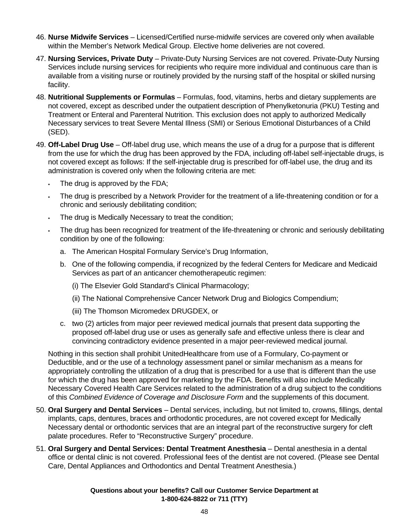- 46. **Nurse Midwife Services**  Licensed/Certified nurse-midwife services are covered only when available within the Member's Network Medical Group. Elective home deliveries are not covered.
- 47. **Nursing Services, Private Duty**  Private-Duty Nursing Services are not covered. Private-Duty Nursing Services include nursing services for recipients who require more individual and continuous care than is available from a visiting nurse or routinely provided by the nursing staff of the hospital or skilled nursing facility.
- 48. **Nutritional Supplements or Formulas**  Formulas, food, vitamins, herbs and dietary supplements are not covered, except as described under the outpatient description of Phenylketonuria (PKU) Testing and Treatment or Enteral and Parenteral Nutrition. This exclusion does not apply to authorized Medically Necessary services to treat Severe Mental Illness (SMI) or Serious Emotional Disturbances of a Child (SED).
- 49. **Off-Label Drug Use**  Off-label drug use, which means the use of a drug for a purpose that is different from the use for which the drug has been approved by the FDA, including off-label self-injectable drugs, is not covered except as follows: If the self-injectable drug is prescribed for off-label use, the drug and its administration is covered only when the following criteria are met:
	- The drug is approved by the FDA;
	- The drug is prescribed by a Network Provider for the treatment of a life-threatening condition or for a chronic and seriously debilitating condition;
	- The drug is Medically Necessary to treat the condition;
	- The drug has been recognized for treatment of the life-threatening or chronic and seriously debilitating condition by one of the following:
		- a. The American Hospital Formulary Service's Drug Information,
		- b. One of the following compendia, if recognized by the federal Centers for Medicare and Medicaid Services as part of an anticancer chemotherapeutic regimen:
			- (i) The Elsevier Gold Standard's Clinical Pharmacology;
			- (ii) The National Comprehensive Cancer Network Drug and Biologics Compendium;
			- (iii) The Thomson Micromedex DRUGDEX, or
		- c. two (2) articles from major peer reviewed medical journals that present data supporting the proposed off-label drug use or uses as generally safe and effective unless there is clear and convincing contradictory evidence presented in a major peer-reviewed medical journal.

 Nothing in this section shall prohibit UnitedHealthcare from use of a Formulary, Co-payment or Deductible, and or the use of a technology assessment panel or similar mechanism as a means for appropriately controlling the utilization of a drug that is prescribed for a use that is different than the use for which the drug has been approved for marketing by the FDA. Benefits will also include Medically Necessary Covered Health Care Services related to the administration of a drug subject to the conditions of this *Combined Evidence of Coverage and Disclosure Form* and the supplements of this document.

- 50. **Oral Surgery and Dental Services**  Dental services, including, but not limited to, crowns, fillings, dental implants, caps, dentures, braces and orthodontic procedures, are not covered except for Medically Necessary dental or orthodontic services that are an integral part of the reconstructive surgery for cleft palate procedures. Refer to "Reconstructive Surgery" procedure.
- 51. **Oral Surgery and Dental Services: Dental Treatment Anesthesia**  Dental anesthesia in a dental office or dental clinic is not covered. Professional fees of the dentist are not covered. (Please see Dental Care, Dental Appliances and Orthodontics and Dental Treatment Anesthesia.)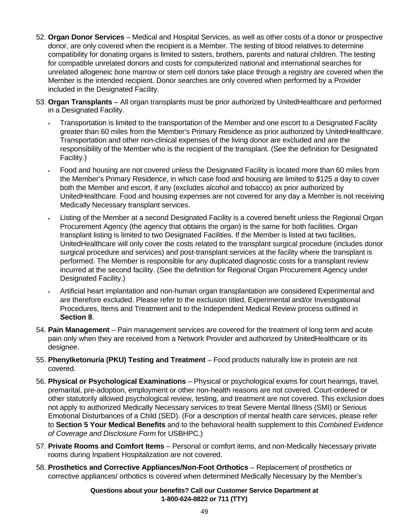- 52. **Organ Donor Services**  Medical and Hospital Services, as well as other costs of a donor or prospective donor, are only covered when the recipient is a Member. The testing of blood relatives to determine compatibility for donating organs is limited to sisters, brothers, parents and natural children. The testing for compatible unrelated donors and costs for computerized national and international searches for unrelated allogeneic bone marrow or stem cell donors take place through a registry are covered when the Member is the intended recipient. Donor searches are only covered when performed by a Provider included in the Designated Facility.
- 53. **Organ Transplants**  All organ transplants must be prior authorized by UnitedHealthcare and performed in a Designated Facility.
	- Transportation is limited to the transportation of the Member and one escort to a Designated Facility greater than 60 miles from the Member's Primary Residence as prior authorized by UnitedHealthcare. Transportation and other non-clinical expenses of the living donor are excluded and are the responsibility of the Member who is the recipient of the transplant. (See the definition for Designated Facility.)
	- Food and housing are not covered unless the Designated Facility is located more than 60 miles from the Member's Primary Residence, in which case food and housing are limited to \$125 a day to cover both the Member and escort, if any (excludes alcohol and tobacco) as prior authorized by UnitedHealthcare. Food and housing expenses are not covered for any day a Member is not receiving Medically Necessary transplant services.
	- Listing of the Member at a second Designated Facility is a covered benefit unless the Regional Organ Procurement Agency (the agency that obtains the organ) is the same for both facilities. Organ transplant listing is limited to two Designated Facilities. If the Member is listed at two facilities, UnitedHealthcare will only cover the costs related to the transplant surgical procedure (includes donor surgical procedure and services) and post-transplant services at the facility where the transplant is performed. The Member is responsible for any duplicated diagnostic costs for a transplant review incurred at the second facility. (See the definition for Regional Organ Procurement Agency under Designated Facility.)
	- Artificial heart implantation and non-human organ transplantation are considered Experimental and are therefore excluded. Please refer to the exclusion titled, Experimental and/or Investigational Procedures, Items and Treatment and to the Independent Medical Review process outlined in **Section 8**.
- 54. **Pain Management**  Pain management services are covered for the treatment of long term and acute pain only when they are received from a Network Provider and authorized by UnitedHealthcare or its designee.
- 55. **Phenylketonuria (PKU) Testing and Treatment**  Food products naturally low in protein are not covered.
- 56. **Physical or Psychological Examinations**  Physical or psychological exams for court hearings, travel, premarital, pre-adoption, employment or other non-health reasons are not covered. Court-ordered or other statutorily allowed psychological review, testing, and treatment are not covered. This exclusion does not apply to authorized Medically Necessary services to treat Severe Mental Illness (SMI) or Serious Emotional Disturbances of a Child (SED). (For a description of mental health care services, please refer to **Section 5 Your Medical Benefits** and to the behavioral health supplement to this *Combined Evidence of Coverage and Disclosure Form* for USBHPC.)
- 57. **Private Rooms and Comfort Items**  Personal or comfort items, and non-Medically Necessary private rooms during Inpatient Hospitalization are not covered.
- 58. **Prosthetics and Corrective Appliances/Non-Foot Orthotics**  Replacement of prosthetics or corrective appliances/ orthotics is covered when determined Medically Necessary by the Member's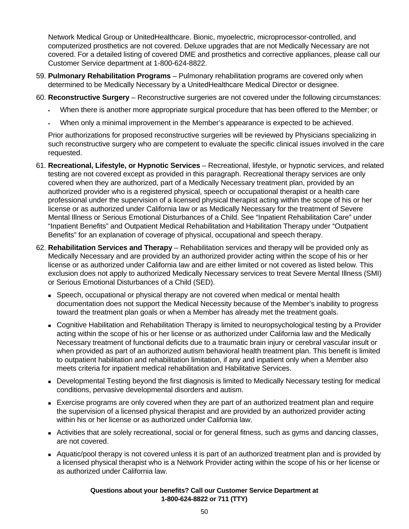Network Medical Group or UnitedHealthcare. Bionic, myoelectric, microprocessor-controlled, and computerized prosthetics are not covered. Deluxe upgrades that are not Medically Necessary are not covered. For a detailed listing of covered DME and prosthetics and corrective appliances, please call our Customer Service department at 1-800-624-8822.

- 59. **Pulmonary Rehabilitation Programs**  Pulmonary rehabilitation programs are covered only when determined to be Medically Necessary by a UnitedHealthcare Medical Director or designee.
- 60. **Reconstructive Surgery**  Reconstructive surgeries are not covered under the following circumstances:
	- When there is another more appropriate surgical procedure that has been offered to the Member; or
	- When only a minimal improvement in the Member's appearance is expected to be achieved.

 Prior authorizations for proposed reconstructive surgeries will be reviewed by Physicians specializing in such reconstructive surgery who are competent to evaluate the specific clinical issues involved in the care requested.

- 61. **Recreational, Lifestyle, or Hypnotic Services**  Recreational, lifestyle, or hypnotic services, and related testing are not covered except as provided in this paragraph. Recreational therapy services are only covered when they are authorized, part of a Medically Necessary treatment plan, provided by an authorized provider who is a registered physical, speech or occupational therapist or a health care professional under the supervision of a licensed physical therapist acting within the scope of his or her license or as authorized under California law or as Medically Necessary for the treatment of Severe Mental Illness or Serious Emotional Disturbances of a Child. See "Inpatient Rehabilitation Care" under "Inpatient Benefits" and Outpatient Medical Rehabilitation and Habilitation Therapy under "Outpatient Benefits" for an explanation of coverage of physical, occupational and speech therapy.
- 62. **Rehabilitation Services and Therapy**  Rehabilitation services and therapy will be provided only as Medically Necessary and are provided by an authorized provider acting within the scope of his or her license or as authorized under California law and are either limited or not covered as listed below. This exclusion does not apply to authorized Medically Necessary services to treat Severe Mental Illness (SMI) or Serious Emotional Disturbances of a Child (SED).
	- **Speech, occupational or physical therapy are not covered when medical or mental health** documentation does not support the Medical Necessity because of the Member's inability to progress toward the treatment plan goals or when a Member has already met the treatment goals.
	- Cognitive Habilitation and Rehabilitation Therapy is limited to neuropsychological testing by a Provider acting within the scope of his or her license or as authorized under California law and the Medically Necessary treatment of functional deficits due to a traumatic brain injury or cerebral vascular insult or when provided as part of an authorized autism behavioral health treatment plan. This benefit is limited to outpatient habilitation and rehabilitation limitation, if any and inpatient only when a Member also meets criteria for inpatient medical rehabilitation and Habilitative Services.
	- Developmental Testing beyond the first diagnosis is limited to Medically Necessary testing for medical conditions, pervasive developmental disorders and autism.
	- Exercise programs are only covered when they are part of an authorized treatment plan and require the supervision of a licensed physical therapist and are provided by an authorized provider acting within his or her license or as authorized under California law.
	- Activities that are solely recreational, social or for general fitness, such as gyms and dancing classes, are not covered.
	- Aquatic/pool therapy is not covered unless it is part of an authorized treatment plan and is provided by a licensed physical therapist who is a Network Provider acting within the scope of his or her license or as authorized under California law.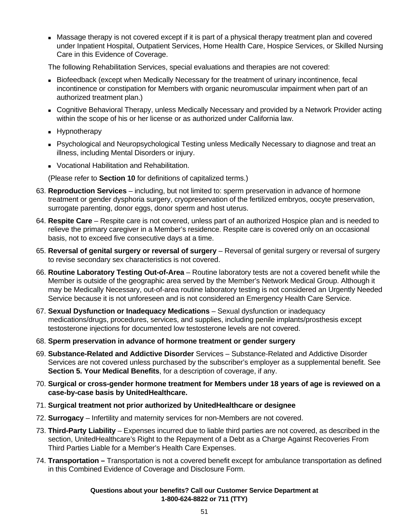Massage therapy is not covered except if it is part of a physical therapy treatment plan and covered under Inpatient Hospital, Outpatient Services, Home Health Care, Hospice Services, or Skilled Nursing Care in this Evidence of Coverage.

The following Rehabilitation Services, special evaluations and therapies are not covered:

- Biofeedback (except when Medically Necessary for the treatment of urinary incontinence, fecal incontinence or constipation for Members with organic neuromuscular impairment when part of an authorized treatment plan.)
- Cognitive Behavioral Therapy, unless Medically Necessary and provided by a Network Provider acting within the scope of his or her license or as authorized under California law.
- **Hypnotherapy**
- Psychological and Neuropsychological Testing unless Medically Necessary to diagnose and treat an illness, including Mental Disorders or injury.
- **Vocational Habilitation and Rehabilitation.**

(Please refer to **Section 10** for definitions of capitalized terms.)

- 63. **Reproduction Services**  including, but not limited to: sperm preservation in advance of hormone treatment or gender dysphoria surgery, cryopreservation of the fertilized embryos, oocyte preservation, surrogate parenting, donor eggs, donor sperm and host uterus.
- 64. **Respite Care**  Respite care is not covered, unless part of an authorized Hospice plan and is needed to relieve the primary caregiver in a Member's residence. Respite care is covered only on an occasional basis, not to exceed five consecutive days at a time.
- 65. **Reversal of genital surgery or reversal of surgery**  Reversal of genital surgery or reversal of surgery to revise secondary sex characteristics is not covered.
- 66. **Routine Laboratory Testing Out-of-Area**  Routine laboratory tests are not a covered benefit while the Member is outside of the geographic area served by the Member's Network Medical Group. Although it may be Medically Necessary, out-of-area routine laboratory testing is not considered an Urgently Needed Service because it is not unforeseen and is not considered an Emergency Health Care Service.
- 67. **Sexual Dysfunction or Inadequacy Medications**  Sexual dysfunction or inadequacy medications/drugs, procedures, services, and supplies, including penile implants/prosthesis except testosterone injections for documented low testosterone levels are not covered.
- 68. **Sperm preservation in advance of hormone treatment or gender surgery**
- 69. **Substance-Related and Addictive Disorder** Services Substance-Related and Addictive Disorder Services are not covered unless purchased by the subscriber's employer as a supplemental benefit. See **Section 5. Your Medical Benefits**, for a description of coverage, if any.
- 70. **Surgical or cross-gender hormone treatment for Members under 18 years of age is reviewed on a case-by-case basis by UnitedHealthcare.**
- 71. **Surgical treatment not prior authorized by UnitedHealthcare or designee**
- 72. **Surrogacy**  Infertility and maternity services for non-Members are not covered.
- 73. **Third-Party Liability**  Expenses incurred due to liable third parties are not covered, as described in the section, UnitedHealthcare's Right to the Repayment of a Debt as a Charge Against Recoveries From Third Parties Liable for a Member's Health Care Expenses.
- 74. **Transportation** Transportation is not a covered benefit except for ambulance transportation as defined in this Combined Evidence of Coverage and Disclosure Form.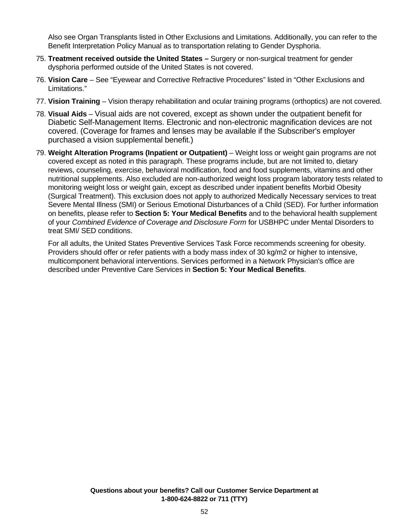Also see Organ Transplants listed in Other Exclusions and Limitations. Additionally, you can refer to the Benefit Interpretation Policy Manual as to transportation relating to Gender Dysphoria.

- 75. **Treatment received outside the United States –** Surgery or non-surgical treatment for gender dysphoria performed outside of the United States is not covered.
- 76. **Vision Care**  See "Eyewear and Corrective Refractive Procedures" listed in "Other Exclusions and Limitations."
- 77. **Vision Training**  Vision therapy rehabilitation and ocular training programs (orthoptics) are not covered.
- 78. **Visual Aids** Visual aids are not covered, except as shown under the outpatient benefit for Diabetic Self-Management Items. Electronic and non-electronic magnification devices are not covered. (Coverage for frames and lenses may be available if the Subscriber's employer purchased a vision supplemental benefit.)
- 79. **Weight Alteration Programs (Inpatient or Outpatient)**  Weight loss or weight gain programs are not covered except as noted in this paragraph. These programs include, but are not limited to, dietary reviews, counseling, exercise, behavioral modification, food and food supplements, vitamins and other nutritional supplements. Also excluded are non-authorized weight loss program laboratory tests related to monitoring weight loss or weight gain, except as described under inpatient benefits Morbid Obesity (Surgical Treatment). This exclusion does not apply to authorized Medically Necessary services to treat Severe Mental Illness (SMI) or Serious Emotional Disturbances of a Child (SED). For further information on benefits, please refer to **Section 5: Your Medical Benefits** and to the behavioral health supplement of your *Combined Evidence of Coverage and Disclosure Form* for USBHPC under Mental Disorders to treat SMI/ SED conditions.

 For all adults, the United States Preventive Services Task Force recommends screening for obesity. Providers should offer or refer patients with a body mass index of 30 kg/m2 or higher to intensive, multicomponent behavioral interventions. Services performed in a Network Physician's office are described under Preventive Care Services in **Section 5: Your Medical Benefits**.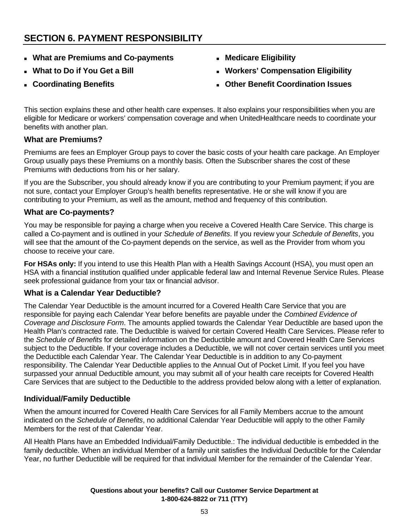# **SECTION 6. PAYMENT RESPONSIBILITY**

- **What are Premiums and Co-payments**
- **What to Do if You Get a Bill**
- **Coordinating Benefits**
- **Medicare Eligibility**
- **Workers' Compensation Eligibility**
- **Other Benefit Coordination Issues**

This section explains these and other health care expenses. It also explains your responsibilities when you are eligible for Medicare or workers' compensation coverage and when UnitedHealthcare needs to coordinate your benefits with another plan.

# **What are Premiums?**

Premiums are fees an Employer Group pays to cover the basic costs of your health care package. An Employer Group usually pays these Premiums on a monthly basis. Often the Subscriber shares the cost of these Premiums with deductions from his or her salary.

If you are the Subscriber, you should already know if you are contributing to your Premium payment; if you are not sure, contact your Employer Group's health benefits representative. He or she will know if you are contributing to your Premium, as well as the amount, method and frequency of this contribution.

# **What are Co-payments?**

You may be responsible for paying a charge when you receive a Covered Health Care Service. This charge is called a Co-payment and is outlined in your *Schedule of Benefits*. If you review your *Schedule of Benefits*, you will see that the amount of the Co-payment depends on the service, as well as the Provider from whom you choose to receive your care.

**For HSAs only:** If you intend to use this Health Plan with a Health Savings Account (HSA), you must open an HSA with a financial institution qualified under applicable federal law and Internal Revenue Service Rules. Please seek professional guidance from your tax or financial advisor.

# **What is a Calendar Year Deductible?**

The Calendar Year Deductible is the amount incurred for a Covered Health Care Service that you are responsible for paying each Calendar Year before benefits are payable under the *Combined Evidence of Coverage and Disclosure Form*. The amounts applied towards the Calendar Year Deductible are based upon the Health Plan's contracted rate. The Deductible is waived for certain Covered Health Care Services. Please refer to the *Schedule of Benefits* for detailed information on the Deductible amount and Covered Health Care Services subject to the Deductible. If your coverage includes a Deductible, we will not cover certain services until you meet the Deductible each Calendar Year. The Calendar Year Deductible is in addition to any Co-payment responsibility. The Calendar Year Deductible applies to the Annual Out of Pocket Limit. If you feel you have surpassed your annual Deductible amount, you may submit all of your health care receipts for Covered Health Care Services that are subject to the Deductible to the address provided below along with a letter of explanation.

# **Individual/Family Deductible**

When the amount incurred for Covered Health Care Services for all Family Members accrue to the amount indicated on the *Schedule of Benefits*, no additional Calendar Year Deductible will apply to the other Family Members for the rest of that Calendar Year.

All Health Plans have an Embedded Individual/Family Deductible.: The individual deductible is embedded in the family deductible. When an individual Member of a family unit satisfies the Individual Deductible for the Calendar Year, no further Deductible will be required for that individual Member for the remainder of the Calendar Year.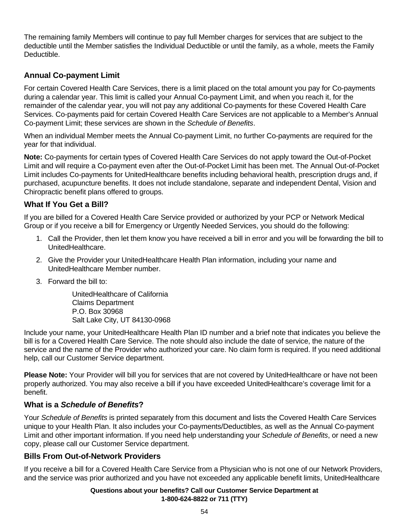The remaining family Members will continue to pay full Member charges for services that are subject to the deductible until the Member satisfies the Individual Deductible or until the family, as a whole, meets the Family Deductible.

# **Annual Co-payment Limit**

For certain Covered Health Care Services, there is a limit placed on the total amount you pay for Co-payments during a calendar year. This limit is called your Annual Co-payment Limit, and when you reach it, for the remainder of the calendar year, you will not pay any additional Co-payments for these Covered Health Care Services. Co-payments paid for certain Covered Health Care Services are not applicable to a Member's Annual Co-payment Limit; these services are shown in the *Schedule of Benefits*.

When an individual Member meets the Annual Co-payment Limit, no further Co-payments are required for the year for that individual.

**Note:** Co-payments for certain types of Covered Health Care Services do not apply toward the Out-of-Pocket Limit and will require a Co-payment even after the Out-of-Pocket Limit has been met. The Annual Out-of-Pocket Limit includes Co-payments for UnitedHealthcare benefits including behavioral health, prescription drugs and, if purchased, acupuncture benefits. It does not include standalone, separate and independent Dental, Vision and Chiropractic benefit plans offered to groups.

# **What If You Get a Bill?**

If you are billed for a Covered Health Care Service provided or authorized by your PCP or Network Medical Group or if you receive a bill for Emergency or Urgently Needed Services, you should do the following:

- 1. Call the Provider, then let them know you have received a bill in error and you will be forwarding the bill to UnitedHealthcare.
- 2. Give the Provider your UnitedHealthcare Health Plan information, including your name and UnitedHealthcare Member number.
- 3. Forward the bill to:

UnitedHealthcare of California Claims Department P.O. Box 30968 Salt Lake City, UT 84130-0968

Include your name, your UnitedHealthcare Health Plan ID number and a brief note that indicates you believe the bill is for a Covered Health Care Service. The note should also include the date of service, the nature of the service and the name of the Provider who authorized your care. No claim form is required. If you need additional help, call our Customer Service department.

**Please Note:** Your Provider will bill you for services that are not covered by UnitedHealthcare or have not been properly authorized. You may also receive a bill if you have exceeded UnitedHealthcare's coverage limit for a benefit.

# **What is a** *Schedule of Benefits***?**

Your *Schedule of Benefits* is printed separately from this document and lists the Covered Health Care Services unique to your Health Plan. It also includes your Co-payments/Deductibles, as well as the Annual Co-payment Limit and other important information. If you need help understanding your *Schedule of Benefits*, or need a new copy, please call our Customer Service department.

# **Bills From Out-of-Network Providers**

If you receive a bill for a Covered Health Care Service from a Physician who is not one of our Network Providers, and the service was prior authorized and you have not exceeded any applicable benefit limits, UnitedHealthcare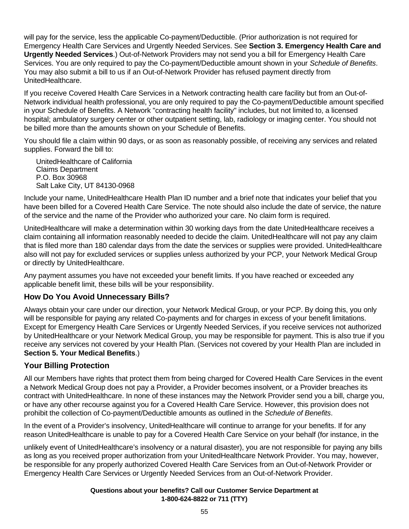will pay for the service, less the applicable Co-payment/Deductible. (Prior authorization is not required for Emergency Health Care Services and Urgently Needed Services. See **Section 3. Emergency Health Care and Urgently Needed Services**.) Out-of-Network Providers may not send you a bill for Emergency Health Care Services. You are only required to pay the Co-payment/Deductible amount shown in your *Schedule of Benefits*. You may also submit a bill to us if an Out-of-Network Provider has refused payment directly from UnitedHealthcare.

If you receive Covered Health Care Services in a Network contracting health care facility but from an Out-of-Network individual health professional, you are only required to pay the Co-payment/Deductible amount specified in your Schedule of Benefits. A Network "contracting health facility" includes, but not limited to, a licensed hospital; ambulatory surgery center or other outpatient setting, lab, radiology or imaging center. You should not be billed more than the amounts shown on your Schedule of Benefits.

You should file a claim within 90 days, or as soon as reasonably possible, of receiving any services and related supplies. Forward the bill to:

UnitedHealthcare of California Claims Department P.O. Box 30968 Salt Lake City, UT 84130-0968

Include your name, UnitedHealthcare Health Plan ID number and a brief note that indicates your belief that you have been billed for a Covered Health Care Service. The note should also include the date of service, the nature of the service and the name of the Provider who authorized your care. No claim form is required.

UnitedHealthcare will make a determination within 30 working days from the date UnitedHealthcare receives a claim containing all information reasonably needed to decide the claim. UnitedHealthcare will not pay any claim that is filed more than 180 calendar days from the date the services or supplies were provided. UnitedHealthcare also will not pay for excluded services or supplies unless authorized by your PCP, your Network Medical Group or directly by UnitedHealthcare.

Any payment assumes you have not exceeded your benefit limits. If you have reached or exceeded any applicable benefit limit, these bills will be your responsibility.

# **How Do You Avoid Unnecessary Bills?**

Always obtain your care under our direction, your Network Medical Group, or your PCP. By doing this, you only will be responsible for paying any related Co-payments and for charges in excess of your benefit limitations. Except for Emergency Health Care Services or Urgently Needed Services, if you receive services not authorized by UnitedHealthcare or your Network Medical Group, you may be responsible for payment. This is also true if you receive any services not covered by your Health Plan. (Services not covered by your Health Plan are included in **Section 5. Your Medical Benefits**.)

# **Your Billing Protection**

All our Members have rights that protect them from being charged for Covered Health Care Services in the event a Network Medical Group does not pay a Provider, a Provider becomes insolvent, or a Provider breaches its contract with UnitedHealthcare. In none of these instances may the Network Provider send you a bill, charge you, or have any other recourse against you for a Covered Health Care Service. However, this provision does not prohibit the collection of Co-payment/Deductible amounts as outlined in the *Schedule of Benefits*.

In the event of a Provider's insolvency, UnitedHealthcare will continue to arrange for your benefits. If for any reason UnitedHealthcare is unable to pay for a Covered Health Care Service on your behalf (for instance, in the

unlikely event of UnitedHealthcare's insolvency or a natural disaster), you are not responsible for paying any bills as long as you received proper authorization from your UnitedHealthcare Network Provider. You may, however, be responsible for any properly authorized Covered Health Care Services from an Out-of-Network Provider or Emergency Health Care Services or Urgently Needed Services from an Out-of-Network Provider.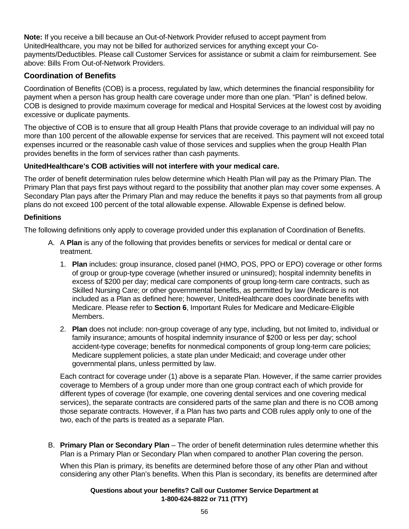**Note:** If you receive a bill because an Out-of-Network Provider refused to accept payment from UnitedHealthcare, you may not be billed for authorized services for anything except your Copayments/Deductibles. Please call Customer Services for assistance or submit a claim for reimbursement. See above: Bills From Out-of-Network Providers.

# **Coordination of Benefits**

Coordination of Benefits (COB) is a process, regulated by law, which determines the financial responsibility for payment when a person has group health care coverage under more than one plan. "Plan" is defined below. COB is designed to provide maximum coverage for medical and Hospital Services at the lowest cost by avoiding excessive or duplicate payments.

The objective of COB is to ensure that all group Health Plans that provide coverage to an individual will pay no more than 100 percent of the allowable expense for services that are received. This payment will not exceed total expenses incurred or the reasonable cash value of those services and supplies when the group Health Plan provides benefits in the form of services rather than cash payments.

### **UnitedHealthcare's COB activities will not interfere with your medical care.**

The order of benefit determination rules below determine which Health Plan will pay as the Primary Plan. The Primary Plan that pays first pays without regard to the possibility that another plan may cover some expenses. A Secondary Plan pays after the Primary Plan and may reduce the benefits it pays so that payments from all group plans do not exceed 100 percent of the total allowable expense. Allowable Expense is defined below.

### **Definitions**

The following definitions only apply to coverage provided under this explanation of Coordination of Benefits.

- A. A **Plan** is any of the following that provides benefits or services for medical or dental care or treatment.
	- 1. **Plan** includes: group insurance, closed panel (HMO, POS, PPO or EPO) coverage or other forms of group or group-type coverage (whether insured or uninsured); hospital indemnity benefits in excess of \$200 per day; medical care components of group long-term care contracts, such as Skilled Nursing Care; or other governmental benefits, as permitted by law (Medicare is not included as a Plan as defined here; however, UnitedHealthcare does coordinate benefits with Medicare. Please refer to **Section 6**, Important Rules for Medicare and Medicare-Eligible Members.
	- 2. **Plan** does not include: non-group coverage of any type, including, but not limited to, individual or family insurance; amounts of hospital indemnity insurance of \$200 or less per day; school accident-type coverage; benefits for nonmedical components of group long-term care policies; Medicare supplement policies, a state plan under Medicaid; and coverage under other governmental plans, unless permitted by law.

Each contract for coverage under (1) above is a separate Plan. However, if the same carrier provides coverage to Members of a group under more than one group contract each of which provide for different types of coverage (for example, one covering dental services and one covering medical services), the separate contracts are considered parts of the same plan and there is no COB among those separate contracts. However, if a Plan has two parts and COB rules apply only to one of the two, each of the parts is treated as a separate Plan.

B. **Primary Plan or Secondary Plan** – The order of benefit determination rules determine whether this Plan is a Primary Plan or Secondary Plan when compared to another Plan covering the person.

When this Plan is primary, its benefits are determined before those of any other Plan and without considering any other Plan's benefits. When this Plan is secondary, its benefits are determined after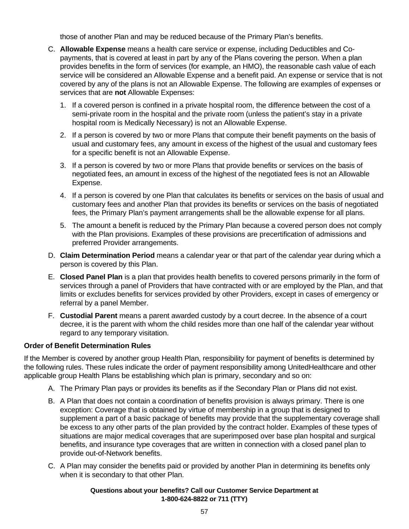those of another Plan and may be reduced because of the Primary Plan's benefits.

- C. **Allowable Expense** means a health care service or expense, including Deductibles and Copayments, that is covered at least in part by any of the Plans covering the person. When a plan provides benefits in the form of services (for example, an HMO), the reasonable cash value of each service will be considered an Allowable Expense and a benefit paid. An expense or service that is not covered by any of the plans is not an Allowable Expense. The following are examples of expenses or services that are **not** Allowable Expenses:
	- 1. If a covered person is confined in a private hospital room, the difference between the cost of a semi-private room in the hospital and the private room (unless the patient's stay in a private hospital room is Medically Necessary) is not an Allowable Expense.
	- 2. If a person is covered by two or more Plans that compute their benefit payments on the basis of usual and customary fees, any amount in excess of the highest of the usual and customary fees for a specific benefit is not an Allowable Expense.
	- 3. If a person is covered by two or more Plans that provide benefits or services on the basis of negotiated fees, an amount in excess of the highest of the negotiated fees is not an Allowable Expense.
	- 4. If a person is covered by one Plan that calculates its benefits or services on the basis of usual and customary fees and another Plan that provides its benefits or services on the basis of negotiated fees, the Primary Plan's payment arrangements shall be the allowable expense for all plans.
	- 5. The amount a benefit is reduced by the Primary Plan because a covered person does not comply with the Plan provisions. Examples of these provisions are precertification of admissions and preferred Provider arrangements.
- D. **Claim Determination Period** means a calendar year or that part of the calendar year during which a person is covered by this Plan.
- E. **Closed Panel Plan** is a plan that provides health benefits to covered persons primarily in the form of services through a panel of Providers that have contracted with or are employed by the Plan, and that limits or excludes benefits for services provided by other Providers, except in cases of emergency or referral by a panel Member.
- F. **Custodial Parent** means a parent awarded custody by a court decree. In the absence of a court decree, it is the parent with whom the child resides more than one half of the calendar year without regard to any temporary visitation.

#### **Order of Benefit Determination Rules**

If the Member is covered by another group Health Plan, responsibility for payment of benefits is determined by the following rules. These rules indicate the order of payment responsibility among UnitedHealthcare and other applicable group Health Plans be establishing which plan is primary, secondary and so on:

- A. The Primary Plan pays or provides its benefits as if the Secondary Plan or Plans did not exist.
- B. A Plan that does not contain a coordination of benefits provision is always primary. There is one exception: Coverage that is obtained by virtue of membership in a group that is designed to supplement a part of a basic package of benefits may provide that the supplementary coverage shall be excess to any other parts of the plan provided by the contract holder. Examples of these types of situations are major medical coverages that are superimposed over base plan hospital and surgical benefits, and insurance type coverages that are written in connection with a closed panel plan to provide out-of-Network benefits.
- C. A Plan may consider the benefits paid or provided by another Plan in determining its benefits only when it is secondary to that other Plan.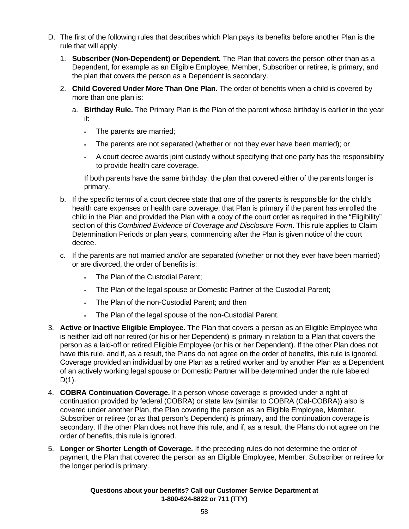- D. The first of the following rules that describes which Plan pays its benefits before another Plan is the rule that will apply.
	- 1. **Subscriber (Non-Dependent) or Dependent.** The Plan that covers the person other than as a Dependent, for example as an Eligible Employee, Member, Subscriber or retiree, is primary, and the plan that covers the person as a Dependent is secondary.
	- 2. **Child Covered Under More Than One Plan.** The order of benefits when a child is covered by more than one plan is:
		- a. **Birthday Rule.** The Primary Plan is the Plan of the parent whose birthday is earlier in the year if:
			- . The parents are married;
			- The parents are not separated (whether or not they ever have been married); or
			- A court decree awards joint custody without specifying that one party has the responsibility to provide health care coverage.

If both parents have the same birthday, the plan that covered either of the parents longer is primary.

- b. If the specific terms of a court decree state that one of the parents is responsible for the child's health care expenses or health care coverage, that Plan is primary if the parent has enrolled the child in the Plan and provided the Plan with a copy of the court order as required in the "Eligibility" section of this *Combined Evidence of Coverage and Disclosure Form*. This rule applies to Claim Determination Periods or plan years, commencing after the Plan is given notice of the court decree.
- c. If the parents are not married and/or are separated (whether or not they ever have been married) or are divorced, the order of benefits is:
	- The Plan of the Custodial Parent;
	- The Plan of the legal spouse or Domestic Partner of the Custodial Parent;
	- The Plan of the non-Custodial Parent; and then
	- The Plan of the legal spouse of the non-Custodial Parent.
- 3. **Active or Inactive Eligible Employee.** The Plan that covers a person as an Eligible Employee who is neither laid off nor retired (or his or her Dependent) is primary in relation to a Plan that covers the person as a laid-off or retired Eligible Employee (or his or her Dependent). If the other Plan does not have this rule, and if, as a result, the Plans do not agree on the order of benefits, this rule is ignored. Coverage provided an individual by one Plan as a retired worker and by another Plan as a Dependent of an actively working legal spouse or Domestic Partner will be determined under the rule labeled  $D(1)$ .
- 4. **COBRA Continuation Coverage.** If a person whose coverage is provided under a right of continuation provided by federal (COBRA) or state law (similar to COBRA (Cal-COBRA)) also is covered under another Plan, the Plan covering the person as an Eligible Employee, Member, Subscriber or retiree (or as that person's Dependent) is primary, and the continuation coverage is secondary. If the other Plan does not have this rule, and if, as a result, the Plans do not agree on the order of benefits, this rule is ignored.
- 5. **Longer or Shorter Length of Coverage.** If the preceding rules do not determine the order of payment, the Plan that covered the person as an Eligible Employee, Member, Subscriber or retiree for the longer period is primary.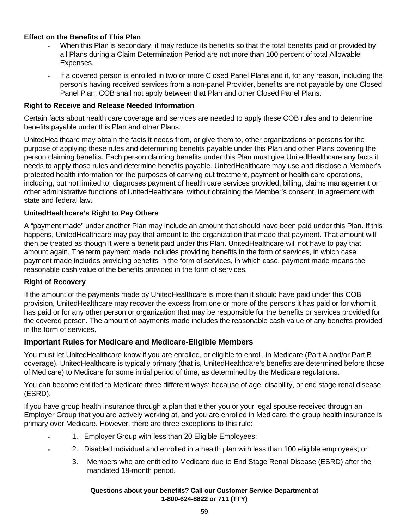### **Effect on the Benefits of This Plan**

- When this Plan is secondary, it may reduce its benefits so that the total benefits paid or provided by all Plans during a Claim Determination Period are not more than 100 percent of total Allowable Expenses.
- If a covered person is enrolled in two or more Closed Panel Plans and if, for any reason, including the person's having received services from a non-panel Provider, benefits are not payable by one Closed Panel Plan, COB shall not apply between that Plan and other Closed Panel Plans.

#### **Right to Receive and Release Needed Information**

Certain facts about health care coverage and services are needed to apply these COB rules and to determine benefits payable under this Plan and other Plans.

UnitedHealthcare may obtain the facts it needs from, or give them to, other organizations or persons for the purpose of applying these rules and determining benefits payable under this Plan and other Plans covering the person claiming benefits. Each person claiming benefits under this Plan must give UnitedHealthcare any facts it needs to apply those rules and determine benefits payable. UnitedHealthcare may use and disclose a Member's protected health information for the purposes of carrying out treatment, payment or health care operations, including, but not limited to, diagnoses payment of health care services provided, billing, claims management or other administrative functions of UnitedHealthcare, without obtaining the Member's consent, in agreement with state and federal law.

#### **UnitedHealthcare's Right to Pay Others**

A "payment made" under another Plan may include an amount that should have been paid under this Plan. If this happens, UnitedHealthcare may pay that amount to the organization that made that payment. That amount will then be treated as though it were a benefit paid under this Plan. UnitedHealthcare will not have to pay that amount again. The term payment made includes providing benefits in the form of services, in which case payment made includes providing benefits in the form of services, in which case, payment made means the reasonable cash value of the benefits provided in the form of services.

#### **Right of Recovery**

If the amount of the payments made by UnitedHealthcare is more than it should have paid under this COB provision, UnitedHealthcare may recover the excess from one or more of the persons it has paid or for whom it has paid or for any other person or organization that may be responsible for the benefits or services provided for the covered person. The amount of payments made includes the reasonable cash value of any benefits provided in the form of services.

#### **Important Rules for Medicare and Medicare-Eligible Members**

You must let UnitedHealthcare know if you are enrolled, or eligible to enroll, in Medicare (Part A and/or Part B coverage). UnitedHealthcare is typically primary (that is, UnitedHealthcare's benefits are determined before those of Medicare) to Medicare for some initial period of time, as determined by the Medicare regulations.

You can become entitled to Medicare three different ways: because of age, disability, or end stage renal disease (ESRD).

If you have group health insurance through a plan that either you or your legal spouse received through an Employer Group that you are actively working at, and you are enrolled in Medicare, the group health insurance is primary over Medicare. However, there are three exceptions to this rule:

- 1. Employer Group with less than 20 Eligible Employees;
- 2. Disabled individual and enrolled in a health plan with less than 100 eligible employees; or
	- 3. Members who are entitled to Medicare due to End Stage Renal Disease (ESRD) after the mandated 18-month period.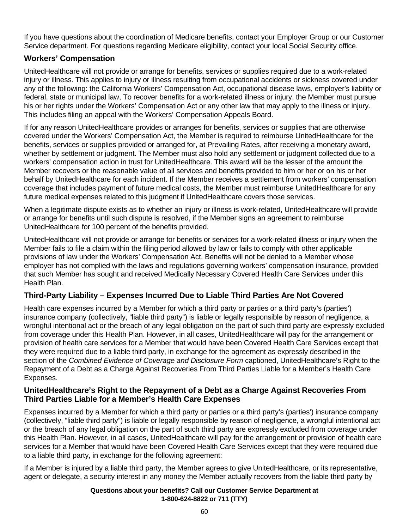If you have questions about the coordination of Medicare benefits, contact your Employer Group or our Customer Service department. For questions regarding Medicare eligibility, contact your local Social Security office.

# **Workers' Compensation**

UnitedHealthcare will not provide or arrange for benefits, services or supplies required due to a work-related injury or illness. This applies to injury or illness resulting from occupational accidents or sickness covered under any of the following: the California Workers' Compensation Act, occupational disease laws, employer's liability or federal, state or municipal law, To recover benefits for a work-related illness or injury, the Member must pursue his or her rights under the Workers' Compensation Act or any other law that may apply to the illness or injury. This includes filing an appeal with the Workers' Compensation Appeals Board.

If for any reason UnitedHealthcare provides or arranges for benefits, services or supplies that are otherwise covered under the Workers' Compensation Act, the Member is required to reimburse UnitedHealthcare for the benefits, services or supplies provided or arranged for, at Prevailing Rates, after receiving a monetary award, whether by settlement or judgment. The Member must also hold any settlement or judgment collected due to a workers' compensation action in trust for UnitedHealthcare. This award will be the lesser of the amount the Member recovers or the reasonable value of all services and benefits provided to him or her or on his or her behalf by UnitedHealthcare for each incident. If the Member receives a settlement from workers' compensation coverage that includes payment of future medical costs, the Member must reimburse UnitedHealthcare for any future medical expenses related to this judgment if UnitedHealthcare covers those services.

When a legitimate dispute exists as to whether an injury or illness is work-related, UnitedHealthcare will provide or arrange for benefits until such dispute is resolved, if the Member signs an agreement to reimburse UnitedHealthcare for 100 percent of the benefits provided.

UnitedHealthcare will not provide or arrange for benefits or services for a work-related illness or injury when the Member fails to file a claim within the filing period allowed by law or fails to comply with other applicable provisions of law under the Workers' Compensation Act. Benefits will not be denied to a Member whose employer has not complied with the laws and regulations governing workers' compensation insurance, provided that such Member has sought and received Medically Necessary Covered Health Care Services under this Health Plan.

# **Third-Party Liability – Expenses Incurred Due to Liable Third Parties Are Not Covered**

Health care expenses incurred by a Member for which a third party or parties or a third party's (parties') insurance company (collectively, "liable third party") is liable or legally responsible by reason of negligence, a wrongful intentional act or the breach of any legal obligation on the part of such third party are expressly excluded from coverage under this Health Plan. However, in all cases, UnitedHealthcare will pay for the arrangement or provision of health care services for a Member that would have been Covered Health Care Services except that they were required due to a liable third party, in exchange for the agreement as expressly described in the section of the *Combined Evidence of Coverage and Disclosure Form* captioned, UnitedHealthcare's Right to the Repayment of a Debt as a Charge Against Recoveries From Third Parties Liable for a Member's Health Care Expenses.

### **UnitedHealthcare's Right to the Repayment of a Debt as a Charge Against Recoveries From Third Parties Liable for a Member's Health Care Expenses**

Expenses incurred by a Member for which a third party or parties or a third party's (parties') insurance company (collectively, "liable third party") is liable or legally responsible by reason of negligence, a wrongful intentional act or the breach of any legal obligation on the part of such third party are expressly excluded from coverage under this Health Plan. However, in all cases, UnitedHealthcare will pay for the arrangement or provision of health care services for a Member that would have been Covered Health Care Services except that they were required due to a liable third party, in exchange for the following agreement:

If a Member is injured by a liable third party, the Member agrees to give UnitedHealthcare, or its representative, agent or delegate, a security interest in any money the Member actually recovers from the liable third party by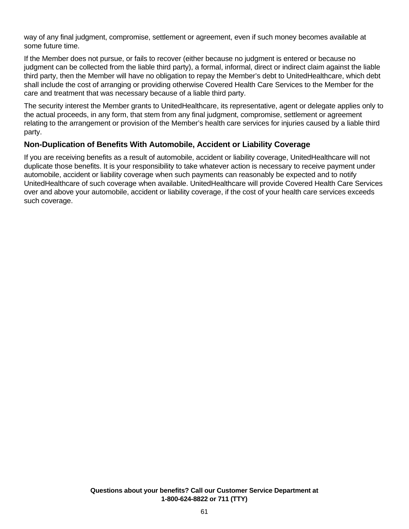way of any final judgment, compromise, settlement or agreement, even if such money becomes available at some future time.

If the Member does not pursue, or fails to recover (either because no judgment is entered or because no judgment can be collected from the liable third party), a formal, informal, direct or indirect claim against the liable third party, then the Member will have no obligation to repay the Member's debt to UnitedHealthcare, which debt shall include the cost of arranging or providing otherwise Covered Health Care Services to the Member for the care and treatment that was necessary because of a liable third party.

The security interest the Member grants to UnitedHealthcare, its representative, agent or delegate applies only to the actual proceeds, in any form, that stem from any final judgment, compromise, settlement or agreement relating to the arrangement or provision of the Member's health care services for injuries caused by a liable third party.

# **Non-Duplication of Benefits With Automobile, Accident or Liability Coverage**

If you are receiving benefits as a result of automobile, accident or liability coverage, UnitedHealthcare will not duplicate those benefits. It is your responsibility to take whatever action is necessary to receive payment under automobile, accident or liability coverage when such payments can reasonably be expected and to notify UnitedHealthcare of such coverage when available. UnitedHealthcare will provide Covered Health Care Services over and above your automobile, accident or liability coverage, if the cost of your health care services exceeds such coverage.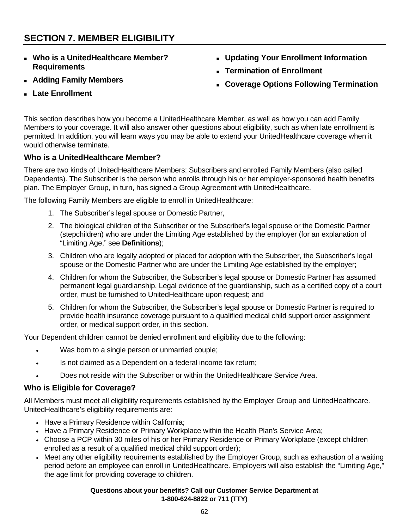# **SECTION 7. MEMBER ELIGIBILITY**

- **Who is a UnitedHealthcare Member? Requirements**
- **Updating Your Enrollment Information**
- **Termination of Enrollment**
- **Coverage Options Following Termination**

**Late Enrollment** 

**Adding Family Members** 

This section describes how you become a UnitedHealthcare Member, as well as how you can add Family Members to your coverage. It will also answer other questions about eligibility, such as when late enrollment is permitted. In addition, you will learn ways you may be able to extend your UnitedHealthcare coverage when it would otherwise terminate.

# **Who is a UnitedHealthcare Member?**

There are two kinds of UnitedHealthcare Members: Subscribers and enrolled Family Members (also called Dependents). The Subscriber is the person who enrolls through his or her employer-sponsored health benefits plan. The Employer Group, in turn, has signed a Group Agreement with UnitedHealthcare.

The following Family Members are eligible to enroll in UnitedHealthcare:

- 1. The Subscriber's legal spouse or Domestic Partner,
- 2. The biological children of the Subscriber or the Subscriber's legal spouse or the Domestic Partner (stepchildren) who are under the Limiting Age established by the employer (for an explanation of "Limiting Age," see **Definitions**);
- 3. Children who are legally adopted or placed for adoption with the Subscriber, the Subscriber's legal spouse or the Domestic Partner who are under the Limiting Age established by the employer;
- 4. Children for whom the Subscriber, the Subscriber's legal spouse or Domestic Partner has assumed permanent legal guardianship. Legal evidence of the guardianship, such as a certified copy of a court order, must be furnished to UnitedHealthcare upon request; and
- 5. Children for whom the Subscriber, the Subscriber's legal spouse or Domestic Partner is required to provide health insurance coverage pursuant to a qualified medical child support order assignment order, or medical support order, in this section.

Your Dependent children cannot be denied enrollment and eligibility due to the following:

- Was born to a single person or unmarried couple;
- Is not claimed as a Dependent on a federal income tax return;
- Does not reside with the Subscriber or within the UnitedHealthcare Service Area.

#### **Who is Eligible for Coverage?**

All Members must meet all eligibility requirements established by the Employer Group and UnitedHealthcare. UnitedHealthcare's eligibility requirements are:

- Have a Primary Residence within California;
- Have a Primary Residence or Primary Workplace within the Health Plan's Service Area;
- Choose a PCP within 30 miles of his or her Primary Residence or Primary Workplace (except children enrolled as a result of a qualified medical child support order);
- Meet any other eligibility requirements established by the Employer Group, such as exhaustion of a waiting period before an employee can enroll in UnitedHealthcare. Employers will also establish the "Limiting Age," the age limit for providing coverage to children.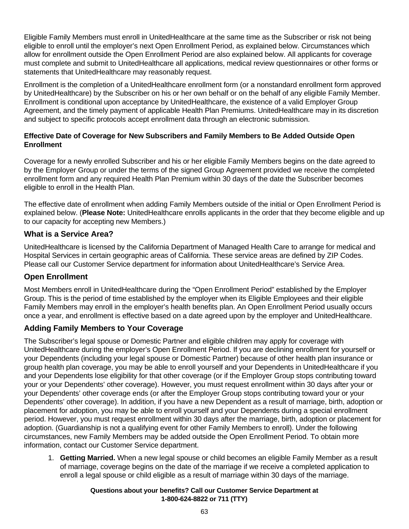Eligible Family Members must enroll in UnitedHealthcare at the same time as the Subscriber or risk not being eligible to enroll until the employer's next Open Enrollment Period, as explained below. Circumstances which allow for enrollment outside the Open Enrollment Period are also explained below. All applicants for coverage must complete and submit to UnitedHealthcare all applications, medical review questionnaires or other forms or statements that UnitedHealthcare may reasonably request.

Enrollment is the completion of a UnitedHealthcare enrollment form (or a nonstandard enrollment form approved by UnitedHealthcare) by the Subscriber on his or her own behalf or on the behalf of any eligible Family Member. Enrollment is conditional upon acceptance by UnitedHealthcare, the existence of a valid Employer Group Agreement, and the timely payment of applicable Health Plan Premiums. UnitedHealthcare may in its discretion and subject to specific protocols accept enrollment data through an electronic submission.

### **Effective Date of Coverage for New Subscribers and Family Members to Be Added Outside Open Enrollment**

Coverage for a newly enrolled Subscriber and his or her eligible Family Members begins on the date agreed to by the Employer Group or under the terms of the signed Group Agreement provided we receive the completed enrollment form and any required Health Plan Premium within 30 days of the date the Subscriber becomes eligible to enroll in the Health Plan.

The effective date of enrollment when adding Family Members outside of the initial or Open Enrollment Period is explained below. (**Please Note:** UnitedHealthcare enrolls applicants in the order that they become eligible and up to our capacity for accepting new Members.)

# **What is a Service Area?**

UnitedHealthcare is licensed by the California Department of Managed Health Care to arrange for medical and Hospital Services in certain geographic areas of California. These service areas are defined by ZIP Codes. Please call our Customer Service department for information about UnitedHealthcare's Service Area.

# **Open Enrollment**

Most Members enroll in UnitedHealthcare during the "Open Enrollment Period" established by the Employer Group. This is the period of time established by the employer when its Eligible Employees and their eligible Family Members may enroll in the employer's health benefits plan. An Open Enrollment Period usually occurs once a year, and enrollment is effective based on a date agreed upon by the employer and UnitedHealthcare.

# **Adding Family Members to Your Coverage**

The Subscriber's legal spouse or Domestic Partner and eligible children may apply for coverage with UnitedHealthcare during the employer's Open Enrollment Period. If you are declining enrollment for yourself or your Dependents (including your legal spouse or Domestic Partner) because of other health plan insurance or group health plan coverage, you may be able to enroll yourself and your Dependents in UnitedHealthcare if you and your Dependents lose eligibility for that other coverage (or if the Employer Group stops contributing toward your or your Dependents' other coverage). However, you must request enrollment within 30 days after your or your Dependents' other coverage ends (or after the Employer Group stops contributing toward your or your Dependents' other coverage). In addition, if you have a new Dependent as a result of marriage, birth, adoption or placement for adoption, you may be able to enroll yourself and your Dependents during a special enrollment period. However, you must request enrollment within 30 days after the marriage, birth, adoption or placement for adoption. (Guardianship is not a qualifying event for other Family Members to enroll). Under the following circumstances, new Family Members may be added outside the Open Enrollment Period. To obtain more information, contact our Customer Service department.

1. **Getting Married.** When a new legal spouse or child becomes an eligible Family Member as a result of marriage, coverage begins on the date of the marriage if we receive a completed application to enroll a legal spouse or child eligible as a result of marriage within 30 days of the marriage.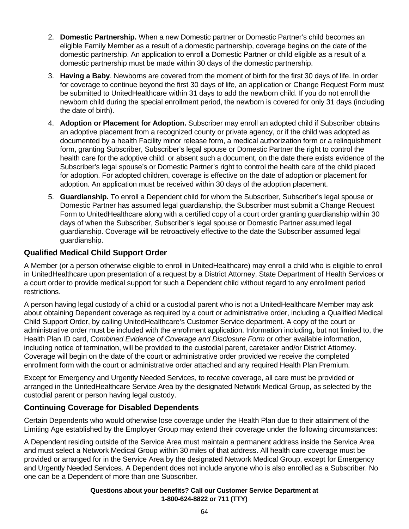- 2. **Domestic Partnership.** When a new Domestic partner or Domestic Partner's child becomes an eligible Family Member as a result of a domestic partnership, coverage begins on the date of the domestic partnership. An application to enroll a Domestic Partner or child eligible as a result of a domestic partnership must be made within 30 days of the domestic partnership.
- 3. **Having a Baby**. Newborns are covered from the moment of birth for the first 30 days of life. In order for coverage to continue beyond the first 30 days of life, an application or Change Request Form must be submitted to UnitedHealthcare within 31 days to add the newborn child. If you do not enroll the newborn child during the special enrollment period, the newborn is covered for only 31 days (including the date of birth).
- 4. **Adoption or Placement for Adoption.** Subscriber may enroll an adopted child if Subscriber obtains an adoptive placement from a recognized county or private agency, or if the child was adopted as documented by a health Facility minor release form, a medical authorization form or a relinquishment form, granting Subscriber, Subscriber's legal spouse or Domestic Partner the right to control the health care for the adoptive child. or absent such a document, on the date there exists evidence of the Subscriber's legal spouse's or Domestic Partner's right to control the health care of the child placed for adoption. For adopted children, coverage is effective on the date of adoption or placement for adoption. An application must be received within 30 days of the adoption placement.
- 5. **Guardianship.** To enroll a Dependent child for whom the Subscriber, Subscriber's legal spouse or Domestic Partner has assumed legal guardianship, the Subscriber must submit a Change Request Form to UnitedHealthcare along with a certified copy of a court order granting guardianship within 30 days of when the Subscriber, Subscriber's legal spouse or Domestic Partner assumed legal guardianship. Coverage will be retroactively effective to the date the Subscriber assumed legal guardianship.

# **Qualified Medical Child Support Order**

A Member (or a person otherwise eligible to enroll in UnitedHealthcare) may enroll a child who is eligible to enroll in UnitedHealthcare upon presentation of a request by a District Attorney, State Department of Health Services or a court order to provide medical support for such a Dependent child without regard to any enrollment period restrictions.

A person having legal custody of a child or a custodial parent who is not a UnitedHealthcare Member may ask about obtaining Dependent coverage as required by a court or administrative order, including a Qualified Medical Child Support Order, by calling UnitedHealthcare's Customer Service department. A copy of the court or administrative order must be included with the enrollment application. Information including, but not limited to, the Health Plan ID card, *Combined Evidence of Coverage and Disclosure Form* or other available information, including notice of termination, will be provided to the custodial parent, caretaker and/or District Attorney. Coverage will begin on the date of the court or administrative order provided we receive the completed enrollment form with the court or administrative order attached and any required Health Plan Premium.

Except for Emergency and Urgently Needed Services, to receive coverage, all care must be provided or arranged in the UnitedHealthcare Service Area by the designated Network Medical Group, as selected by the custodial parent or person having legal custody.

# **Continuing Coverage for Disabled Dependents**

Certain Dependents who would otherwise lose coverage under the Health Plan due to their attainment of the Limiting Age established by the Employer Group may extend their coverage under the following circumstances:

A Dependent residing outside of the Service Area must maintain a permanent address inside the Service Area and must select a Network Medical Group within 30 miles of that address. All health care coverage must be provided or arranged for in the Service Area by the designated Network Medical Group, except for Emergency and Urgently Needed Services. A Dependent does not include anyone who is also enrolled as a Subscriber. No one can be a Dependent of more than one Subscriber.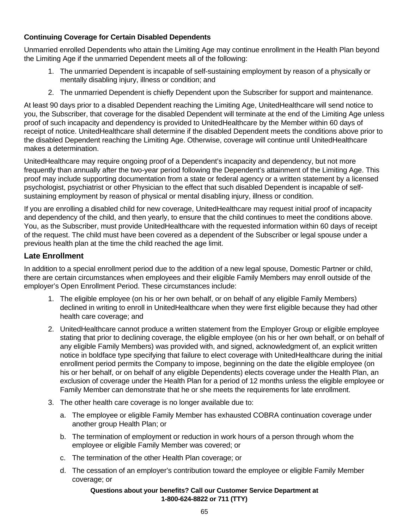# **Continuing Coverage for Certain Disabled Dependents**

Unmarried enrolled Dependents who attain the Limiting Age may continue enrollment in the Health Plan beyond the Limiting Age if the unmarried Dependent meets all of the following:

- 1. The unmarried Dependent is incapable of self-sustaining employment by reason of a physically or mentally disabling injury, illness or condition; and
- 2. The unmarried Dependent is chiefly Dependent upon the Subscriber for support and maintenance.

At least 90 days prior to a disabled Dependent reaching the Limiting Age, UnitedHealthcare will send notice to you, the Subscriber, that coverage for the disabled Dependent will terminate at the end of the Limiting Age unless proof of such incapacity and dependency is provided to UnitedHealthcare by the Member within 60 days of receipt of notice. UnitedHealthcare shall determine if the disabled Dependent meets the conditions above prior to the disabled Dependent reaching the Limiting Age. Otherwise, coverage will continue until UnitedHealthcare makes a determination.

UnitedHealthcare may require ongoing proof of a Dependent's incapacity and dependency, but not more frequently than annually after the two-year period following the Dependent's attainment of the Limiting Age. This proof may include supporting documentation from a state or federal agency or a written statement by a licensed psychologist, psychiatrist or other Physician to the effect that such disabled Dependent is incapable of selfsustaining employment by reason of physical or mental disabling injury, illness or condition.

If you are enrolling a disabled child for new coverage, UnitedHealthcare may request initial proof of incapacity and dependency of the child, and then yearly, to ensure that the child continues to meet the conditions above. You, as the Subscriber, must provide UnitedHealthcare with the requested information within 60 days of receipt of the request. The child must have been covered as a dependent of the Subscriber or legal spouse under a previous health plan at the time the child reached the age limit.

# **Late Enrollment**

In addition to a special enrollment period due to the addition of a new legal spouse, Domestic Partner or child, there are certain circumstances when employees and their eligible Family Members may enroll outside of the employer's Open Enrollment Period. These circumstances include:

- 1. The eligible employee (on his or her own behalf, or on behalf of any eligible Family Members) declined in writing to enroll in UnitedHealthcare when they were first eligible because they had other health care coverage; and
- 2. UnitedHealthcare cannot produce a written statement from the Employer Group or eligible employee stating that prior to declining coverage, the eligible employee (on his or her own behalf, or on behalf of any eligible Family Members) was provided with, and signed, acknowledgment of, an explicit written notice in boldface type specifying that failure to elect coverage with UnitedHealthcare during the initial enrollment period permits the Company to impose, beginning on the date the eligible employee (on his or her behalf, or on behalf of any eligible Dependents) elects coverage under the Health Plan, an exclusion of coverage under the Health Plan for a period of 12 months unless the eligible employee or Family Member can demonstrate that he or she meets the requirements for late enrollment.
- 3. The other health care coverage is no longer available due to:
	- a. The employee or eligible Family Member has exhausted COBRA continuation coverage under another group Health Plan; or
	- b. The termination of employment or reduction in work hours of a person through whom the employee or eligible Family Member was covered; or
	- c. The termination of the other Health Plan coverage; or
	- d. The cessation of an employer's contribution toward the employee or eligible Family Member coverage; or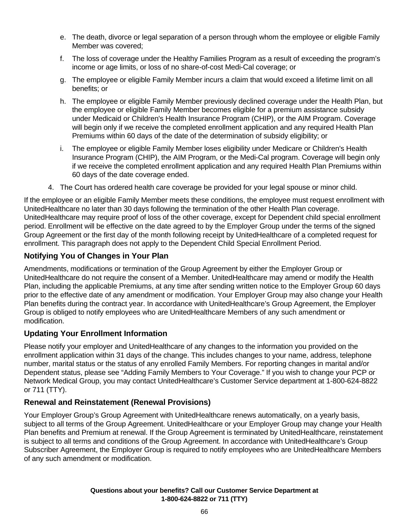- e. The death, divorce or legal separation of a person through whom the employee or eligible Family Member was covered;
- f. The loss of coverage under the Healthy Families Program as a result of exceeding the program's income or age limits, or loss of no share-of-cost Medi-Cal coverage; or
- g. The employee or eligible Family Member incurs a claim that would exceed a lifetime limit on all benefits; or
- h. The employee or eligible Family Member previously declined coverage under the Health Plan, but the employee or eligible Family Member becomes eligible for a premium assistance subsidy under Medicaid or Children's Health Insurance Program (CHIP), or the AIM Program. Coverage will begin only if we receive the completed enrollment application and any required Health Plan Premiums within 60 days of the date of the determination of subsidy eligibility; or
- i. The employee or eligible Family Member loses eligibility under Medicare or Children's Health Insurance Program (CHIP), the AIM Program, or the Medi-Cal program. Coverage will begin only if we receive the completed enrollment application and any required Health Plan Premiums within 60 days of the date coverage ended.
- 4. The Court has ordered health care coverage be provided for your legal spouse or minor child.

If the employee or an eligible Family Member meets these conditions, the employee must request enrollment with UnitedHealthcare no later than 30 days following the termination of the other Health Plan coverage. UnitedHealthcare may require proof of loss of the other coverage, except for Dependent child special enrollment period. Enrollment will be effective on the date agreed to by the Employer Group under the terms of the signed Group Agreement or the first day of the month following receipt by UnitedHealthcare of a completed request for enrollment. This paragraph does not apply to the Dependent Child Special Enrollment Period.

# **Notifying You of Changes in Your Plan**

Amendments, modifications or termination of the Group Agreement by either the Employer Group or UnitedHealthcare do not require the consent of a Member. UnitedHealthcare may amend or modify the Health Plan, including the applicable Premiums, at any time after sending written notice to the Employer Group 60 days prior to the effective date of any amendment or modification. Your Employer Group may also change your Health Plan benefits during the contract year. In accordance with UnitedHealthcare's Group Agreement, the Employer Group is obliged to notify employees who are UnitedHealthcare Members of any such amendment or modification.

# **Updating Your Enrollment Information**

Please notify your employer and UnitedHealthcare of any changes to the information you provided on the enrollment application within 31 days of the change. This includes changes to your name, address, telephone number, marital status or the status of any enrolled Family Members. For reporting changes in marital and/or Dependent status, please see "Adding Family Members to Your Coverage." If you wish to change your PCP or Network Medical Group, you may contact UnitedHealthcare's Customer Service department at 1-800-624-8822 or 711 (TTY).

## **Renewal and Reinstatement (Renewal Provisions)**

Your Employer Group's Group Agreement with UnitedHealthcare renews automatically, on a yearly basis, subject to all terms of the Group Agreement. UnitedHealthcare or your Employer Group may change your Health Plan benefits and Premium at renewal. If the Group Agreement is terminated by UnitedHealthcare, reinstatement is subject to all terms and conditions of the Group Agreement. In accordance with UnitedHealthcare's Group Subscriber Agreement, the Employer Group is required to notify employees who are UnitedHealthcare Members of any such amendment or modification.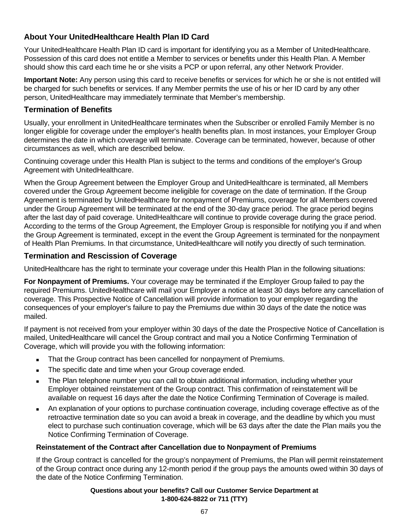# **About Your UnitedHealthcare Health Plan ID Card**

Your UnitedHealthcare Health Plan ID card is important for identifying you as a Member of UnitedHealthcare. Possession of this card does not entitle a Member to services or benefits under this Health Plan. A Member should show this card each time he or she visits a PCP or upon referral, any other Network Provider.

**Important Note:** Any person using this card to receive benefits or services for which he or she is not entitled will be charged for such benefits or services. If any Member permits the use of his or her ID card by any other person, UnitedHealthcare may immediately terminate that Member's membership.

## **Termination of Benefits**

Usually, your enrollment in UnitedHealthcare terminates when the Subscriber or enrolled Family Member is no longer eligible for coverage under the employer's health benefits plan. In most instances, your Employer Group determines the date in which coverage will terminate. Coverage can be terminated, however, because of other circumstances as well, which are described below.

Continuing coverage under this Health Plan is subject to the terms and conditions of the employer's Group Agreement with UnitedHealthcare.

When the Group Agreement between the Employer Group and UnitedHealthcare is terminated, all Members covered under the Group Agreement become ineligible for coverage on the date of termination. If the Group Agreement is terminated by UnitedHealthcare for nonpayment of Premiums, coverage for all Members covered under the Group Agreement will be terminated at the end of the 30-day grace period. The grace period begins after the last day of paid coverage. UnitedHealthcare will continue to provide coverage during the grace period. According to the terms of the Group Agreement, the Employer Group is responsible for notifying you if and when the Group Agreement is terminated, except in the event the Group Agreement is terminated for the nonpayment of Health Plan Premiums. In that circumstance, UnitedHealthcare will notify you directly of such termination.

# **Termination and Rescission of Coverage**

UnitedHealthcare has the right to terminate your coverage under this Health Plan in the following situations:

**For Nonpayment of Premiums.** Your coverage may be terminated if the Employer Group failed to pay the required Premiums. UnitedHealthcare will mail your Employer a notice at least 30 days before any cancellation of coverage. This Prospective Notice of Cancellation will provide information to your employer regarding the consequences of your employer's failure to pay the Premiums due within 30 days of the date the notice was mailed.

If payment is not received from your employer within 30 days of the date the Prospective Notice of Cancellation is mailed, UnitedHealthcare will cancel the Group contract and mail you a Notice Confirming Termination of Coverage, which will provide you with the following information:

- That the Group contract has been cancelled for nonpayment of Premiums.
- The specific date and time when your Group coverage ended.
- The Plan telephone number you can call to obtain additional information, including whether your Employer obtained reinstatement of the Group contract. This confirmation of reinstatement will be available on request 16 days after the date the Notice Confirming Termination of Coverage is mailed.
- An explanation of your options to purchase continuation coverage, including coverage effective as of the retroactive termination date so you can avoid a break in coverage, and the deadline by which you must elect to purchase such continuation coverage, which will be 63 days after the date the Plan mails you the Notice Confirming Termination of Coverage.

## **Reinstatement of the Contract after Cancellation due to Nonpayment of Premiums**

If the Group contract is cancelled for the group's nonpayment of Premiums, the Plan will permit reinstatement of the Group contract once during any 12-month period if the group pays the amounts owed within 30 days of the date of the Notice Confirming Termination.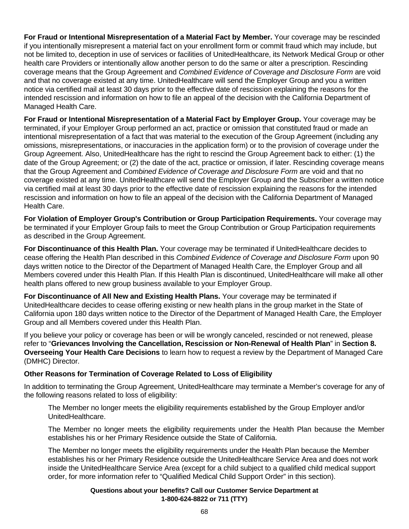**For Fraud or Intentional Misrepresentation of a Material Fact by Member.** Your coverage may be rescinded if you intentionally misrepresent a material fact on your enrollment form or commit fraud which may include, but not be limited to, deception in use of services or facilities of UnitedHealthcare, its Network Medical Group or other health care Providers or intentionally allow another person to do the same or alter a prescription. Rescinding coverage means that the Group Agreement and *Combined Evidence of Coverage and Disclosure Form* are void and that no coverage existed at any time. UnitedHealthcare will send the Employer Group and you a written notice via certified mail at least 30 days prior to the effective date of rescission explaining the reasons for the intended rescission and information on how to file an appeal of the decision with the California Department of Managed Health Care.

**For Fraud or Intentional Misrepresentation of a Material Fact by Employer Group.** Your coverage may be terminated, if your Employer Group performed an act, practice or omission that constituted fraud or made an intentional misrepresentation of a fact that was material to the execution of the Group Agreement (including any omissions, misrepresentations, or inaccuracies in the application form) or to the provision of coverage under the Group Agreement. Also, UnitedHealthcare has the right to rescind the Group Agreement back to either: (1) the date of the Group Agreement; or (2) the date of the act, practice or omission, if later. Rescinding coverage means that the Group Agreement and *Combined Evidence of Coverage and Disclosure Form* are void and that no coverage existed at any time. UnitedHealthcare will send the Employer Group and the Subscriber a written notice via certified mail at least 30 days prior to the effective date of rescission explaining the reasons for the intended rescission and information on how to file an appeal of the decision with the California Department of Managed Health Care.

**For Violation of Employer Group's Contribution or Group Participation Requirements.** Your coverage may be terminated if your Employer Group fails to meet the Group Contribution or Group Participation requirements as described in the Group Agreement.

**For Discontinuance of this Health Plan.** Your coverage may be terminated if UnitedHealthcare decides to cease offering the Health Plan described in this *Combined Evidence of Coverage and Disclosure Form* upon 90 days written notice to the Director of the Department of Managed Health Care, the Employer Group and all Members covered under this Health Plan. If this Health Plan is discontinued, UnitedHealthcare will make all other health plans offered to new group business available to your Employer Group.

**For Discontinuance of All New and Existing Health Plans.** Your coverage may be terminated if UnitedHealthcare decides to cease offering existing or new health plans in the group market in the State of California upon 180 days written notice to the Director of the Department of Managed Health Care, the Employer Group and all Members covered under this Health Plan.

If you believe your policy or coverage has been or will be wrongly canceled, rescinded or not renewed, please refer to "**Grievances Involving the Cancellation, Rescission or Non-Renewal of Health Plan**" in **Section 8. Overseeing Your Health Care Decisions** to learn how to request a review by the Department of Managed Care (DMHC) Director.

#### **Other Reasons for Termination of Coverage Related to Loss of Eligibility**

In addition to terminating the Group Agreement, UnitedHealthcare may terminate a Member's coverage for any of the following reasons related to loss of eligibility:

The Member no longer meets the eligibility requirements established by the Group Employer and/or UnitedHealthcare.

The Member no longer meets the eligibility requirements under the Health Plan because the Member establishes his or her Primary Residence outside the State of California.

The Member no longer meets the eligibility requirements under the Health Plan because the Member establishes his or her Primary Residence outside the UnitedHealthcare Service Area and does not work inside the UnitedHealthcare Service Area (except for a child subject to a qualified child medical support order, for more information refer to "Qualified Medical Child Support Order" in this section).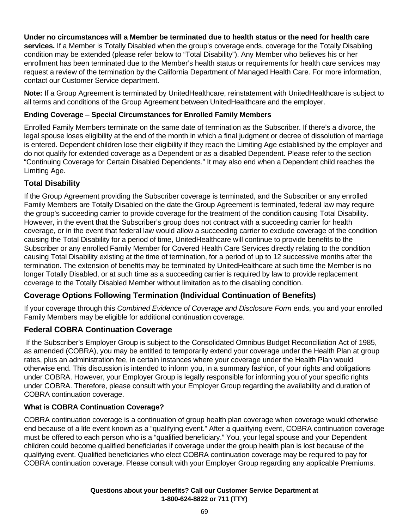## **Under no circumstances will a Member be terminated due to health status or the need for health care**

**services.** If a Member is Totally Disabled when the group's coverage ends, coverage for the Totally Disabling condition may be extended (please refer below to "Total Disability"). Any Member who believes his or her enrollment has been terminated due to the Member's health status or requirements for health care services may request a review of the termination by the California Department of Managed Health Care. For more information, contact our Customer Service department.

**Note:** If a Group Agreement is terminated by UnitedHealthcare, reinstatement with UnitedHealthcare is subject to all terms and conditions of the Group Agreement between UnitedHealthcare and the employer.

#### **Ending Coverage** – **Special Circumstances for Enrolled Family Members**

Enrolled Family Members terminate on the same date of termination as the Subscriber. If there's a divorce, the legal spouse loses eligibility at the end of the month in which a final judgment or decree of dissolution of marriage is entered. Dependent children lose their eligibility if they reach the Limiting Age established by the employer and do not qualify for extended coverage as a Dependent or as a disabled Dependent. Please refer to the section "Continuing Coverage for Certain Disabled Dependents." It may also end when a Dependent child reaches the Limiting Age.

# **Total Disability**

If the Group Agreement providing the Subscriber coverage is terminated, and the Subscriber or any enrolled Family Members are Totally Disabled on the date the Group Agreement is terminated, federal law may require the group's succeeding carrier to provide coverage for the treatment of the condition causing Total Disability. However, in the event that the Subscriber's group does not contract with a succeeding carrier for health coverage, or in the event that federal law would allow a succeeding carrier to exclude coverage of the condition causing the Total Disability for a period of time, UnitedHealthcare will continue to provide benefits to the Subscriber or any enrolled Family Member for Covered Health Care Services directly relating to the condition causing Total Disability existing at the time of termination, for a period of up to 12 successive months after the termination. The extension of benefits may be terminated by UnitedHealthcare at such time the Member is no longer Totally Disabled, or at such time as a succeeding carrier is required by law to provide replacement coverage to the Totally Disabled Member without limitation as to the disabling condition.

# **Coverage Options Following Termination (Individual Continuation of Benefits)**

If your coverage through this *Combined Evidence of Coverage and Disclosure Form* ends, you and your enrolled Family Members may be eligible for additional continuation coverage.

## **Federal COBRA Continuation Coverage**

 If the Subscriber's Employer Group is subject to the Consolidated Omnibus Budget Reconciliation Act of 1985, as amended (COBRA), you may be entitled to temporarily extend your coverage under the Health Plan at group rates, plus an administration fee, in certain instances where your coverage under the Health Plan would otherwise end. This discussion is intended to inform you, in a summary fashion, of your rights and obligations under COBRA. However, your Employer Group is legally responsible for informing you of your specific rights under COBRA. Therefore, please consult with your Employer Group regarding the availability and duration of COBRA continuation coverage.

## **What is COBRA Continuation Coverage?**

COBRA continuation coverage is a continuation of group health plan coverage when coverage would otherwise end because of a life event known as a "qualifying event." After a qualifying event, COBRA continuation coverage must be offered to each person who is a "qualified beneficiary." You, your legal spouse and your Dependent children could become qualified beneficiaries if coverage under the group health plan is lost because of the qualifying event. Qualified beneficiaries who elect COBRA continuation coverage may be required to pay for COBRA continuation coverage. Please consult with your Employer Group regarding any applicable Premiums.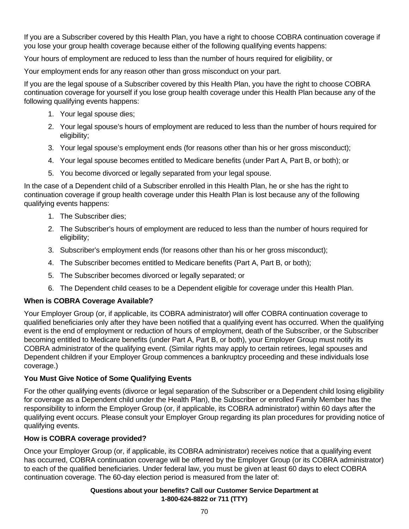If you are a Subscriber covered by this Health Plan, you have a right to choose COBRA continuation coverage if you lose your group health coverage because either of the following qualifying events happens:

Your hours of employment are reduced to less than the number of hours required for eligibility, or

Your employment ends for any reason other than gross misconduct on your part.

If you are the legal spouse of a Subscriber covered by this Health Plan, you have the right to choose COBRA continuation coverage for yourself if you lose group health coverage under this Health Plan because any of the following qualifying events happens:

- 1. Your legal spouse dies;
- 2. Your legal spouse's hours of employment are reduced to less than the number of hours required for eligibility;
- 3. Your legal spouse's employment ends (for reasons other than his or her gross misconduct);
- 4. Your legal spouse becomes entitled to Medicare benefits (under Part A, Part B, or both); or
- 5. You become divorced or legally separated from your legal spouse.

In the case of a Dependent child of a Subscriber enrolled in this Health Plan, he or she has the right to continuation coverage if group health coverage under this Health Plan is lost because any of the following qualifying events happens:

- 1. The Subscriber dies;
- 2. The Subscriber's hours of employment are reduced to less than the number of hours required for eligibility;
- 3. Subscriber's employment ends (for reasons other than his or her gross misconduct);
- 4. The Subscriber becomes entitled to Medicare benefits (Part A, Part B, or both);
- 5. The Subscriber becomes divorced or legally separated; or
- 6. The Dependent child ceases to be a Dependent eligible for coverage under this Health Plan.

#### **When is COBRA Coverage Available?**

Your Employer Group (or, if applicable, its COBRA administrator) will offer COBRA continuation coverage to qualified beneficiaries only after they have been notified that a qualifying event has occurred. When the qualifying event is the end of employment or reduction of hours of employment, death of the Subscriber, or the Subscriber becoming entitled to Medicare benefits (under Part A, Part B, or both), your Employer Group must notify its COBRA administrator of the qualifying event. (Similar rights may apply to certain retirees, legal spouses and Dependent children if your Employer Group commences a bankruptcy proceeding and these individuals lose coverage.)

#### **You Must Give Notice of Some Qualifying Events**

For the other qualifying events (divorce or legal separation of the Subscriber or a Dependent child losing eligibility for coverage as a Dependent child under the Health Plan), the Subscriber or enrolled Family Member has the responsibility to inform the Employer Group (or, if applicable, its COBRA administrator) within 60 days after the qualifying event occurs. Please consult your Employer Group regarding its plan procedures for providing notice of qualifying events.

#### **How is COBRA coverage provided?**

Once your Employer Group (or, if applicable, its COBRA administrator) receives notice that a qualifying event has occurred, COBRA continuation coverage will be offered by the Employer Group (or its COBRA administrator) to each of the qualified beneficiaries. Under federal law, you must be given at least 60 days to elect COBRA continuation coverage. The 60-day election period is measured from the later of: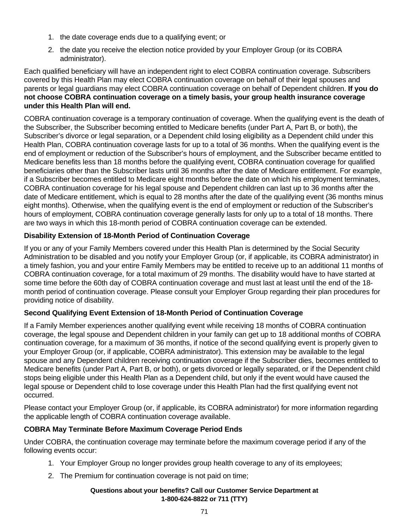- 1. the date coverage ends due to a qualifying event; or
- 2. the date you receive the election notice provided by your Employer Group (or its COBRA administrator).

Each qualified beneficiary will have an independent right to elect COBRA continuation coverage. Subscribers covered by this Health Plan may elect COBRA continuation coverage on behalf of their legal spouses and parents or legal guardians may elect COBRA continuation coverage on behalf of Dependent children. **If you do not choose COBRA continuation coverage on a timely basis, your group health insurance coverage under this Health Plan will end.**

COBRA continuation coverage is a temporary continuation of coverage. When the qualifying event is the death of the Subscriber, the Subscriber becoming entitled to Medicare benefits (under Part A, Part B, or both), the Subscriber's divorce or legal separation, or a Dependent child losing eligibility as a Dependent child under this Health Plan, COBRA continuation coverage lasts for up to a total of 36 months. When the qualifying event is the end of employment or reduction of the Subscriber's hours of employment, and the Subscriber became entitled to Medicare benefits less than 18 months before the qualifying event, COBRA continuation coverage for qualified beneficiaries other than the Subscriber lasts until 36 months after the date of Medicare entitlement. For example, if a Subscriber becomes entitled to Medicare eight months before the date on which his employment terminates, COBRA continuation coverage for his legal spouse and Dependent children can last up to 36 months after the date of Medicare entitlement, which is equal to 28 months after the date of the qualifying event (36 months minus eight months). Otherwise, when the qualifying event is the end of employment or reduction of the Subscriber's hours of employment, COBRA continuation coverage generally lasts for only up to a total of 18 months. There are two ways in which this 18-month period of COBRA continuation coverage can be extended.

## **Disability Extension of 18-Month Period of Continuation Coverage**

If you or any of your Family Members covered under this Health Plan is determined by the Social Security Administration to be disabled and you notify your Employer Group (or, if applicable, its COBRA administrator) in a timely fashion, you and your entire Family Members may be entitled to receive up to an additional 11 months of COBRA continuation coverage, for a total maximum of 29 months. The disability would have to have started at some time before the 60th day of COBRA continuation coverage and must last at least until the end of the 18 month period of continuation coverage. Please consult your Employer Group regarding their plan procedures for providing notice of disability.

## **Second Qualifying Event Extension of 18-Month Period of Continuation Coverage**

If a Family Member experiences another qualifying event while receiving 18 months of COBRA continuation coverage, the legal spouse and Dependent children in your family can get up to 18 additional months of COBRA continuation coverage, for a maximum of 36 months, if notice of the second qualifying event is properly given to your Employer Group (or, if applicable, COBRA administrator). This extension may be available to the legal spouse and any Dependent children receiving continuation coverage if the Subscriber dies, becomes entitled to Medicare benefits (under Part A, Part B, or both), or gets divorced or legally separated, or if the Dependent child stops being eligible under this Health Plan as a Dependent child, but only if the event would have caused the legal spouse or Dependent child to lose coverage under this Health Plan had the first qualifying event not occurred.

Please contact your Employer Group (or, if applicable, its COBRA administrator) for more information regarding the applicable length of COBRA continuation coverage available.

## **COBRA May Terminate Before Maximum Coverage Period Ends**

Under COBRA, the continuation coverage may terminate before the maximum coverage period if any of the following events occur:

- 1. Your Employer Group no longer provides group health coverage to any of its employees;
- 2. The Premium for continuation coverage is not paid on time;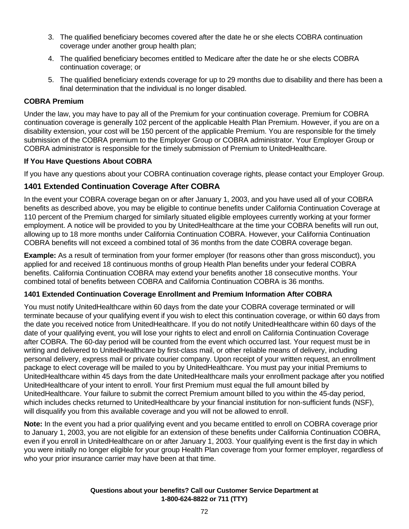- 3. The qualified beneficiary becomes covered after the date he or she elects COBRA continuation coverage under another group health plan;
- 4. The qualified beneficiary becomes entitled to Medicare after the date he or she elects COBRA continuation coverage; or
- 5. The qualified beneficiary extends coverage for up to 29 months due to disability and there has been a final determination that the individual is no longer disabled.

## **COBRA Premium**

Under the law, you may have to pay all of the Premium for your continuation coverage. Premium for COBRA continuation coverage is generally 102 percent of the applicable Health Plan Premium. However, if you are on a disability extension, your cost will be 150 percent of the applicable Premium. You are responsible for the timely submission of the COBRA premium to the Employer Group or COBRA administrator. Your Employer Group or COBRA administrator is responsible for the timely submission of Premium to UnitedHealthcare.

## **If You Have Questions About COBRA**

If you have any questions about your COBRA continuation coverage rights, please contact your Employer Group.

# **1401 Extended Continuation Coverage After COBRA**

In the event your COBRA coverage began on or after January 1, 2003, and you have used all of your COBRA benefits as described above, you may be eligible to continue benefits under California Continuation Coverage at 110 percent of the Premium charged for similarly situated eligible employees currently working at your former employment. A notice will be provided to you by UnitedHealthcare at the time your COBRA benefits will run out, allowing up to 18 more months under California Continuation COBRA. However, your California Continuation COBRA benefits will not exceed a combined total of 36 months from the date COBRA coverage began.

**Example:** As a result of termination from your former employer (for reasons other than gross misconduct), you applied for and received 18 continuous months of group Health Plan benefits under your federal COBRA benefits. California Continuation COBRA may extend your benefits another 18 consecutive months. Your combined total of benefits between COBRA and California Continuation COBRA is 36 months.

## **1401 Extended Continuation Coverage Enrollment and Premium Information After COBRA**

You must notify UnitedHealthcare within 60 days from the date your COBRA coverage terminated or will terminate because of your qualifying event if you wish to elect this continuation coverage, or within 60 days from the date you received notice from UnitedHealthcare. If you do not notify UnitedHealthcare within 60 days of the date of your qualifying event, you will lose your rights to elect and enroll on California Continuation Coverage after COBRA. The 60-day period will be counted from the event which occurred last. Your request must be in writing and delivered to UnitedHealthcare by first-class mail, or other reliable means of delivery, including personal delivery, express mail or private courier company. Upon receipt of your written request, an enrollment package to elect coverage will be mailed to you by UnitedHealthcare. You must pay your initial Premiums to UnitedHealthcare within 45 days from the date UnitedHealthcare mails your enrollment package after you notified UnitedHealthcare of your intent to enroll. Your first Premium must equal the full amount billed by UnitedHealthcare. Your failure to submit the correct Premium amount billed to you within the 45-day period, which includes checks returned to UnitedHealthcare by your financial institution for non-sufficient funds (NSF), will disqualify you from this available coverage and you will not be allowed to enroll.

**Note:** In the event you had a prior qualifying event and you became entitled to enroll on COBRA coverage prior to January 1, 2003, you are not eligible for an extension of these benefits under California Continuation COBRA, even if you enroll in UnitedHealthcare on or after January 1, 2003. Your qualifying event is the first day in which you were initially no longer eligible for your group Health Plan coverage from your former employer, regardless of who your prior insurance carrier may have been at that time.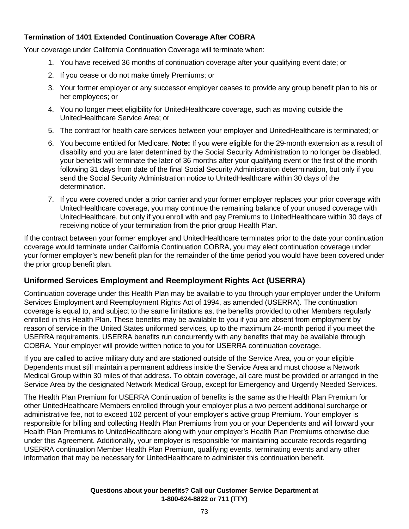# **Termination of 1401 Extended Continuation Coverage After COBRA**

Your coverage under California Continuation Coverage will terminate when:

- 1. You have received 36 months of continuation coverage after your qualifying event date; or
- 2. If you cease or do not make timely Premiums; or
- 3. Your former employer or any successor employer ceases to provide any group benefit plan to his or her employees; or
- 4. You no longer meet eligibility for UnitedHealthcare coverage, such as moving outside the UnitedHealthcare Service Area; or
- 5. The contract for health care services between your employer and UnitedHealthcare is terminated; or
- 6. You become entitled for Medicare. **Note:** If you were eligible for the 29-month extension as a result of disability and you are later determined by the Social Security Administration to no longer be disabled, your benefits will terminate the later of 36 months after your qualifying event or the first of the month following 31 days from date of the final Social Security Administration determination, but only if you send the Social Security Administration notice to UnitedHealthcare within 30 days of the determination.
- 7. If you were covered under a prior carrier and your former employer replaces your prior coverage with UnitedHealthcare coverage, you may continue the remaining balance of your unused coverage with UnitedHealthcare, but only if you enroll with and pay Premiums to UnitedHealthcare within 30 days of receiving notice of your termination from the prior group Health Plan.

If the contract between your former employer and UnitedHealthcare terminates prior to the date your continuation coverage would terminate under California Continuation COBRA, you may elect continuation coverage under your former employer's new benefit plan for the remainder of the time period you would have been covered under the prior group benefit plan.

## **Uniformed Services Employment and Reemployment Rights Act (USERRA)**

Continuation coverage under this Health Plan may be available to you through your employer under the Uniform Services Employment and Reemployment Rights Act of 1994, as amended (USERRA). The continuation coverage is equal to, and subject to the same limitations as, the benefits provided to other Members regularly enrolled in this Health Plan. These benefits may be available to you if you are absent from employment by reason of service in the United States uniformed services, up to the maximum 24-month period if you meet the USERRA requirements. USERRA benefits run concurrently with any benefits that may be available through COBRA. Your employer will provide written notice to you for USERRA continuation coverage.

If you are called to active military duty and are stationed outside of the Service Area, you or your eligible Dependents must still maintain a permanent address inside the Service Area and must choose a Network Medical Group within 30 miles of that address. To obtain coverage, all care must be provided or arranged in the Service Area by the designated Network Medical Group, except for Emergency and Urgently Needed Services.

The Health Plan Premium for USERRA Continuation of benefits is the same as the Health Plan Premium for other UnitedHealthcare Members enrolled through your employer plus a two percent additional surcharge or administrative fee, not to exceed 102 percent of your employer's active group Premium. Your employer is responsible for billing and collecting Health Plan Premiums from you or your Dependents and will forward your Health Plan Premiums to UnitedHealthcare along with your employer's Health Plan Premiums otherwise due under this Agreement. Additionally, your employer is responsible for maintaining accurate records regarding USERRA continuation Member Health Plan Premium, qualifying events, terminating events and any other information that may be necessary for UnitedHealthcare to administer this continuation benefit.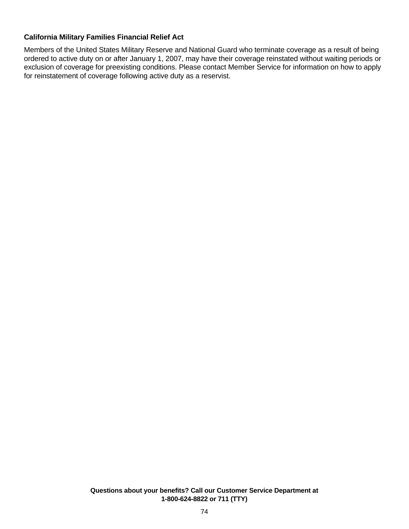#### **California Military Families Financial Relief Act**

Members of the United States Military Reserve and National Guard who terminate coverage as a result of being ordered to active duty on or after January 1, 2007, may have their coverage reinstated without waiting periods or exclusion of coverage for preexisting conditions. Please contact Member Service for information on how to apply for reinstatement of coverage following active duty as a reservist.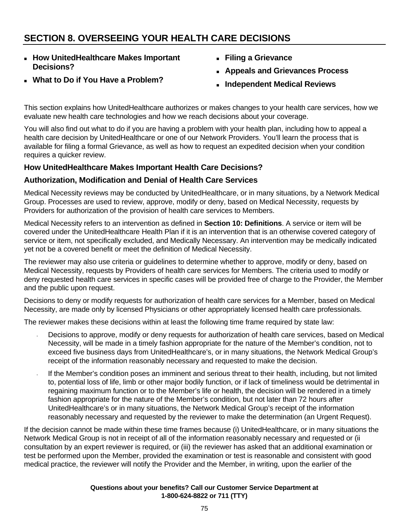# **SECTION 8. OVERSEEING YOUR HEALTH CARE DECISIONS**

 **How UnitedHealthcare Makes Important Decisions?** 

**What to Do if You Have a Problem?** 

- **Filing a Grievance**
- **Appeals and Grievances Process**
- **Independent Medical Reviews**

This section explains how UnitedHealthcare authorizes or makes changes to your health care services, how we evaluate new health care technologies and how we reach decisions about your coverage.

You will also find out what to do if you are having a problem with your health plan, including how to appeal a health care decision by UnitedHealthcare or one of our Network Providers. You'll learn the process that is available for filing a formal Grievance, as well as how to request an expedited decision when your condition requires a quicker review.

# **How UnitedHealthcare Makes Important Health Care Decisions?**

# **Authorization, Modification and Denial of Health Care Services**

Medical Necessity reviews may be conducted by UnitedHealthcare, or in many situations, by a Network Medical Group. Processes are used to review, approve, modify or deny, based on Medical Necessity, requests by Providers for authorization of the provision of health care services to Members.

Medical Necessity refers to an intervention as defined in **Section 10: Definitions**. A service or item will be covered under the UnitedHealthcare Health Plan if it is an intervention that is an otherwise covered category of service or item, not specifically excluded, and Medically Necessary. An intervention may be medically indicated yet not be a covered benefit or meet the definition of Medical Necessity.

The reviewer may also use criteria or guidelines to determine whether to approve, modify or deny, based on Medical Necessity, requests by Providers of health care services for Members. The criteria used to modify or deny requested health care services in specific cases will be provided free of charge to the Provider, the Member and the public upon request.

Decisions to deny or modify requests for authorization of health care services for a Member, based on Medical Necessity, are made only by licensed Physicians or other appropriately licensed health care professionals.

The reviewer makes these decisions within at least the following time frame required by state law:

- Decisions to approve, modify or deny requests for authorization of health care services, based on Medical Necessity, will be made in a timely fashion appropriate for the nature of the Member's condition, not to exceed five business days from UnitedHealthcare's, or in many situations, the Network Medical Group's receipt of the information reasonably necessary and requested to make the decision.
- If the Member's condition poses an imminent and serious threat to their health, including, but not limited to, potential loss of life, limb or other major bodily function, or if lack of timeliness would be detrimental in regaining maximum function or to the Member's life or health, the decision will be rendered in a timely fashion appropriate for the nature of the Member's condition, but not later than 72 hours after UnitedHealthcare's or in many situations, the Network Medical Group's receipt of the information reasonably necessary and requested by the reviewer to make the determination (an Urgent Request).

If the decision cannot be made within these time frames because (i) UnitedHealthcare, or in many situations the Network Medical Group is not in receipt of all of the information reasonably necessary and requested or (ii consultation by an expert reviewer is required, or (iii) the reviewer has asked that an additional examination or test be performed upon the Member, provided the examination or test is reasonable and consistent with good medical practice, the reviewer will notify the Provider and the Member, in writing, upon the earlier of the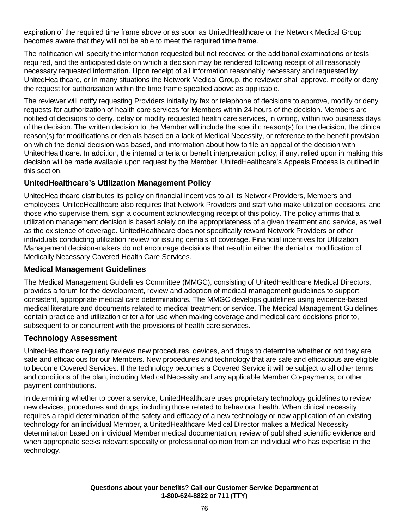expiration of the required time frame above or as soon as UnitedHealthcare or the Network Medical Group becomes aware that they will not be able to meet the required time frame.

The notification will specify the information requested but not received or the additional examinations or tests required, and the anticipated date on which a decision may be rendered following receipt of all reasonably necessary requested information. Upon receipt of all information reasonably necessary and requested by UnitedHealthcare, or in many situations the Network Medical Group, the reviewer shall approve, modify or deny the request for authorization within the time frame specified above as applicable.

The reviewer will notify requesting Providers initially by fax or telephone of decisions to approve, modify or deny requests for authorization of health care services for Members within 24 hours of the decision. Members are notified of decisions to deny, delay or modify requested health care services, in writing, within two business days of the decision. The written decision to the Member will include the specific reason(s) for the decision, the clinical reason(s) for modifications or denials based on a lack of Medical Necessity, or reference to the benefit provision on which the denial decision was based, and information about how to file an appeal of the decision with UnitedHealthcare. In addition, the internal criteria or benefit interpretation policy, if any, relied upon in making this decision will be made available upon request by the Member. UnitedHealthcare's Appeals Process is outlined in this section.

# **UnitedHealthcare's Utilization Management Policy**

UnitedHealthcare distributes its policy on financial incentives to all its Network Providers, Members and employees. UnitedHealthcare also requires that Network Providers and staff who make utilization decisions, and those who supervise them, sign a document acknowledging receipt of this policy. The policy affirms that a utilization management decision is based solely on the appropriateness of a given treatment and service, as well as the existence of coverage. UnitedHealthcare does not specifically reward Network Providers or other individuals conducting utilization review for issuing denials of coverage. Financial incentives for Utilization Management decision-makers do not encourage decisions that result in either the denial or modification of Medically Necessary Covered Health Care Services.

## **Medical Management Guidelines**

The Medical Management Guidelines Committee (MMGC), consisting of UnitedHealthcare Medical Directors, provides a forum for the development, review and adoption of medical management guidelines to support consistent, appropriate medical care determinations. The MMGC develops guidelines using evidence-based medical literature and documents related to medical treatment or service. The Medical Management Guidelines contain practice and utilization criteria for use when making coverage and medical care decisions prior to, subsequent to or concurrent with the provisions of health care services.

## **Technology Assessment**

UnitedHealthcare regularly reviews new procedures, devices, and drugs to determine whether or not they are safe and efficacious for our Members. New procedures and technology that are safe and efficacious are eligible to become Covered Services. If the technology becomes a Covered Service it will be subject to all other terms and conditions of the plan, including Medical Necessity and any applicable Member Co-payments, or other payment contributions.

In determining whether to cover a service, UnitedHealthcare uses proprietary technology guidelines to review new devices, procedures and drugs, including those related to behavioral health. When clinical necessity requires a rapid determination of the safety and efficacy of a new technology or new application of an existing technology for an individual Member, a UnitedHealthcare Medical Director makes a Medical Necessity determination based on individual Member medical documentation, review of published scientific evidence and when appropriate seeks relevant specialty or professional opinion from an individual who has expertise in the technology.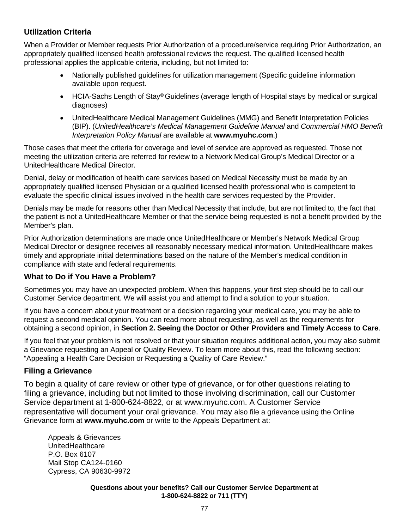# **Utilization Criteria**

When a Provider or Member requests Prior Authorization of a procedure/service requiring Prior Authorization, an appropriately qualified licensed health professional reviews the request. The qualified licensed health professional applies the applicable criteria, including, but not limited to:

- Nationally published guidelines for utilization management (Specific guideline information available upon request.
- HCIA-Sachs Length of Stay<sup>©</sup> Guidelines (average length of Hospital stays by medical or surgical diagnoses)
- UnitedHealthcare Medical Management Guidelines (MMG) and Benefit Interpretation Policies (BIP). (*UnitedHealthcare's Medical Management Guideline Manual* and *Commercial HMO Benefit Interpretation Policy Manual* are available at **www.myuhc.com**.)

Those cases that meet the criteria for coverage and level of service are approved as requested. Those not meeting the utilization criteria are referred for review to a Network Medical Group's Medical Director or a UnitedHealthcare Medical Director.

Denial, delay or modification of health care services based on Medical Necessity must be made by an appropriately qualified licensed Physician or a qualified licensed health professional who is competent to evaluate the specific clinical issues involved in the health care services requested by the Provider.

Denials may be made for reasons other than Medical Necessity that include, but are not limited to, the fact that the patient is not a UnitedHealthcare Member or that the service being requested is not a benefit provided by the Member's plan.

Prior Authorization determinations are made once UnitedHealthcare or Member's Network Medical Group Medical Director or designee receives all reasonably necessary medical information. UnitedHealthcare makes timely and appropriate initial determinations based on the nature of the Member's medical condition in compliance with state and federal requirements.

## **What to Do if You Have a Problem?**

Sometimes you may have an unexpected problem. When this happens, your first step should be to call our Customer Service department. We will assist you and attempt to find a solution to your situation.

If you have a concern about your treatment or a decision regarding your medical care, you may be able to request a second medical opinion. You can read more about requesting, as well as the requirements for obtaining a second opinion, in **Section 2. Seeing the Doctor or Other Providers and Timely Access to Care**.

If you feel that your problem is not resolved or that your situation requires additional action, you may also submit a Grievance requesting an Appeal or Quality Review. To learn more about this, read the following section: "Appealing a Health Care Decision or Requesting a Quality of Care Review."

## **Filing a Grievance**

To begin a quality of care review or other type of grievance, or for other questions relating to filing a grievance, including but not limited to those involving discrimination, call our Customer Service department at 1-800-624-8822, or at www.myuhc.com. A Customer Service representative will document your oral grievance. You may also file a grievance using the Online Grievance form at **www.myuhc.com** or write to the Appeals Department at:

Appeals & Grievances UnitedHealthcare P.O. Box 6107 Mail Stop CA124-0160 Cypress, CA 90630-9972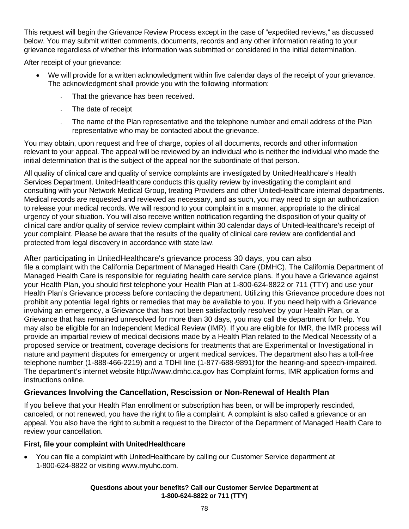This request will begin the Grievance Review Process except in the case of "expedited reviews," as discussed below. You may submit written comments, documents, records and any other information relating to your grievance regardless of whether this information was submitted or considered in the initial determination.

After receipt of your grievance:

- We will provide for a written acknowledgment within five calendar days of the receipt of your grievance. The acknowledgment shall provide you with the following information:
	- That the grievance has been received.
	- The date of receipt
	- The name of the Plan representative and the telephone number and email address of the Plan representative who may be contacted about the grievance.

You may obtain, upon request and free of charge, copies of all documents, records and other information relevant to your appeal. The appeal will be reviewed by an individual who is neither the individual who made the initial determination that is the subject of the appeal nor the subordinate of that person.

All quality of clinical care and quality of service complaints are investigated by UnitedHealthcare's Health Services Department. UnitedHealthcare conducts this quality review by investigating the complaint and consulting with your Network Medical Group, treating Providers and other UnitedHealthcare internal departments. Medical records are requested and reviewed as necessary, and as such, you may need to sign an authorization to release your medical records. We will respond to your complaint in a manner, appropriate to the clinical urgency of your situation. You will also receive written notification regarding the disposition of your quality of clinical care and/or quality of service review complaint within 30 calendar days of UnitedHealthcare's receipt of your complaint. Please be aware that the results of the quality of clinical care review are confidential and protected from legal discovery in accordance with state law.

After participating in UnitedHealthcare's grievance process 30 days, you can also file a complaint with the California Department of Managed Health Care (DMHC). The California Department of Managed Health Care is responsible for regulating health care service plans. If you have a Grievance against your Health Plan, you should first telephone your Health Plan at 1-800-624-8822 or 711 (TTY) and use your Health Plan's Grievance process before contacting the department. Utilizing this Grievance procedure does not prohibit any potential legal rights or remedies that may be available to you. If you need help with a Grievance involving an emergency, a Grievance that has not been satisfactorily resolved by your Health Plan, or a Grievance that has remained unresolved for more than 30 days, you may call the department for help. You may also be eligible for an Independent Medical Review (IMR). If you are eligible for IMR, the IMR process will provide an impartial review of medical decisions made by a Health Plan related to the Medical Necessity of a proposed service or treatment, coverage decisions for treatments that are Experimental or Investigational in nature and payment disputes for emergency or urgent medical services. The department also has a toll-free telephone number (1-888-466-2219) and a TDHI line (1-877-688-9891) for the hearing-and speech-impaired. The department's internet website http://www.dmhc.ca.gov has Complaint forms, IMR application forms and instructions online.

## **Grievances Involving the Cancellation, Rescission or Non-Renewal of Health Plan**

If you believe that your Health Plan enrollment or subscription has been, or will be improperly rescinded, canceled, or not renewed, you have the right to file a complaint. A complaint is also called a grievance or an appeal. You also have the right to submit a request to the Director of the Department of Managed Health Care to review your cancellation.

#### **First, file your complaint with UnitedHealthcare**

 You can file a complaint with UnitedHealthcare by calling our Customer Service department at 1-800-624-8822 or visiting www.myuhc.com.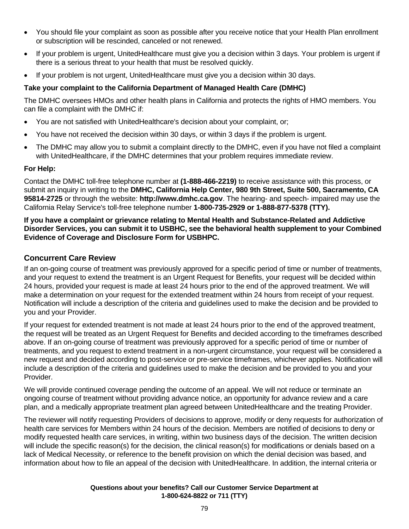- You should file your complaint as soon as possible after you receive notice that your Health Plan enrollment or subscription will be rescinded, canceled or not renewed.
- If your problem is urgent, UnitedHealthcare must give you a decision within 3 days. Your problem is urgent if there is a serious threat to your health that must be resolved quickly.
- If your problem is not urgent, UnitedHealthcare must give you a decision within 30 days.

#### **Take your complaint to the California Department of Managed Health Care (DMHC)**

The DMHC oversees HMOs and other health plans in California and protects the rights of HMO members. You can file a complaint with the DMHC if:

- You are not satisfied with UnitedHealthcare's decision about your complaint, or;
- You have not received the decision within 30 days, or within 3 days if the problem is urgent.
- The DMHC may allow you to submit a complaint directly to the DMHC, even if you have not filed a complaint with UnitedHealthcare, if the DMHC determines that your problem requires immediate review.

#### **For Help:**

Contact the DMHC toll-free telephone number at **(1-888-466-2219)** to receive assistance with this process, or submit an inquiry in writing to the **DMHC, California Help Center, 980 9th Street, Suite 500, Sacramento, CA 95814-2725** or through the website: **http://www.dmhc.ca.gov**. The hearing- and speech- impaired may use the California Relay Service's toll-free telephone number **1-800-735-2929 or 1-888-877-5378 (TTY).** 

**If you have a complaint or grievance relating to Mental Health and Substance-Related and Addictive Disorder Services, you can submit it to USBHC, see the behavioral health supplement to your Combined Evidence of Coverage and Disclosure Form for USBHPC.** 

#### **Concurrent Care Review**

If an on-going course of treatment was previously approved for a specific period of time or number of treatments, and your request to extend the treatment is an Urgent Request for Benefits, your request will be decided within 24 hours, provided your request is made at least 24 hours prior to the end of the approved treatment. We will make a determination on your request for the extended treatment within 24 hours from receipt of your request. Notification will include a description of the criteria and guidelines used to make the decision and be provided to you and your Provider.

If your request for extended treatment is not made at least 24 hours prior to the end of the approved treatment, the request will be treated as an Urgent Request for Benefits and decided according to the timeframes described above. If an on-going course of treatment was previously approved for a specific period of time or number of treatments, and you request to extend treatment in a non-urgent circumstance, your request will be considered a new request and decided according to post-service or pre-service timeframes, whichever applies. Notification will include a description of the criteria and guidelines used to make the decision and be provided to you and your Provider.

We will provide continued coverage pending the outcome of an appeal. We will not reduce or terminate an ongoing course of treatment without providing advance notice, an opportunity for advance review and a care plan, and a medically appropriate treatment plan agreed between UnitedHealthcare and the treating Provider.

The reviewer will notify requesting Providers of decisions to approve, modify or deny requests for authorization of health care services for Members within 24 hours of the decision. Members are notified of decisions to deny or modify requested health care services, in writing, within two business days of the decision. The written decision will include the specific reason(s) for the decision, the clinical reason(s) for modifications or denials based on a lack of Medical Necessity, or reference to the benefit provision on which the denial decision was based, and information about how to file an appeal of the decision with UnitedHealthcare. In addition, the internal criteria or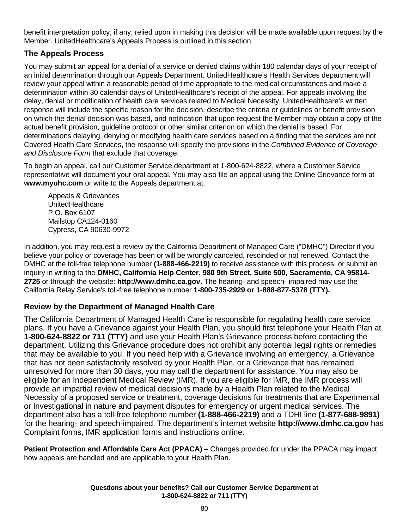benefit interpretation policy, if any, relied upon in making this decision will be made available upon request by the Member. UnitedHealthcare's Appeals Process is outlined in this section.

# **The Appeals Process**

You may submit an appeal for a denial of a service or denied claims within 180 calendar days of your receipt of an initial determination through our Appeals Department. UnitedHealthcare's Health Services department will review your appeal within a reasonable period of time appropriate to the medical circumstances and make a determination within 30 calendar days of UnitedHealthcare's receipt of the appeal. For appeals involving the delay, denial or modification of health care services related to Medical Necessity, UnitedHealthcare's written response will include the specific reason for the decision, describe the criteria or guidelines or benefit provision on which the denial decision was based, and notification that upon request the Member may obtain a copy of the actual benefit provision, guideline protocol or other similar criterion on which the denial is based. For determinations delaying, denying or modifying health care services based on a finding that the services are not Covered Health Care Services, the response will specify the provisions in the *Combined Evidence of Coverage and Disclosure Form* that exclude that coverage.

To begin an appeal, call our Customer Service department at 1-800-624-8822, where a Customer Service representative will document your oral appeal. You may also file an appeal using the Online Grievance form at **www.myuhc.com** or write to the Appeals department at:

Appeals & Grievances **UnitedHealthcare** P.O. Box 6107 Mailstop CA124-0160 Cypress, CA 90630-9972

In addition, you may request a review by the California Department of Managed Care ("DMHC") Director if you believe your policy or coverage has been or will be wrongly canceled, rescinded or not renewed. Contact the DMHC at the toll-free telephone number **(1-888-466-2219)** to receive assistance with this process, or submit an inquiry in writing to the **DMHC, California Help Center, 980 9th Street, Suite 500, Sacramento, CA 95814- 2725** or through the website: **http://www.dmhc.ca.gov.** The hearing- and speech- impaired may use the California Relay Service's toll-free telephone number **1-800-735-2929 or 1-888-877-5378 (TTY).**

# **Review by the Department of Managed Health Care**

The California Department of Managed Health Care is responsible for regulating health care service plans. If you have a Grievance against your Health Plan, you should first telephone your Health Plan at **1-800-624-8822 or 711 (TTY)** and use your Health Plan's Grievance process before contacting the department. Utilizing this Grievance procedure does not prohibit any potential legal rights or remedies that may be available to you. If you need help with a Grievance involving an emergency, a Grievance that has not been satisfactorily resolved by your Health Plan, or a Grievance that has remained unresolved for more than 30 days, you may call the department for assistance. You may also be eligible for an Independent Medical Review (IMR). If you are eligible for IMR, the IMR process will provide an impartial review of medical decisions made by a Health Plan related to the Medical Necessity of a proposed service or treatment, coverage decisions for treatments that are Experimental or Investigational in nature and payment disputes for emergency or urgent medical services. The department also has a toll-free telephone number **(1-888-466-2219)** and a TDHI line **(1-877-688-9891)** for the hearing- and speech-impaired. The department's internet website **http://www.dmhc.ca.gov** has Complaint forms, IMR application forms and instructions online.

**Patient Protection and Affordable Care Act (PPACA)** – Changes provided for under the PPACA may impact how appeals are handled and are applicable to your Health Plan.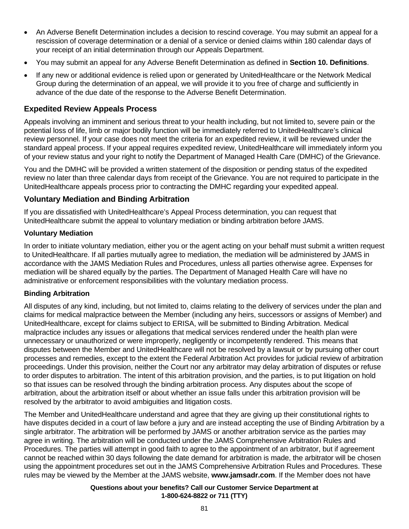- An Adverse Benefit Determination includes a decision to rescind coverage. You may submit an appeal for a rescission of coverage determination or a denial of a service or denied claims within 180 calendar days of your receipt of an initial determination through our Appeals Department.
- You may submit an appeal for any Adverse Benefit Determination as defined in **Section 10. Definitions**.
- If any new or additional evidence is relied upon or generated by UnitedHealthcare or the Network Medical Group during the determination of an appeal, we will provide it to you free of charge and sufficiently in advance of the due date of the response to the Adverse Benefit Determination.

#### **Expedited Review Appeals Process**

Appeals involving an imminent and serious threat to your health including, but not limited to, severe pain or the potential loss of life, limb or major bodily function will be immediately referred to UnitedHealthcare's clinical review personnel. If your case does not meet the criteria for an expedited review, it will be reviewed under the standard appeal process. If your appeal requires expedited review, UnitedHealthcare will immediately inform you of your review status and your right to notify the Department of Managed Health Care (DMHC) of the Grievance.

You and the DMHC will be provided a written statement of the disposition or pending status of the expedited review no later than three calendar days from receipt of the Grievance. You are not required to participate in the UnitedHealthcare appeals process prior to contracting the DMHC regarding your expedited appeal.

#### **Voluntary Mediation and Binding Arbitration**

If you are dissatisfied with UnitedHealthcare's Appeal Process determination, you can request that UnitedHealthcare submit the appeal to voluntary mediation or binding arbitration before JAMS.

#### **Voluntary Mediation**

In order to initiate voluntary mediation, either you or the agent acting on your behalf must submit a written request to UnitedHealthcare. If all parties mutually agree to mediation, the mediation will be administered by JAMS in accordance with the JAMS Mediation Rules and Procedures, unless all parties otherwise agree. Expenses for mediation will be shared equally by the parties. The Department of Managed Health Care will have no administrative or enforcement responsibilities with the voluntary mediation process.

#### **Binding Arbitration**

All disputes of any kind, including, but not limited to, claims relating to the delivery of services under the plan and claims for medical malpractice between the Member (including any heirs, successors or assigns of Member) and UnitedHealthcare, except for claims subject to ERISA, will be submitted to Binding Arbitration. Medical malpractice includes any issues or allegations that medical services rendered under the health plan were unnecessary or unauthorized or were improperly, negligently or incompetently rendered. This means that disputes between the Member and UnitedHealthcare will not be resolved by a lawsuit or by pursuing other court processes and remedies, except to the extent the Federal Arbitration Act provides for judicial review of arbitration proceedings. Under this provision, neither the Court nor any arbitrator may delay arbitration of disputes or refuse to order disputes to arbitration. The intent of this arbitration provision, and the parties, is to put litigation on hold so that issues can be resolved through the binding arbitration process. Any disputes about the scope of arbitration, about the arbitration itself or about whether an issue falls under this arbitration provision will be resolved by the arbitrator to avoid ambiguities and litigation costs.

The Member and UnitedHealthcare understand and agree that they are giving up their constitutional rights to have disputes decided in a court of law before a jury and are instead accepting the use of Binding Arbitration by a single arbitrator. The arbitration will be performed by JAMS or another arbitration service as the parties may agree in writing. The arbitration will be conducted under the JAMS Comprehensive Arbitration Rules and Procedures. The parties will attempt in good faith to agree to the appointment of an arbitrator, but if agreement cannot be reached within 30 days following the date demand for arbitration is made, the arbitrator will be chosen using the appointment procedures set out in the JAMS Comprehensive Arbitration Rules and Procedures. These rules may be viewed by the Member at the JAMS website, **www.jamsadr.com**. If the Member does not have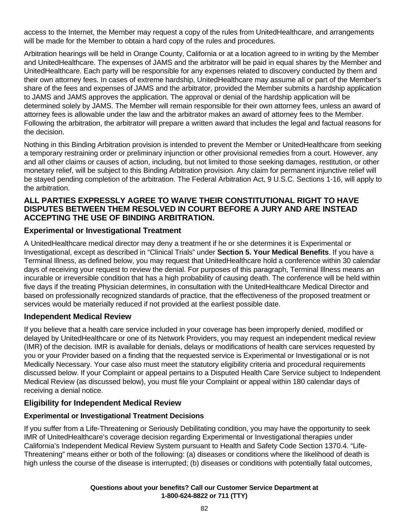access to the Internet, the Member may request a copy of the rules from UnitedHealthcare, and arrangements will be made for the Member to obtain a hard copy of the rules and procedures.

Arbitration hearings will be held in Orange County, California or at a location agreed to in writing by the Member and UnitedHealthcare. The expenses of JAMS and the arbitrator will be paid in equal shares by the Member and UnitedHealthcare. Each party will be responsible for any expenses related to discovery conducted by them and their own attorney fees. In cases of extreme hardship, UnitedHealthcare may assume all or part of the Member's share of the fees and expenses of JAMS and the arbitrator, provided the Member submits a hardship application to JAMS and JAMS approves the application. The approval or denial of the hardship application will be determined solely by JAMS. The Member will remain responsible for their own attorney fees, unless an award of attorney fees is allowable under the law and the arbitrator makes an award of attorney fees to the Member. Following the arbitration, the arbitrator will prepare a written award that includes the legal and factual reasons for the decision.

Nothing in this Binding Arbitration provision is intended to prevent the Member or UnitedHealthcare from seeking a temporary restraining order or preliminary injunction or other provisional remedies from a court. However, any and all other claims or causes of action, including, but not limited to those seeking damages, restitution, or other monetary relief, will be subject to this Binding Arbitration provision. Any claim for permanent injunctive relief will be stayed pending completion of the arbitration. The Federal Arbitration Act, 9 U.S.C. Sections 1-16, will apply to the arbitration.

#### **ALL PARTIES EXPRESSLY AGREE TO WAIVE THEIR CONSTITUTIONAL RIGHT TO HAVE DISPUTES BETWEEN THEM RESOLVED IN COURT BEFORE A JURY AND ARE INSTEAD ACCEPTING THE USE OF BINDING ARBITRATION.**

# **Experimental or Investigational Treatment**

A UnitedHealthcare medical director may deny a treatment if he or she determines it is Experimental or Investigational, except as described in "Clinical Trials" under **Section 5. Your Medical Benefits**. If you have a Terminal Illness, as defined below, you may request that UnitedHealthcare hold a conference within 30 calendar days of receiving your request to review the denial. For purposes of this paragraph, Terminal Illness means an incurable or irreversible condition that has a high probability of causing death. The conference will be held within five days if the treating Physician determines, in consultation with the UnitedHealthcare Medical Director and based on professionally recognized standards of practice, that the effectiveness of the proposed treatment or services would be materially reduced if not provided at the earliest possible date.

## **Independent Medical Review**

If you believe that a health care service included in your coverage has been improperly denied, modified or delayed by UnitedHealthcare or one of its Network Providers, you may request an independent medical review (IMR) of the decision. IMR is available for denials, delays or modifications of health care services requested by you or your Provider based on a finding that the requested service is Experimental or Investigational or is not Medically Necessary. Your case also must meet the statutory eligibility criteria and procedural requirements discussed below. If your Complaint or appeal pertains to a Disputed Health Care Service subject to Independent Medical Review (as discussed below), you must file your Complaint or appeal within 180 calendar days of receiving a denial notice.

## **Eligibility for Independent Medical Review**

#### **Experimental or Investigational Treatment Decisions**

If you suffer from a Life-Threatening or Seriously Debilitating condition, you may have the opportunity to seek IMR of UnitedHealthcare's coverage decision regarding Experimental or Investigational therapies under California's Independent Medical Review System pursuant to Health and Safety Code Section 1370.4. "Life-Threatening" means either or both of the following: (a) diseases or conditions where the likelihood of death is high unless the course of the disease is interrupted; (b) diseases or conditions with potentially fatal outcomes,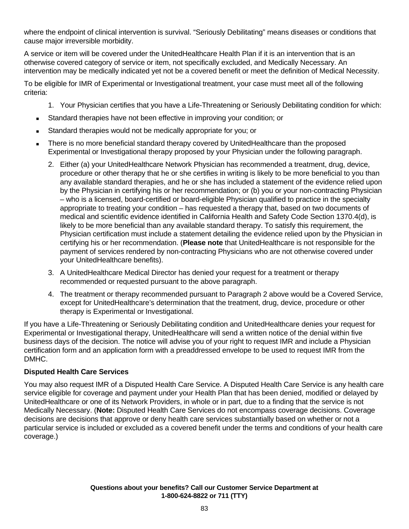where the endpoint of clinical intervention is survival. "Seriously Debilitating" means diseases or conditions that cause major irreversible morbidity.

A service or item will be covered under the UnitedHealthcare Health Plan if it is an intervention that is an otherwise covered category of service or item, not specifically excluded, and Medically Necessary. An intervention may be medically indicated yet not be a covered benefit or meet the definition of Medical Necessity.

To be eligible for IMR of Experimental or Investigational treatment, your case must meet all of the following criteria:

- 1. Your Physician certifies that you have a Life-Threatening or Seriously Debilitating condition for which:
- Standard therapies have not been effective in improving your condition; or
- Standard therapies would not be medically appropriate for you; or
- There is no more beneficial standard therapy covered by UnitedHealthcare than the proposed Experimental or Investigational therapy proposed by your Physician under the following paragraph.
	- 2. Either (a) your UnitedHealthcare Network Physician has recommended a treatment, drug, device, procedure or other therapy that he or she certifies in writing is likely to be more beneficial to you than any available standard therapies, and he or she has included a statement of the evidence relied upon by the Physician in certifying his or her recommendation; or (b) you or your non-contracting Physician – who is a licensed, board-certified or board-eligible Physician qualified to practice in the specialty appropriate to treating your condition – has requested a therapy that, based on two documents of medical and scientific evidence identified in California Health and Safety Code Section 1370.4(d), is likely to be more beneficial than any available standard therapy. To satisfy this requirement, the Physician certification must include a statement detailing the evidence relied upon by the Physician in certifying his or her recommendation. (**Please note** that UnitedHealthcare is not responsible for the payment of services rendered by non-contracting Physicians who are not otherwise covered under your UnitedHealthcare benefits).
	- 3. A UnitedHealthcare Medical Director has denied your request for a treatment or therapy recommended or requested pursuant to the above paragraph.
	- 4. The treatment or therapy recommended pursuant to Paragraph 2 above would be a Covered Service, except for UnitedHealthcare's determination that the treatment, drug, device, procedure or other therapy is Experimental or Investigational.

If you have a Life-Threatening or Seriously Debilitating condition and UnitedHealthcare denies your request for Experimental or Investigational therapy, UnitedHealthcare will send a written notice of the denial within five business days of the decision. The notice will advise you of your right to request IMR and include a Physician certification form and an application form with a preaddressed envelope to be used to request IMR from the DMHC.

#### **Disputed Health Care Services**

You may also request IMR of a Disputed Health Care Service. A Disputed Health Care Service is any health care service eligible for coverage and payment under your Health Plan that has been denied, modified or delayed by UnitedHealthcare or one of its Network Providers, in whole or in part, due to a finding that the service is not Medically Necessary. (**Note:** Disputed Health Care Services do not encompass coverage decisions. Coverage decisions are decisions that approve or deny health care services substantially based on whether or not a particular service is included or excluded as a covered benefit under the terms and conditions of your health care coverage.)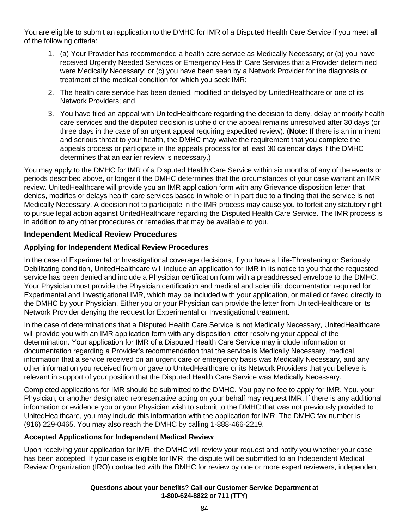You are eligible to submit an application to the DMHC for IMR of a Disputed Health Care Service if you meet all of the following criteria:

- 1. (a) Your Provider has recommended a health care service as Medically Necessary; or (b) you have received Urgently Needed Services or Emergency Health Care Services that a Provider determined were Medically Necessary; or (c) you have been seen by a Network Provider for the diagnosis or treatment of the medical condition for which you seek IMR;
- 2. The health care service has been denied, modified or delayed by UnitedHealthcare or one of its Network Providers; and
- 3. You have filed an appeal with UnitedHealthcare regarding the decision to deny, delay or modify health care services and the disputed decision is upheld or the appeal remains unresolved after 30 days (or three days in the case of an urgent appeal requiring expedited review). (**Note:** If there is an imminent and serious threat to your health, the DMHC may waive the requirement that you complete the appeals process or participate in the appeals process for at least 30 calendar days if the DMHC determines that an earlier review is necessary.)

You may apply to the DMHC for IMR of a Disputed Health Care Service within six months of any of the events or periods described above, or longer if the DMHC determines that the circumstances of your case warrant an IMR review. UnitedHealthcare will provide you an IMR application form with any Grievance disposition letter that denies, modifies or delays health care services based in whole or in part due to a finding that the service is not Medically Necessary. A decision not to participate in the IMR process may cause you to forfeit any statutory right to pursue legal action against UnitedHealthcare regarding the Disputed Health Care Service. The IMR process is in addition to any other procedures or remedies that may be available to you.

## **Independent Medical Review Procedures**

## **Applying for Independent Medical Review Procedures**

In the case of Experimental or Investigational coverage decisions, if you have a Life-Threatening or Seriously Debilitating condition, UnitedHealthcare will include an application for IMR in its notice to you that the requested service has been denied and include a Physician certification form with a preaddressed envelope to the DMHC. Your Physician must provide the Physician certification and medical and scientific documentation required for Experimental and Investigational IMR, which may be included with your application, or mailed or faxed directly to the DMHC by your Physician. Either you or your Physician can provide the letter from UnitedHealthcare or its Network Provider denying the request for Experimental or Investigational treatment.

In the case of determinations that a Disputed Health Care Service is not Medically Necessary, UnitedHealthcare will provide you with an IMR application form with any disposition letter resolving your appeal of the determination. Your application for IMR of a Disputed Health Care Service may include information or documentation regarding a Provider's recommendation that the service is Medically Necessary, medical information that a service received on an urgent care or emergency basis was Medically Necessary, and any other information you received from or gave to UnitedHealthcare or its Network Providers that you believe is relevant in support of your position that the Disputed Health Care Service was Medically Necessary.

Completed applications for IMR should be submitted to the DMHC. You pay no fee to apply for IMR. You, your Physician, or another designated representative acting on your behalf may request IMR. If there is any additional information or evidence you or your Physician wish to submit to the DMHC that was not previously provided to UnitedHealthcare, you may include this information with the application for IMR. The DMHC fax number is (916) 229-0465. You may also reach the DMHC by calling 1-888-466-2219.

## **Accepted Applications for Independent Medical Review**

Upon receiving your application for IMR, the DMHC will review your request and notify you whether your case has been accepted. If your case is eligible for IMR, the dispute will be submitted to an Independent Medical Review Organization (IRO) contracted with the DMHC for review by one or more expert reviewers, independent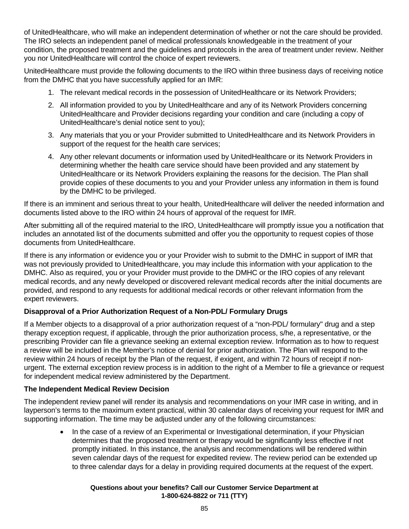of UnitedHealthcare, who will make an independent determination of whether or not the care should be provided. The IRO selects an independent panel of medical professionals knowledgeable in the treatment of your condition, the proposed treatment and the guidelines and protocols in the area of treatment under review. Neither you nor UnitedHealthcare will control the choice of expert reviewers.

UnitedHealthcare must provide the following documents to the IRO within three business days of receiving notice from the DMHC that you have successfully applied for an IMR:

- 1. The relevant medical records in the possession of UnitedHealthcare or its Network Providers;
- 2. All information provided to you by UnitedHealthcare and any of its Network Providers concerning UnitedHealthcare and Provider decisions regarding your condition and care (including a copy of UnitedHealthcare's denial notice sent to you);
- 3. Any materials that you or your Provider submitted to UnitedHealthcare and its Network Providers in support of the request for the health care services;
- 4. Any other relevant documents or information used by UnitedHealthcare or its Network Providers in determining whether the health care service should have been provided and any statement by UnitedHealthcare or its Network Providers explaining the reasons for the decision. The Plan shall provide copies of these documents to you and your Provider unless any information in them is found by the DMHC to be privileged.

If there is an imminent and serious threat to your health, UnitedHealthcare will deliver the needed information and documents listed above to the IRO within 24 hours of approval of the request for IMR.

After submitting all of the required material to the IRO, UnitedHealthcare will promptly issue you a notification that includes an annotated list of the documents submitted and offer you the opportunity to request copies of those documents from UnitedHealthcare.

If there is any information or evidence you or your Provider wish to submit to the DMHC in support of IMR that was not previously provided to UnitedHealthcare, you may include this information with your application to the DMHC. Also as required, you or your Provider must provide to the DMHC or the IRO copies of any relevant medical records, and any newly developed or discovered relevant medical records after the initial documents are provided, and respond to any requests for additional medical records or other relevant information from the expert reviewers.

# **Disapproval of a Prior Authorization Request of a Non-PDL/ Formulary Drugs**

If a Member objects to a disapproval of a prior authorization request of a "non-PDL/ formulary" drug and a step therapy exception request, if applicable, through the prior authorization process, s/he, a representative, or the prescribing Provider can file a grievance seeking an external exception review. Information as to how to request a review will be included in the Member's notice of denial for prior authorization. The Plan will respond to the review within 24 hours of receipt by the Plan of the request, if exigent, and within 72 hours of receipt if nonurgent. The external exception review process is in addition to the right of a Member to file a grievance or request for independent medical review administered by the Department.

## **The Independent Medical Review Decision**

The independent review panel will render its analysis and recommendations on your IMR case in writing, and in layperson's terms to the maximum extent practical, within 30 calendar days of receiving your request for IMR and supporting information. The time may be adjusted under any of the following circumstances:

> In the case of a review of an Experimental or Investigational determination, if your Physician determines that the proposed treatment or therapy would be significantly less effective if not promptly initiated. In this instance, the analysis and recommendations will be rendered within seven calendar days of the request for expedited review. The review period can be extended up to three calendar days for a delay in providing required documents at the request of the expert.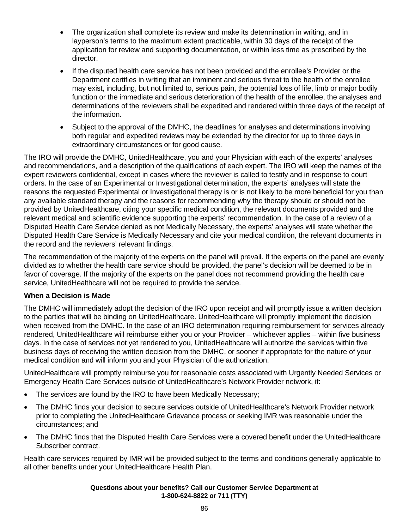- The organization shall complete its review and make its determination in writing, and in layperson's terms to the maximum extent practicable, within 30 days of the receipt of the application for review and supporting documentation, or within less time as prescribed by the director.
- If the disputed health care service has not been provided and the enrollee's Provider or the Department certifies in writing that an imminent and serious threat to the health of the enrollee may exist, including, but not limited to, serious pain, the potential loss of life, limb or major bodily function or the immediate and serious deterioration of the health of the enrollee, the analyses and determinations of the reviewers shall be expedited and rendered within three days of the receipt of the information.
- Subject to the approval of the DMHC, the deadlines for analyses and determinations involving both regular and expedited reviews may be extended by the director for up to three days in extraordinary circumstances or for good cause.

The IRO will provide the DMHC, UnitedHealthcare, you and your Physician with each of the experts' analyses and recommendations, and a description of the qualifications of each expert. The IRO will keep the names of the expert reviewers confidential, except in cases where the reviewer is called to testify and in response to court orders. In the case of an Experimental or Investigational determination, the experts' analyses will state the reasons the requested Experimental or Investigational therapy is or is not likely to be more beneficial for you than any available standard therapy and the reasons for recommending why the therapy should or should not be provided by UnitedHealthcare, citing your specific medical condition, the relevant documents provided and the relevant medical and scientific evidence supporting the experts' recommendation. In the case of a review of a Disputed Health Care Service denied as not Medically Necessary, the experts' analyses will state whether the Disputed Health Care Service is Medically Necessary and cite your medical condition, the relevant documents in the record and the reviewers' relevant findings.

The recommendation of the majority of the experts on the panel will prevail. If the experts on the panel are evenly divided as to whether the health care service should be provided, the panel's decision will be deemed to be in favor of coverage. If the majority of the experts on the panel does not recommend providing the health care service, UnitedHealthcare will not be required to provide the service.

#### **When a Decision is Made**

The DMHC will immediately adopt the decision of the IRO upon receipt and will promptly issue a written decision to the parties that will be binding on UnitedHealthcare. UnitedHealthcare will promptly implement the decision when received from the DMHC. In the case of an IRO determination requiring reimbursement for services already rendered, UnitedHealthcare will reimburse either you or your Provider – whichever applies – within five business days. In the case of services not yet rendered to you, UnitedHealthcare will authorize the services within five business days of receiving the written decision from the DMHC, or sooner if appropriate for the nature of your medical condition and will inform you and your Physician of the authorization.

UnitedHealthcare will promptly reimburse you for reasonable costs associated with Urgently Needed Services or Emergency Health Care Services outside of UnitedHealthcare's Network Provider network, if:

- The services are found by the IRO to have been Medically Necessary;
- The DMHC finds your decision to secure services outside of UnitedHealthcare's Network Provider network prior to completing the UnitedHealthcare Grievance process or seeking IMR was reasonable under the circumstances; and
- The DMHC finds that the Disputed Health Care Services were a covered benefit under the UnitedHealthcare Subscriber contract.

Health care services required by IMR will be provided subject to the terms and conditions generally applicable to all other benefits under your UnitedHealthcare Health Plan.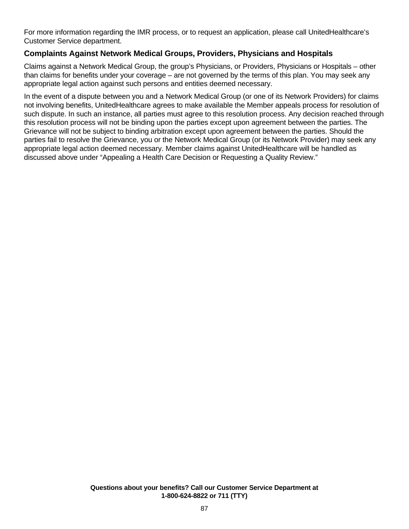For more information regarding the IMR process, or to request an application, please call UnitedHealthcare's Customer Service department.

## **Complaints Against Network Medical Groups, Providers, Physicians and Hospitals**

Claims against a Network Medical Group, the group's Physicians, or Providers, Physicians or Hospitals – other than claims for benefits under your coverage – are not governed by the terms of this plan. You may seek any appropriate legal action against such persons and entities deemed necessary.

In the event of a dispute between you and a Network Medical Group (or one of its Network Providers) for claims not involving benefits, UnitedHealthcare agrees to make available the Member appeals process for resolution of such dispute. In such an instance, all parties must agree to this resolution process. Any decision reached through this resolution process will not be binding upon the parties except upon agreement between the parties. The Grievance will not be subject to binding arbitration except upon agreement between the parties. Should the parties fail to resolve the Grievance, you or the Network Medical Group (or its Network Provider) may seek any appropriate legal action deemed necessary. Member claims against UnitedHealthcare will be handled as discussed above under "Appealing a Health Care Decision or Requesting a Quality Review."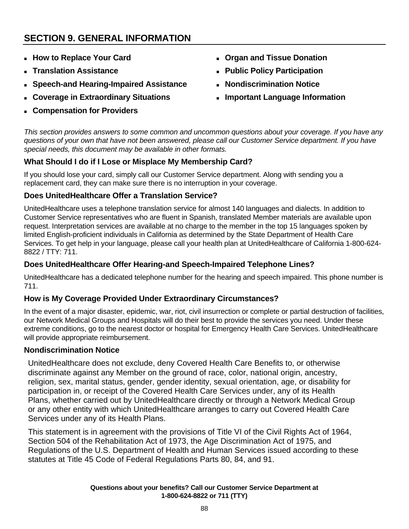# **SECTION 9. GENERAL INFORMATION**

- **How to Replace Your Card**
- **Translation Assistance**
- **Speech-and Hearing-Impaired Assistance**
- **Coverage in Extraordinary Situations**
- **Compensation for Providers**
- **Organ and Tissue Donation**
- **Public Policy Participation**
- **Nondiscrimination Notice**
- **Important Language Information**

*This section provides answers to some common and uncommon questions about your coverage. If you have any questions of your own that have not been answered, please call our Customer Service department. If you have special needs, this document may be available in other formats.* 

# **What Should I do if I Lose or Misplace My Membership Card?**

If you should lose your card, simply call our Customer Service department. Along with sending you a replacement card, they can make sure there is no interruption in your coverage.

# **Does UnitedHealthcare Offer a Translation Service?**

UnitedHealthcare uses a telephone translation service for almost 140 languages and dialects. In addition to Customer Service representatives who are fluent in Spanish, translated Member materials are available upon request. Interpretation services are available at no charge to the member in the top 15 languages spoken by limited English-proficient individuals in California as determined by the State Department of Health Care Services. To get help in your language, please call your health plan at UnitedHealthcare of California 1-800-624- 8822 / TTY: 711.

## **Does UnitedHealthcare Offer Hearing-and Speech-Impaired Telephone Lines?**

UnitedHealthcare has a dedicated telephone number for the hearing and speech impaired. This phone number is 711.

## **How is My Coverage Provided Under Extraordinary Circumstances?**

In the event of a major disaster, epidemic, war, riot, civil insurrection or complete or partial destruction of facilities, our Network Medical Groups and Hospitals will do their best to provide the services you need. Under these extreme conditions, go to the nearest doctor or hospital for Emergency Health Care Services. UnitedHealthcare will provide appropriate reimbursement.

## **Nondiscrimination Notice**

UnitedHealthcare does not exclude, deny Covered Health Care Benefits to, or otherwise discriminate against any Member on the ground of race, color, national origin, ancestry, religion, sex, marital status, gender, gender identity, sexual orientation, age, or disability for participation in, or receipt of the Covered Health Care Services under, any of its Health Plans, whether carried out by UnitedHealthcare directly or through a Network Medical Group or any other entity with which UnitedHealthcare arranges to carry out Covered Health Care Services under any of its Health Plans.

This statement is in agreement with the provisions of Title VI of the Civil Rights Act of 1964, Section 504 of the Rehabilitation Act of 1973, the Age Discrimination Act of 1975, and Regulations of the U.S. Department of Health and Human Services issued according to these statutes at Title 45 Code of Federal Regulations Parts 80, 84, and 91.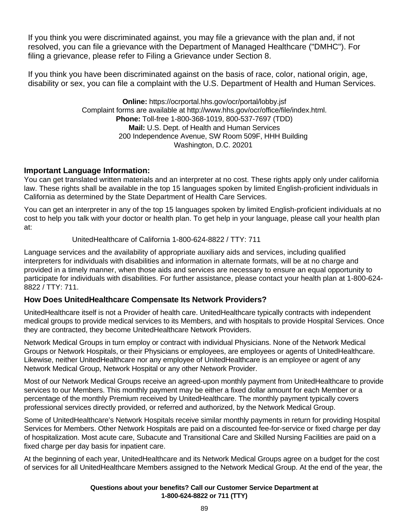If you think you were discriminated against, you may file a grievance with the plan and, if not resolved, you can file a grievance with the Department of Managed Healthcare ("DMHC"). For filing a grievance, please refer to Filing a Grievance under Section 8.

If you think you have been discriminated against on the basis of race, color, national origin, age, disability or sex, you can file a complaint with the U.S. Department of Health and Human Services.

> **Online:** https://ocrportal.hhs.gov/ocr/portal/lobby.jsf Complaint forms are available at http://www.hhs.gov/ocr/office/file/index.html. **Phone:** Toll-free 1-800-368-1019, 800-537-7697 (TDD) **Mail:** U.S. Dept. of Health and Human Services 200 Independence Avenue, SW Room 509F, HHH Building Washington, D.C. 20201

# **Important Language Information:**

You can get translated written materials and an interpreter at no cost. These rights apply only under california law. These rights shall be available in the top 15 languages spoken by limited English-proficient individuals in California as determined by the State Department of Health Care Services.

You can get an interpreter in any of the top 15 languages spoken by limited English-proficient individuals at no cost to help you talk with your doctor or health plan. To get help in your language, please call your health plan at:

#### UnitedHealthcare of California 1-800-624-8822 / TTY: 711

Language services and the availability of appropriate auxiliary aids and services, including qualified interpreters for individuals with disabilities and information in alternate formats, will be at no charge and provided in a timely manner, when those aids and services are necessary to ensure an equal opportunity to participate for individuals with disabilities. For further assistance, please contact your health plan at 1-800-624- 8822 / TTY: 711.

## **How Does UnitedHealthcare Compensate Its Network Providers?**

UnitedHealthcare itself is not a Provider of health care. UnitedHealthcare typically contracts with independent medical groups to provide medical services to its Members, and with hospitals to provide Hospital Services. Once they are contracted, they become UnitedHealthcare Network Providers.

Network Medical Groups in turn employ or contract with individual Physicians. None of the Network Medical Groups or Network Hospitals, or their Physicians or employees, are employees or agents of UnitedHealthcare. Likewise, neither UnitedHealthcare nor any employee of UnitedHealthcare is an employee or agent of any Network Medical Group, Network Hospital or any other Network Provider.

Most of our Network Medical Groups receive an agreed-upon monthly payment from UnitedHealthcare to provide services to our Members. This monthly payment may be either a fixed dollar amount for each Member or a percentage of the monthly Premium received by UnitedHealthcare. The monthly payment typically covers professional services directly provided, or referred and authorized, by the Network Medical Group.

Some of UnitedHealthcare's Network Hospitals receive similar monthly payments in return for providing Hospital Services for Members. Other Network Hospitals are paid on a discounted fee-for-service or fixed charge per day of hospitalization. Most acute care, Subacute and Transitional Care and Skilled Nursing Facilities are paid on a fixed charge per day basis for inpatient care.

At the beginning of each year, UnitedHealthcare and its Network Medical Groups agree on a budget for the cost of services for all UnitedHealthcare Members assigned to the Network Medical Group. At the end of the year, the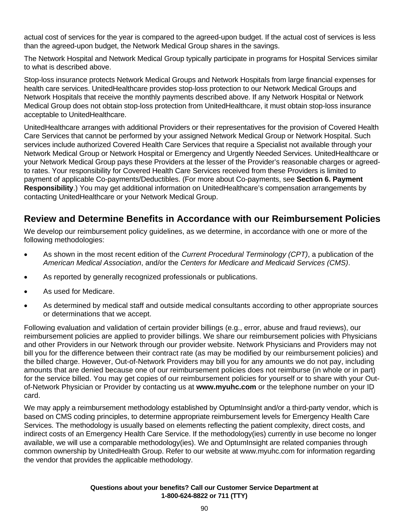actual cost of services for the year is compared to the agreed-upon budget. If the actual cost of services is less than the agreed-upon budget, the Network Medical Group shares in the savings.

The Network Hospital and Network Medical Group typically participate in programs for Hospital Services similar to what is described above.

Stop-loss insurance protects Network Medical Groups and Network Hospitals from large financial expenses for health care services. UnitedHealthcare provides stop-loss protection to our Network Medical Groups and Network Hospitals that receive the monthly payments described above. If any Network Hospital or Network Medical Group does not obtain stop-loss protection from UnitedHealthcare, it must obtain stop-loss insurance acceptable to UnitedHealthcare.

UnitedHealthcare arranges with additional Providers or their representatives for the provision of Covered Health Care Services that cannot be performed by your assigned Network Medical Group or Network Hospital. Such services include authorized Covered Health Care Services that require a Specialist not available through your Network Medical Group or Network Hospital or Emergency and Urgently Needed Services. UnitedHealthcare or your Network Medical Group pays these Providers at the lesser of the Provider's reasonable charges or agreedto rates. Your responsibility for Covered Health Care Services received from these Providers is limited to payment of applicable Co-payments/Deductibles. (For more about Co-payments, see **Section 6. Payment Responsibility**.) You may get additional information on UnitedHealthcare's compensation arrangements by contacting UnitedHealthcare or your Network Medical Group.

# **Review and Determine Benefits in Accordance with our Reimbursement Policies**

We develop our reimbursement policy guidelines, as we determine, in accordance with one or more of the following methodologies:

- As shown in the most recent edition of the *Current Procedural Terminology (CPT)*, a publication of the *American Medical Association*, and/or the *Centers for Medicare and Medicaid Services (CMS)*.
- As reported by generally recognized professionals or publications.
- As used for Medicare.
- As determined by medical staff and outside medical consultants according to other appropriate sources or determinations that we accept.

Following evaluation and validation of certain provider billings (e.g., error, abuse and fraud reviews), our reimbursement policies are applied to provider billings. We share our reimbursement policies with Physicians and other Providers in our Network through our provider website. Network Physicians and Providers may not bill you for the difference between their contract rate (as may be modified by our reimbursement policies) and the billed charge. However, Out-of-Network Providers may bill you for any amounts we do not pay, including amounts that are denied because one of our reimbursement policies does not reimburse (in whole or in part) for the service billed. You may get copies of our reimbursement policies for yourself or to share with your Outof-Network Physician or Provider by contacting us at **www.myuhc.com** or the telephone number on your ID card.

We may apply a reimbursement methodology established by OptumInsight and/or a third-party vendor, which is based on CMS coding principles, to determine appropriate reimbursement levels for Emergency Health Care Services. The methodology is usually based on elements reflecting the patient complexity, direct costs, and indirect costs of an Emergency Health Care Service. If the methodology(ies) currently in use become no longer available, we will use a comparable methodology(ies). We and OptumInsight are related companies through common ownership by UnitedHealth Group. Refer to our website at www.myuhc.com for information regarding the vendor that provides the applicable methodology.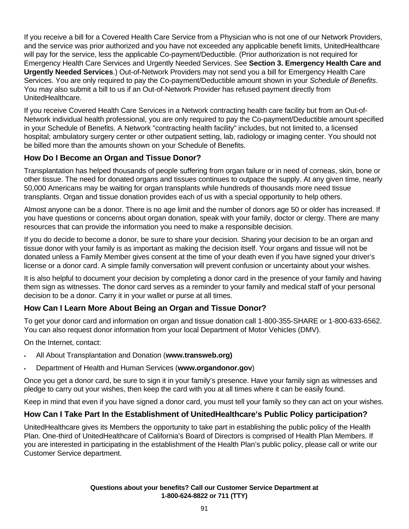If you receive a bill for a Covered Health Care Service from a Physician who is not one of our Network Providers, and the service was prior authorized and you have not exceeded any applicable benefit limits, UnitedHealthcare will pay for the service, less the applicable Co-payment/Deductible. (Prior authorization is not required for Emergency Health Care Services and Urgently Needed Services. See **Section 3. Emergency Health Care and Urgently Needed Services**.) Out-of-Network Providers may not send you a bill for Emergency Health Care Services. You are only required to pay the Co-payment/Deductible amount shown in your *Schedule of Benefits*. You may also submit a bill to us if an Out-of-Network Provider has refused payment directly from UnitedHealthcare.

If you receive Covered Health Care Services in a Network contracting health care facility but from an Out-of-Network individual health professional, you are only required to pay the Co-payment/Deductible amount specified in your Schedule of Benefits. A Network "contracting health facility" includes, but not limited to, a licensed hospital; ambulatory surgery center or other outpatient setting, lab, radiology or imaging center. You should not be billed more than the amounts shown on your Schedule of Benefits.

# **How Do I Become an Organ and Tissue Donor?**

Transplantation has helped thousands of people suffering from organ failure or in need of corneas, skin, bone or other tissue. The need for donated organs and tissues continues to outpace the supply. At any given time, nearly 50,000 Americans may be waiting for organ transplants while hundreds of thousands more need tissue transplants. Organ and tissue donation provides each of us with a special opportunity to help others.

Almost anyone can be a donor. There is no age limit and the number of donors age 50 or older has increased. If you have questions or concerns about organ donation, speak with your family, doctor or clergy. There are many resources that can provide the information you need to make a responsible decision.

If you do decide to become a donor, be sure to share your decision. Sharing your decision to be an organ and tissue donor with your family is as important as making the decision itself. Your organs and tissue will not be donated unless a Family Member gives consent at the time of your death even if you have signed your driver's license or a donor card. A simple family conversation will prevent confusion or uncertainty about your wishes.

It is also helpful to document your decision by completing a donor card in the presence of your family and having them sign as witnesses. The donor card serves as a reminder to your family and medical staff of your personal decision to be a donor. Carry it in your wallet or purse at all times.

# **How Can I Learn More About Being an Organ and Tissue Donor?**

To get your donor card and information on organ and tissue donation call 1-800-355-SHARE or 1-800-633-6562. You can also request donor information from your local Department of Motor Vehicles (DMV).

On the Internet, contact:

- All About Transplantation and Donation (**www.transweb.org)**
- Department of Health and Human Services (**www.organdonor.gov**)

Once you get a donor card, be sure to sign it in your family's presence. Have your family sign as witnesses and pledge to carry out your wishes, then keep the card with you at all times where it can be easily found.

Keep in mind that even if you have signed a donor card, you must tell your family so they can act on your wishes.

## **How Can I Take Part In the Establishment of UnitedHealthcare's Public Policy participation?**

UnitedHealthcare gives its Members the opportunity to take part in establishing the public policy of the Health Plan. One-third of UnitedHealthcare of California's Board of Directors is comprised of Health Plan Members. If you are interested in participating in the establishment of the Health Plan's public policy, please call or write our Customer Service department.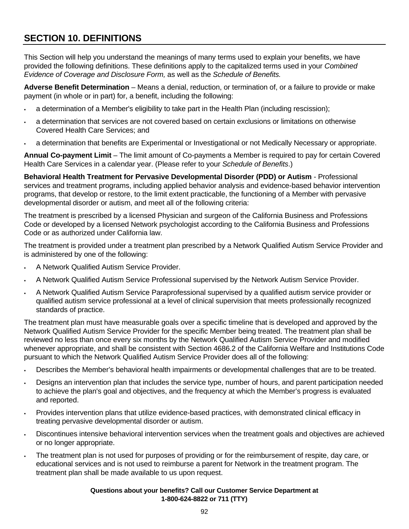# **SECTION 10. DEFINITIONS**

This Section will help you understand the meanings of many terms used to explain your benefits, we have provided the following definitions. These definitions apply to the capitalized terms used in your *Combined Evidence of Coverage and Disclosure Form,* as well as the *Schedule of Benefits.*

**Adverse Benefit Determination** – Means a denial, reduction, or termination of, or a failure to provide or make payment (in whole or in part) for, a benefit, including the following:

- a determination of a Member's eligibility to take part in the Health Plan (including rescission);
- a determination that services are not covered based on certain exclusions or limitations on otherwise Covered Health Care Services; and
- a determination that benefits are Experimental or Investigational or not Medically Necessary or appropriate.

**Annual Co-payment Limit** – The limit amount of Co-payments a Member is required to pay for certain Covered Health Care Services in a calendar year. (Please refer to your *Schedule of Benefits*.)

**Behavioral Health Treatment for Pervasive Developmental Disorder (PDD) or Autism** - Professional services and treatment programs, including applied behavior analysis and evidence-based behavior intervention programs, that develop or restore, to the limit extent practicable, the functioning of a Member with pervasive developmental disorder or autism, and meet all of the following criteria:

The treatment is prescribed by a licensed Physician and surgeon of the California Business and Professions Code or developed by a licensed Network psychologist according to the California Business and Professions Code or as authorized under California law.

The treatment is provided under a treatment plan prescribed by a Network Qualified Autism Service Provider and is administered by one of the following:

- A Network Qualified Autism Service Provider.
- A Network Qualified Autism Service Professional supervised by the Network Autism Service Provider.
- A Network Qualified Autism Service Paraprofessional supervised by a qualified autism service provider or qualified autism service professional at a level of clinical supervision that meets professionally recognized standards of practice.

The treatment plan must have measurable goals over a specific timeline that is developed and approved by the Network Qualified Autism Service Provider for the specific Member being treated. The treatment plan shall be reviewed no less than once every six months by the Network Qualified Autism Service Provider and modified whenever appropriate, and shall be consistent with Section 4686.2 of the California Welfare and Institutions Code pursuant to which the Network Qualified Autism Service Provider does all of the following:

- Describes the Member's behavioral health impairments or developmental challenges that are to be treated.
- Designs an intervention plan that includes the service type, number of hours, and parent participation needed to achieve the plan's goal and objectives, and the frequency at which the Member's progress is evaluated and reported.
- Provides intervention plans that utilize evidence-based practices, with demonstrated clinical efficacy in treating pervasive developmental disorder or autism.
- Discontinues intensive behavioral intervention services when the treatment goals and objectives are achieved or no longer appropriate.
- The treatment plan is not used for purposes of providing or for the reimbursement of respite, day care, or educational services and is not used to reimburse a parent for Network in the treatment program. The treatment plan shall be made available to us upon request.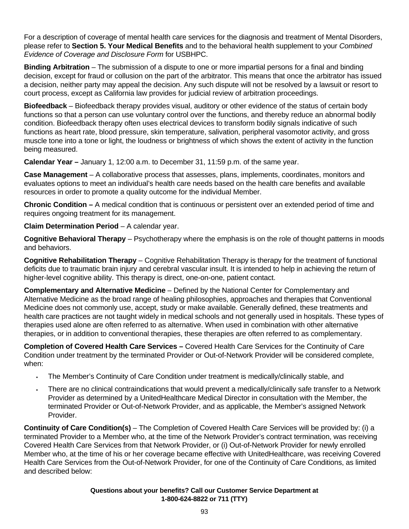For a description of coverage of mental health care services for the diagnosis and treatment of Mental Disorders, please refer to **Section 5. Your Medical Benefits** and to the behavioral health supplement to your *Combined Evidence of Coverage and Disclosure Form* for USBHPC.

**Binding Arbitration** – The submission of a dispute to one or more impartial persons for a final and binding decision, except for fraud or collusion on the part of the arbitrator. This means that once the arbitrator has issued a decision, neither party may appeal the decision. Any such dispute will not be resolved by a lawsuit or resort to court process, except as California law provides for judicial review of arbitration proceedings.

**Biofeedback** – Biofeedback therapy provides visual, auditory or other evidence of the status of certain body functions so that a person can use voluntary control over the functions, and thereby reduce an abnormal bodily condition. Biofeedback therapy often uses electrical devices to transform bodily signals indicative of such functions as heart rate, blood pressure, skin temperature, salivation, peripheral vasomotor activity, and gross muscle tone into a tone or light, the loudness or brightness of which shows the extent of activity in the function being measured.

**Calendar Year –** January 1, 12:00 a.m. to December 31, 11:59 p.m. of the same year.

**Case Management** – A collaborative process that assesses, plans, implements, coordinates, monitors and evaluates options to meet an individual's health care needs based on the health care benefits and available resources in order to promote a quality outcome for the individual Member.

**Chronic Condition –** A medical condition that is continuous or persistent over an extended period of time and requires ongoing treatment for its management.

**Claim Determination Period – A calendar year.** 

**Cognitive Behavioral Therapy** – Psychotherapy where the emphasis is on the role of thought patterns in moods and behaviors.

**Cognitive Rehabilitation Therapy** – Cognitive Rehabilitation Therapy is therapy for the treatment of functional deficits due to traumatic brain injury and cerebral vascular insult. It is intended to help in achieving the return of higher-level cognitive ability. This therapy is direct, one-on-one, patient contact.

**Complementary and Alternative Medicine** – Defined by the National Center for Complementary and Alternative Medicine as the broad range of healing philosophies, approaches and therapies that Conventional Medicine does not commonly use, accept, study or make available. Generally defined, these treatments and health care practices are not taught widely in medical schools and not generally used in hospitals. These types of therapies used alone are often referred to as alternative. When used in combination with other alternative therapies, or in addition to conventional therapies, these therapies are often referred to as complementary.

**Completion of Covered Health Care Services –** Covered Health Care Services for the Continuity of Care Condition under treatment by the terminated Provider or Out-of-Network Provider will be considered complete, when:

- The Member's Continuity of Care Condition under treatment is medically/clinically stable, and
- There are no clinical contraindications that would prevent a medically/clinically safe transfer to a Network Provider as determined by a UnitedHealthcare Medical Director in consultation with the Member, the terminated Provider or Out-of-Network Provider, and as applicable, the Member's assigned Network Provider.

**Continuity of Care Condition(s)** – The Completion of Covered Health Care Services will be provided by: (i) a terminated Provider to a Member who, at the time of the Network Provider's contract termination, was receiving Covered Health Care Services from that Network Provider, or (i) Out-of-Network Provider for newly enrolled Member who, at the time of his or her coverage became effective with UnitedHealthcare, was receiving Covered Health Care Services from the Out-of-Network Provider, for one of the Continuity of Care Conditions, as limited and described below: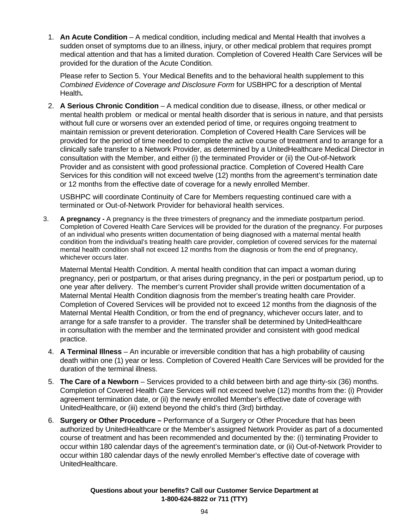1. **An Acute Condition** – A medical condition, including medical and Mental Health that involves a sudden onset of symptoms due to an illness, injury, or other medical problem that requires prompt medical attention and that has a limited duration. Completion of Covered Health Care Services will be provided for the duration of the Acute Condition.

Please refer to Section 5. Your Medical Benefits and to the behavioral health supplement to this *Combined Evidence of Coverage and Disclosure Form* for USBHPC for a description of Mental Health**.**

2. **A Serious Chronic Condition** – A medical condition due to disease, illness, or other medical or mental health problem or medical or mental health disorder that is serious in nature, and that persists without full cure or worsens over an extended period of time, or requires ongoing treatment to maintain remission or prevent deterioration. Completion of Covered Health Care Services will be provided for the period of time needed to complete the active course of treatment and to arrange for a clinically safe transfer to a Network Provider, as determined by a UnitedHealthcare Medical Director in consultation with the Member, and either (i) the terminated Provider or (ii) the Out-of-Network Provider and as consistent with good professional practice. Completion of Covered Health Care Services for this condition will not exceed twelve (12) months from the agreement's termination date or 12 months from the effective date of coverage for a newly enrolled Member.

USBHPC will coordinate Continuity of Care for Members requesting continued care with a terminated or Out-of-Network Provider for behavioral health services.

3. **A pregnancy -** A pregnancy is the three trimesters of pregnancy and the immediate postpartum period. Completion of Covered Health Care Services will be provided for the duration of the pregnancy. For purposes of an individual who presents written documentation of being diagnosed with a maternal mental health condition from the individual's treating health care provider, completion of covered services for the maternal mental health condition shall not exceed 12 months from the diagnosis or from the end of pregnancy, whichever occurs later.

 Maternal Mental Health Condition. A mental health condition that can impact a woman during pregnancy, peri or postpartum, or that arises during pregnancy, in the peri or postpartum period, up to one year after delivery. The member's current Provider shall provide written documentation of a Maternal Mental Health Condition diagnosis from the member's treating health care Provider. Completion of Covered Services will be provided not to exceed 12 months from the diagnosis of the Maternal Mental Health Condition, or from the end of pregnancy, whichever occurs later, and to arrange for a safe transfer to a provider. The transfer shall be determined by UnitedHealthcare in consultation with the member and the terminated provider and consistent with good medical practice.

- 4. **A Terminal Illness**  An incurable or irreversible condition that has a high probability of causing death within one (1) year or less. Completion of Covered Health Care Services will be provided for the duration of the terminal illness.
- 5. **The Care of a Newborn**  Services provided to a child between birth and age thirty-six (36) months. Completion of Covered Health Care Services will not exceed twelve (12) months from the: (i) Provider agreement termination date, or (ii) the newly enrolled Member's effective date of coverage with UnitedHealthcare, or (iii) extend beyond the child's third (3rd) birthday.
- 6. **Surgery or Other Procedure** Performance of a Surgery or Other Procedure that has been authorized by UnitedHealthcare or the Member's assigned Network Provider as part of a documented course of treatment and has been recommended and documented by the: (i) terminating Provider to occur within 180 calendar days of the agreement's termination date, or (ii) Out-of-Network Provider to occur within 180 calendar days of the newly enrolled Member's effective date of coverage with UnitedHealthcare.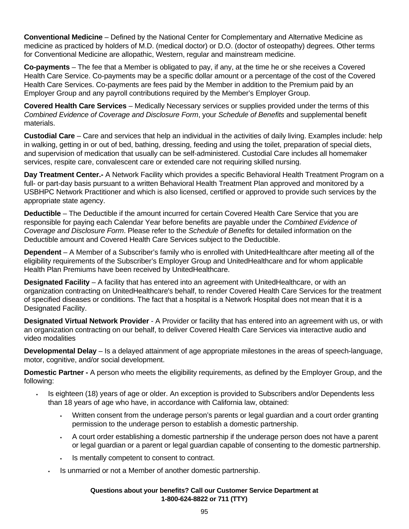**Conventional Medicine** – Defined by the National Center for Complementary and Alternative Medicine as medicine as practiced by holders of M.D. (medical doctor) or D.O. (doctor of osteopathy) degrees. Other terms for Conventional Medicine are allopathic, Western, regular and mainstream medicine.

**Co-payments** – The fee that a Member is obligated to pay, if any, at the time he or she receives a Covered Health Care Service. Co-payments may be a specific dollar amount or a percentage of the cost of the Covered Health Care Services. Co-payments are fees paid by the Member in addition to the Premium paid by an Employer Group and any payroll contributions required by the Member's Employer Group.

**Covered Health Care Services** – Medically Necessary services or supplies provided under the terms of this *Combined Evidence of Coverage and Disclosure Form*, your *Schedule of Benefits* and supplemental benefit materials.

**Custodial Care** – Care and services that help an individual in the activities of daily living. Examples include: help in walking, getting in or out of bed, bathing, dressing, feeding and using the toilet, preparation of special diets, and supervision of medication that usually can be self-administered. Custodial Care includes all homemaker services, respite care, convalescent care or extended care not requiring skilled nursing.

**Day Treatment Center.-** A Network Facility which provides a specific Behavioral Health Treatment Program on a full- or part-day basis pursuant to a written Behavioral Health Treatment Plan approved and monitored by a USBHPC Network Practitioner and which is also licensed, certified or approved to provide such services by the appropriate state agency.

**Deductible** – The Deductible if the amount incurred for certain Covered Health Care Service that you are responsible for paying each Calendar Year before benefits are payable under the *Combined Evidence of Coverage and Disclosure Form*. Please refer to the *Schedule of Benefits* for detailed information on the Deductible amount and Covered Health Care Services subject to the Deductible.

**Dependent** – A Member of a Subscriber's family who is enrolled with UnitedHealthcare after meeting all of the eligibility requirements of the Subscriber's Employer Group and UnitedHealthcare and for whom applicable Health Plan Premiums have been received by UnitedHealthcare.

**Designated Facility** – A facility that has entered into an agreement with UnitedHealthcare, or with an organization contracting on UnitedHealthcare's behalf, to render Covered Health Care Services for the treatment of specified diseases or conditions. The fact that a hospital is a Network Hospital does not mean that it is a Designated Facility.

**Designated Virtual Network Provider** - A Provider or facility that has entered into an agreement with us, or with an organization contracting on our behalf, to deliver Covered Health Care Services via interactive audio and video modalities

**Developmental Delay** – Is a delayed attainment of age appropriate milestones in the areas of speech-language, motor, cognitive, and/or social development.

**Domestic Partner -** A person who meets the eligibility requirements, as defined by the Employer Group, and the following:

- Is eighteen (18) years of age or older. An exception is provided to Subscribers and/or Dependents less than 18 years of age who have, in accordance with California law, obtained:
	- Written consent from the underage person's parents or legal guardian and a court order granting permission to the underage person to establish a domestic partnership.
	- A court order establishing a domestic partnership if the underage person does not have a parent or legal guardian or a parent or legal guardian capable of consenting to the domestic partnership.
	- Is mentally competent to consent to contract.
	- Is unmarried or not a Member of another domestic partnership.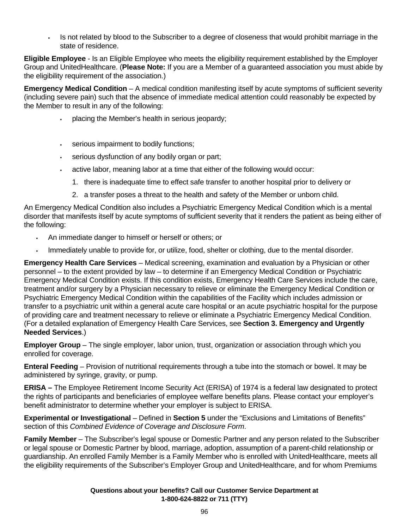Is not related by blood to the Subscriber to a degree of closeness that would prohibit marriage in the state of residence.

**Eligible Employee** - Is an Eligible Employee who meets the eligibility requirement established by the Employer Group and UnitedHealthcare. (**Please Note:** If you are a Member of a guaranteed association you must abide by the eligibility requirement of the association.)

**Emergency Medical Condition** – A medical condition manifesting itself by acute symptoms of sufficient severity (including severe pain) such that the absence of immediate medical attention could reasonably be expected by the Member to result in any of the following:

- placing the Member's health in serious jeopardy;
- serious impairment to bodily functions;
- serious dysfunction of any bodily organ or part;
- active labor, meaning labor at a time that either of the following would occur:
	- 1. there is inadequate time to effect safe transfer to another hospital prior to delivery or
	- 2. a transfer poses a threat to the health and safety of the Member or unborn child.

An Emergency Medical Condition also includes a Psychiatric Emergency Medical Condition which is a mental disorder that manifests itself by acute symptoms of sufficient severity that it renders the patient as being either of the following:

- An immediate danger to himself or herself or others; or
- Immediately unable to provide for, or utilize, food, shelter or clothing, due to the mental disorder.

**Emergency Health Care Services** – Medical screening, examination and evaluation by a Physician or other personnel – to the extent provided by law – to determine if an Emergency Medical Condition or Psychiatric Emergency Medical Condition exists. If this condition exists, Emergency Health Care Services include the care, treatment and/or surgery by a Physician necessary to relieve or eliminate the Emergency Medical Condition or Psychiatric Emergency Medical Condition within the capabilities of the Facility which includes admission or transfer to a psychiatric unit within a general acute care hospital or an acute psychiatric hospital for the purpose of providing care and treatment necessary to relieve or eliminate a Psychiatric Emergency Medical Condition. (For a detailed explanation of Emergency Health Care Services, see **Section 3. Emergency and Urgently Needed Services**.)

**Employer Group** – The single employer, labor union, trust, organization or association through which you enrolled for coverage.

**Enteral Feeding** – Provision of nutritional requirements through a tube into the stomach or bowel. It may be administered by syringe, gravity, or pump.

**ERISA –** The Employee Retirement Income Security Act (ERISA) of 1974 is a federal law designated to protect the rights of participants and beneficiaries of employee welfare benefits plans. Please contact your employer's benefit administrator to determine whether your employer is subject to ERISA.

**Experimental or Investigational** – Defined in **Section 5** under the "Exclusions and Limitations of Benefits" section of this *Combined Evidence of Coverage and Disclosure Form*.

**Family Member** – The Subscriber's legal spouse or Domestic Partner and any person related to the Subscriber or legal spouse or Domestic Partner by blood, marriage, adoption, assumption of a parent-child relationship or guardianship. An enrolled Family Member is a Family Member who is enrolled with UnitedHealthcare, meets all the eligibility requirements of the Subscriber's Employer Group and UnitedHealthcare, and for whom Premiums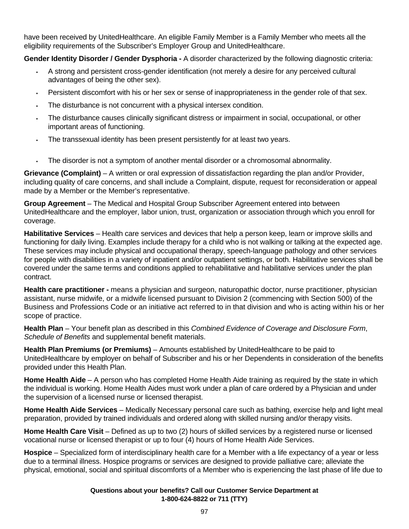have been received by UnitedHealthcare. An eligible Family Member is a Family Member who meets all the eligibility requirements of the Subscriber's Employer Group and UnitedHealthcare.

**Gender Identity Disorder / Gender Dysphoria -** A disorder characterized by the following diagnostic criteria:

- A strong and persistent cross-gender identification (not merely a desire for any perceived cultural advantages of being the other sex).
- Persistent discomfort with his or her sex or sense of inappropriateness in the gender role of that sex.
- The disturbance is not concurrent with a physical intersex condition.
- The disturbance causes clinically significant distress or impairment in social, occupational, or other important areas of functioning.
- The transsexual identity has been present persistently for at least two years.
- The disorder is not a symptom of another mental disorder or a chromosomal abnormality.

**Grievance (Complaint)** – A written or oral expression of dissatisfaction regarding the plan and/or Provider, including quality of care concerns, and shall include a Complaint, dispute, request for reconsideration or appeal made by a Member or the Member's representative.

**Group Agreement** – The Medical and Hospital Group Subscriber Agreement entered into between UnitedHealthcare and the employer, labor union, trust, organization or association through which you enroll for coverage.

**Habilitative Services** – Health care services and devices that help a person keep, learn or improve skills and functioning for daily living. Examples include therapy for a child who is not walking or talking at the expected age. These services may include physical and occupational therapy, speech-language pathology and other services for people with disabilities in a variety of inpatient and/or outpatient settings, or both. Habilitative services shall be covered under the same terms and conditions applied to rehabilitative and habilitative services under the plan contract.

**Health care practitioner -** means a physician and surgeon, naturopathic doctor, nurse practitioner, physician assistant, nurse midwife, or a midwife licensed pursuant to Division 2 (commencing with Section 500) of the Business and Professions Code or an initiative act referred to in that division and who is acting within his or her scope of practice.

**Health Plan** – Your benefit plan as described in this *Combined Evidence of Coverage and Disclosure Form*, *Schedule of Benefits* and supplemental benefit materials.

**Health Plan Premiums (or Premiums)** – Amounts established by UnitedHealthcare to be paid to UnitedHealthcare by employer on behalf of Subscriber and his or her Dependents in consideration of the benefits provided under this Health Plan.

**Home Health Aide** – A person who has completed Home Health Aide training as required by the state in which the individual is working. Home Health Aides must work under a plan of care ordered by a Physician and under the supervision of a licensed nurse or licensed therapist.

**Home Health Aide Services** – Medically Necessary personal care such as bathing, exercise help and light meal preparation, provided by trained individuals and ordered along with skilled nursing and/or therapy visits.

**Home Health Care Visit** – Defined as up to two (2) hours of skilled services by a registered nurse or licensed vocational nurse or licensed therapist or up to four (4) hours of Home Health Aide Services.

**Hospice** – Specialized form of interdisciplinary health care for a Member with a life expectancy of a year or less due to a terminal illness. Hospice programs or services are designed to provide palliative care; alleviate the physical, emotional, social and spiritual discomforts of a Member who is experiencing the last phase of life due to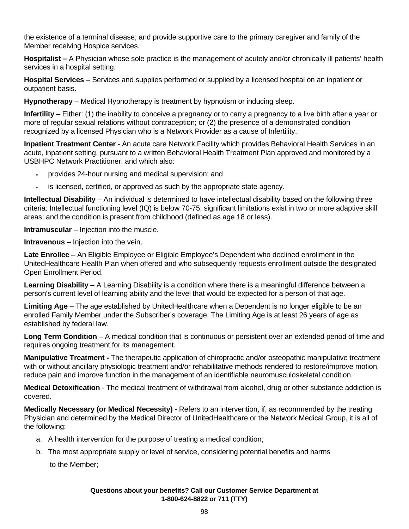the existence of a terminal disease; and provide supportive care to the primary caregiver and family of the Member receiving Hospice services.

**Hospitalist –** A Physician whose sole practice is the management of acutely and/or chronically ill patients' health services in a hospital setting.

**Hospital Services** – Services and supplies performed or supplied by a licensed hospital on an inpatient or outpatient basis.

**Hypnotherapy** – Medical Hypnotherapy is treatment by hypnotism or inducing sleep.

**Infertility** – Either: (1) the inability to conceive a pregnancy or to carry a pregnancy to a live birth after a year or more of regular sexual relations without contraception; or (2) the presence of a demonstrated condition recognized by a licensed Physician who is a Network Provider as a cause of Infertility.

**Inpatient Treatment Center** - An acute care Network Facility which provides Behavioral Health Services in an acute, inpatient setting, pursuant to a written Behavioral Health Treatment Plan approved and monitored by a USBHPC Network Practitioner, and which also:

- provides 24-hour nursing and medical supervision; and
- is licensed, certified, or approved as such by the appropriate state agency.

**Intellectual Disability** – An individual is determined to have intellectual disability based on the following three criteria: Intellectual functioning level (IQ) is below 70-75; significant limitations exist in two or more adaptive skill areas; and the condition is present from childhood (defined as age 18 or less).

**Intramuscular** – Injection into the muscle.

**Intravenous** – Injection into the vein.

**Late Enrollee** – An Eligible Employee or Eligible Employee's Dependent who declined enrollment in the UnitedHealthcare Health Plan when offered and who subsequently requests enrollment outside the designated Open Enrollment Period.

**Learning Disability** – A Learning Disability is a condition where there is a meaningful difference between a person's current level of learning ability and the level that would be expected for a person of that age.

**Limiting Age** – The age established by UnitedHealthcare when a Dependent is no longer eligible to be an enrolled Family Member under the Subscriber's coverage. The Limiting Age is at least 26 years of age as established by federal law.

**Long Term Condition** – A medical condition that is continuous or persistent over an extended period of time and requires ongoing treatment for its management.

**Manipulative Treatment -** The therapeutic application of chiropractic and/or osteopathic manipulative treatment with or without ancillary physiologic treatment and/or rehabilitative methods rendered to restore/improve motion, reduce pain and improve function in the management of an identifiable neuromusculoskeletal condition.

**Medical Detoxification** - The medical treatment of withdrawal from alcohol, drug or other substance addiction is covered.

**Medically Necessary (or Medical Necessity) -** Refers to an intervention, if, as recommended by the treating Physician and determined by the Medical Director of UnitedHealthcare or the Network Medical Group, it is all of the following:

- a. A health intervention for the purpose of treating a medical condition;
- b. The most appropriate supply or level of service, considering potential benefits and harms

to the Member;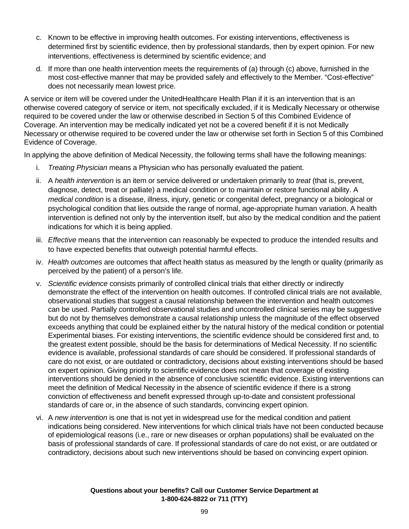- c. Known to be effective in improving health outcomes. For existing interventions, effectiveness is determined first by scientific evidence, then by professional standards, then by expert opinion. For new interventions, effectiveness is determined by scientific evidence; and
- d. If more than one health intervention meets the requirements of (a) through (c) above, furnished in the most cost-effective manner that may be provided safely and effectively to the Member. "Cost-effective" does not necessarily mean lowest price.

A service or item will be covered under the UnitedHealthcare Health Plan if it is an intervention that is an otherwise covered category of service or item, not specifically excluded, if it is Medically Necessary or otherwise required to be covered under the law or otherwise described in Section 5 of this Combined Evidence of Coverage. An intervention may be medically indicated yet not be a covered benefit if it is not Medically Necessary or otherwise required to be covered under the law or otherwise set forth in Section 5 of this Combined Evidence of Coverage.

In applying the above definition of Medical Necessity, the following terms shall have the following meanings:

- i. *Treating Physician* means a Physician who has personally evaluated the patient.
- ii. A *health intervention* is an item or service delivered or undertaken primarily to *treat* (that is, prevent, diagnose, detect, treat or palliate) a medical condition or to maintain or restore functional ability. A *medical condition* is a disease, illness, injury, genetic or congenital defect, pregnancy or a biological or psychological condition that lies outside the range of normal, age-appropriate human variation. A health intervention is defined not only by the intervention itself, but also by the medical condition and the patient indications for which it is being applied.
- iii. *Effective* means that the intervention can reasonably be expected to produce the intended results and to have expected benefits that outweigh potential harmful effects.
- iv. *Health outcomes* are outcomes that affect health status as measured by the length or quality (primarily as perceived by the patient) of a person's life.
- v. *Scientific evidence* consists primarily of controlled clinical trials that either directly or indirectly demonstrate the effect of the intervention on health outcomes. If controlled clinical trials are not available, observational studies that suggest a causal relationship between the intervention and health outcomes can be used. Partially controlled observational studies and uncontrolled clinical series may be suggestive but do not by themselves demonstrate a causal relationship unless the magnitude of the effect observed exceeds anything that could be explained either by the natural history of the medical condition or potential Experimental biases. For existing interventions, the scientific evidence should be considered first and, to the greatest extent possible, should be the basis for determinations of Medical Necessity. If no scientific evidence is available, professional standards of care should be considered. If professional standards of care do not exist, or are outdated or contradictory, decisions about existing interventions should be based on expert opinion. Giving priority to scientific evidence does not mean that coverage of existing interventions should be denied in the absence of conclusive scientific evidence. Existing interventions can meet the definition of Medical Necessity in the absence of scientific evidence if there is a strong conviction of effectiveness and benefit expressed through up-to-date and consistent professional standards of care or, in the absence of such standards, convincing expert opinion.
- vi. A *new intervention* is one that is not yet in widespread use for the medical condition and patient indications being considered. New interventions for which clinical trials have not been conducted because of epidemiological reasons (i.e., rare or new diseases or orphan populations) shall be evaluated on the basis of professional standards of care. If professional standards of care do not exist, or are outdated or contradictory, decisions about such new interventions should be based on convincing expert opinion.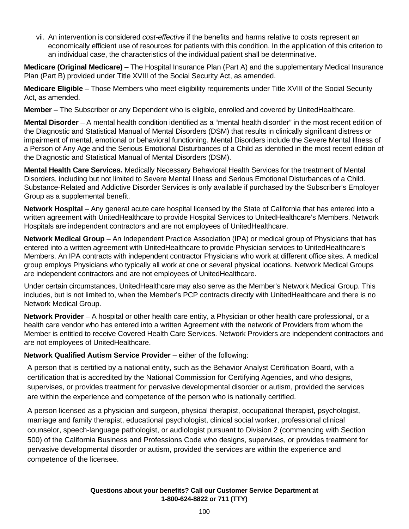vii. An intervention is considered *cost-effective* if the benefits and harms relative to costs represent an economically efficient use of resources for patients with this condition. In the application of this criterion to an individual case, the characteristics of the individual patient shall be determinative.

**Medicare (Original Medicare)** – The Hospital Insurance Plan (Part A) and the supplementary Medical Insurance Plan (Part B) provided under Title XVIII of the Social Security Act, as amended.

**Medicare Eligible** – Those Members who meet eligibility requirements under Title XVIII of the Social Security Act, as amended.

**Member** – The Subscriber or any Dependent who is eligible, enrolled and covered by UnitedHealthcare.

**Mental Disorder** – A mental health condition identified as a "mental health disorder" in the most recent edition of the Diagnostic and Statistical Manual of Mental Disorders (DSM) that results in clinically significant distress or impairment of mental, emotional or behavioral functioning. Mental Disorders include the Severe Mental Illness of a Person of Any Age and the Serious Emotional Disturbances of a Child as identified in the most recent edition of the Diagnostic and Statistical Manual of Mental Disorders (DSM).

**Mental Health Care Services.** Medically Necessary Behavioral Health Services for the treatment of Mental Disorders, including but not limited to Severe Mental Illness and Serious Emotional Disturbances of a Child. Substance-Related and Addictive Disorder Services is only available if purchased by the Subscriber's Employer Group as a supplemental benefit.

**Network Hospital** – Any general acute care hospital licensed by the State of California that has entered into a written agreement with UnitedHealthcare to provide Hospital Services to UnitedHealthcare's Members. Network Hospitals are independent contractors and are not employees of UnitedHealthcare.

**Network Medical Group** – An Independent Practice Association (IPA) or medical group of Physicians that has entered into a written agreement with UnitedHealthcare to provide Physician services to UnitedHealthcare's Members. An IPA contracts with independent contractor Physicians who work at different office sites. A medical group employs Physicians who typically all work at one or several physical locations. Network Medical Groups are independent contractors and are not employees of UnitedHealthcare.

Under certain circumstances, UnitedHealthcare may also serve as the Member's Network Medical Group. This includes, but is not limited to, when the Member's PCP contracts directly with UnitedHealthcare and there is no Network Medical Group.

**Network Provider** – A hospital or other health care entity, a Physician or other health care professional, or a health care vendor who has entered into a written Agreement with the network of Providers from whom the Member is entitled to receive Covered Health Care Services. Network Providers are independent contractors and are not employees of UnitedHealthcare.

## **Network Qualified Autism Service Provider** – either of the following:

A person that is certified by a national entity, such as the Behavior Analyst Certification Board, with a certification that is accredited by the National Commission for Certifying Agencies, and who designs, supervises, or provides treatment for pervasive developmental disorder or autism, provided the services are within the experience and competence of the person who is nationally certified.

A person licensed as a physician and surgeon, physical therapist, occupational therapist, psychologist, marriage and family therapist, educational psychologist, clinical social worker, professional clinical counselor, speech-language pathologist, or audiologist pursuant to Division 2 (commencing with Section 500) of the California Business and Professions Code who designs, supervises, or provides treatment for pervasive developmental disorder or autism, provided the services are within the experience and competence of the licensee.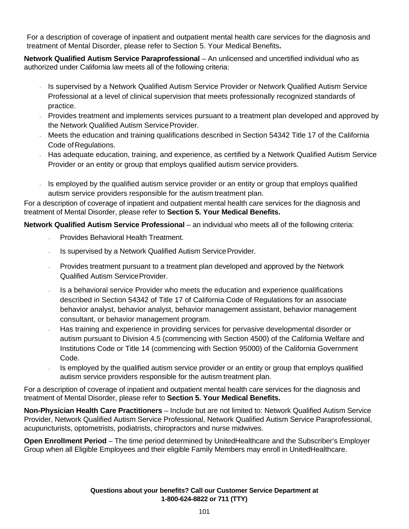For a description of coverage of inpatient and outpatient mental health care services for the diagnosis and treatment of Mental Disorder, please refer to Section 5. Your Medical Benefits**.**

**Network Qualified Autism Service Paraprofessional** – An unlicensed and uncertified individual who as authorized under California law meets all of the following criteria:

- Is supervised by a Network Qualified Autism Service Provider or Network Qualified Autism Service Professional at a level of clinical supervision that meets professionally recognized standards of practice.
- Provides treatment and implements services pursuant to a treatment plan developed and approved by the Network Qualified Autism Service Provider.
- Meets the education and training qualifications described in Section 54342 Title 17 of the California Code of Regulations.
- Has adequate education, training, and experience, as certified by a Network Qualified Autism Service Provider or an entity or group that employs qualified autism service providers.
- Is employed by the qualified autism service provider or an entity or group that employs qualified autism service providers responsible for the autism treatment plan.

For a description of coverage of inpatient and outpatient mental health care services for the diagnosis and treatment of Mental Disorder, please refer to **Section 5. Your Medical Benefits.**

**Network Qualified Autism Service Professional** – an individual who meets all of the following criteria:

- Provides Behavioral Health Treatment.
- Is supervised by a Network Qualified Autism Service Provider.
- Provides treatment pursuant to a treatment plan developed and approved by the Network Qualified Autism Service Provider.
- Is a behavioral service Provider who meets the education and experience qualifications described in Section 54342 of Title 17 of California Code of Regulations for an associate behavior analyst, behavior analyst, behavior management assistant, behavior management consultant, or behavior management program.
- Has training and experience in providing services for pervasive developmental disorder or autism pursuant to Division 4.5 (commencing with Section 4500) of the California Welfare and Institutions Code or Title 14 (commencing with Section 95000) of the California Government Code.
- Is employed by the qualified autism service provider or an entity or group that employs qualified autism service providers responsible for the autism treatment plan.

For a description of coverage of inpatient and outpatient mental health care services for the diagnosis and treatment of Mental Disorder, please refer to **Section 5. Your Medical Benefits.**

**Non-Physician Health Care Practitioners** – Include but are not limited to: Network Qualified Autism Service Provider, Network Qualified Autism Service Professional, Network Qualified Autism Service Paraprofessional, acupuncturists, optometrists, podiatrists, chiropractors and nurse midwives.

**Open Enrollment Period** – The time period determined by UnitedHealthcare and the Subscriber's Employer Group when all Eligible Employees and their eligible Family Members may enroll in UnitedHealthcare.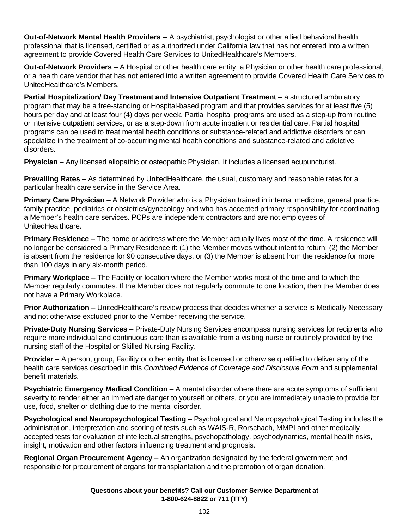**Out-of-Network Mental Health Providers** -- A psychiatrist, psychologist or other allied behavioral health professional that is licensed, certified or as authorized under California law that has not entered into a written agreement to provide Covered Health Care Services to UnitedHealthcare's Members.

**Out-of-Network Providers** – A Hospital or other health care entity, a Physician or other health care professional, or a health care vendor that has not entered into a written agreement to provide Covered Health Care Services to UnitedHealthcare's Members.

**Partial Hospitalization/ Day Treatment and Intensive Outpatient Treatment** – a structured ambulatory program that may be a free-standing or Hospital-based program and that provides services for at least five (5) hours per day and at least four (4) days per week. Partial hospital programs are used as a step-up from routine or intensive outpatient services, or as a step-down from acute inpatient or residential care. Partial hospital programs can be used to treat mental health conditions or substance-related and addictive disorders or can specialize in the treatment of co-occurring mental health conditions and substance-related and addictive disorders.

**Physician** – Any licensed allopathic or osteopathic Physician. It includes a licensed acupuncturist.

**Prevailing Rates** – As determined by UnitedHealthcare, the usual, customary and reasonable rates for a particular health care service in the Service Area.

**Primary Care Physician** – A Network Provider who is a Physician trained in internal medicine, general practice, family practice, pediatrics or obstetrics/gynecology and who has accepted primary responsibility for coordinating a Member's health care services. PCPs are independent contractors and are not employees of UnitedHealthcare.

**Primary Residence** – The home or address where the Member actually lives most of the time. A residence will no longer be considered a Primary Residence if: (1) the Member moves without intent to return; (2) the Member is absent from the residence for 90 consecutive days, or (3) the Member is absent from the residence for more than 100 days in any six-month period.

**Primary Workplace** – The Facility or location where the Member works most of the time and to which the Member regularly commutes. If the Member does not regularly commute to one location, then the Member does not have a Primary Workplace.

**Prior Authorization** – UnitedHealthcare's review process that decides whether a service is Medically Necessary and not otherwise excluded prior to the Member receiving the service.

**Private-Duty Nursing Services** – Private-Duty Nursing Services encompass nursing services for recipients who require more individual and continuous care than is available from a visiting nurse or routinely provided by the nursing staff of the Hospital or Skilled Nursing Facility.

**Provider** – A person, group, Facility or other entity that is licensed or otherwise qualified to deliver any of the health care services described in this *Combined Evidence of Coverage and Disclosure Form* and supplemental benefit materials.

**Psychiatric Emergency Medical Condition** – A mental disorder where there are acute symptoms of sufficient severity to render either an immediate danger to yourself or others, or you are immediately unable to provide for use, food, shelter or clothing due to the mental disorder.

**Psychological and Neuropsychological Testing** – Psychological and Neuropsychological Testing includes the administration, interpretation and scoring of tests such as WAIS-R, Rorschach, MMPI and other medically accepted tests for evaluation of intellectual strengths, psychopathology, psychodynamics, mental health risks, insight, motivation and other factors influencing treatment and prognosis.

**Regional Organ Procurement Agency** – An organization designated by the federal government and responsible for procurement of organs for transplantation and the promotion of organ donation.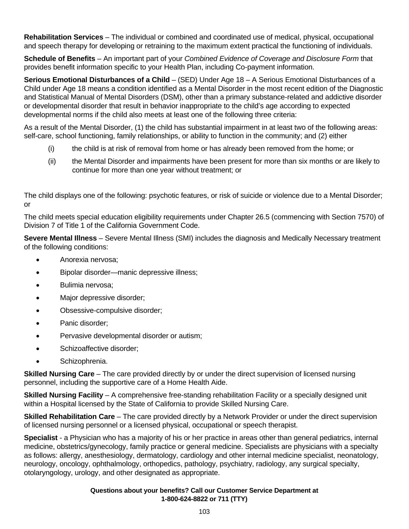**Rehabilitation Services** – The individual or combined and coordinated use of medical, physical, occupational and speech therapy for developing or retraining to the maximum extent practical the functioning of individuals.

**Schedule of Benefits** – An important part of your *Combined Evidence of Coverage and Disclosure Form* that provides benefit information specific to your Health Plan, including Co-payment information.

**Serious Emotional Disturbances of a Child** – (SED) Under Age 18 – A Serious Emotional Disturbances of a Child under Age 18 means a condition identified as a Mental Disorder in the most recent edition of the Diagnostic and Statistical Manual of Mental Disorders (DSM), other than a primary substance-related and addictive disorder or developmental disorder that result in behavior inappropriate to the child's age according to expected developmental norms if the child also meets at least one of the following three criteria:

As a result of the Mental Disorder, (1) the child has substantial impairment in at least two of the following areas: self-care, school functioning, family relationships, or ability to function in the community; and (2) either

- (i) the child is at risk of removal from home or has already been removed from the home; or
- (ii) the Mental Disorder and impairments have been present for more than six months or are likely to continue for more than one year without treatment; or

The child displays one of the following: psychotic features, or risk of suicide or violence due to a Mental Disorder; or

The child meets special education eligibility requirements under Chapter 26.5 (commencing with Section 7570) of Division 7 of Title 1 of the California Government Code.

**Severe Mental Illness** – Severe Mental Illness (SMI) includes the diagnosis and Medically Necessary treatment of the following conditions:

- Anorexia nervosa;
- Bipolar disorder—manic depressive illness;
- Bulimia nervosa;
- Major depressive disorder;
- Obsessive-compulsive disorder;
- Panic disorder;
- Pervasive developmental disorder or autism;
- Schizoaffective disorder;
- Schizophrenia.

**Skilled Nursing Care** – The care provided directly by or under the direct supervision of licensed nursing personnel, including the supportive care of a Home Health Aide.

**Skilled Nursing Facility** – A comprehensive free-standing rehabilitation Facility or a specially designed unit within a Hospital licensed by the State of California to provide Skilled Nursing Care.

**Skilled Rehabilitation Care** – The care provided directly by a Network Provider or under the direct supervision of licensed nursing personnel or a licensed physical, occupational or speech therapist.

**Specialist** - a Physician who has a majority of his or her practice in areas other than general pediatrics, internal medicine, obstetrics/gynecology, family practice or general medicine. Specialists are physicians with a specialty as follows: allergy, anesthesiology, dermatology, cardiology and other internal medicine specialist, neonatology, neurology, oncology, ophthalmology, orthopedics, pathology, psychiatry, radiology, any surgical specialty, otolaryngology, urology, and other designated as appropriate.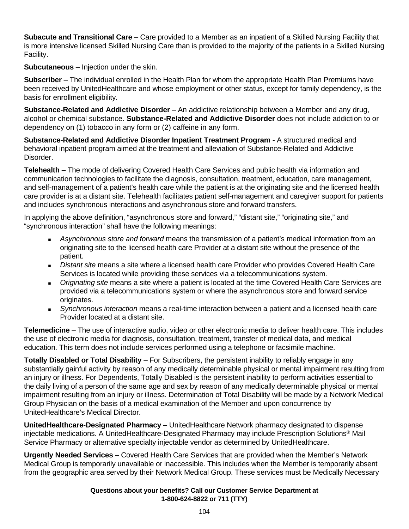**Subacute and Transitional Care** – Care provided to a Member as an inpatient of a Skilled Nursing Facility that is more intensive licensed Skilled Nursing Care than is provided to the majority of the patients in a Skilled Nursing Facility.

**Subcutaneous** – Injection under the skin.

**Subscriber** – The individual enrolled in the Health Plan for whom the appropriate Health Plan Premiums have been received by UnitedHealthcare and whose employment or other status, except for family dependency, is the basis for enrollment eligibility.

**Substance-Related and Addictive Disorder** – An addictive relationship between a Member and any drug, alcohol or chemical substance. **Substance-Related and Addictive Disorder** does not include addiction to or dependency on (1) tobacco in any form or (2) caffeine in any form.

**Substance-Related and Addictive Disorder Inpatient Treatment Program -** A structured medical and behavioral inpatient program aimed at the treatment and alleviation of Substance-Related and Addictive Disorder.

**Telehealth** – The mode of delivering Covered Health Care Services and public health via information and communication technologies to facilitate the diagnosis, consultation, treatment, education, care management, and self-management of a patient's health care while the patient is at the originating site and the licensed health care provider is at a distant site. Telehealth facilitates patient self-management and caregiver support for patients and includes synchronous interactions and asynchronous store and forward transfers.

In applying the above definition, "asynchronous store and forward," "distant site," "originating site," and "synchronous interaction" shall have the following meanings:

- *Asynchronous store and forward* means the transmission of a patient's medical information from an originating site to the licensed health care Provider at a distant site without the presence of the patient.
- *Distant site* means a site where a licensed health care Provider who provides Covered Health Care Services is located while providing these services via a telecommunications system.
- *Originating site* means a site where a patient is located at the time Covered Health Care Services are provided via a telecommunications system or where the asynchronous store and forward service originates.
- *Synchronous interaction* means a real-time interaction between a patient and a licensed health care Provider located at a distant site.

**Telemedicine** – The use of interactive audio, video or other electronic media to deliver health care. This includes the use of electronic media for diagnosis, consultation, treatment, transfer of medical data, and medical education. This term does not include services performed using a telephone or facsimile machine.

**Totally Disabled or Total Disability** – For Subscribers, the persistent inability to reliably engage in any substantially gainful activity by reason of any medically determinable physical or mental impairment resulting from an injury or illness. For Dependents, Totally Disabled is the persistent inability to perform activities essential to the daily living of a person of the same age and sex by reason of any medically determinable physical or mental impairment resulting from an injury or illness. Determination of Total Disability will be made by a Network Medical Group Physician on the basis of a medical examination of the Member and upon concurrence by UnitedHealthcare's Medical Director.

**UnitedHealthcare-Designated Pharmacy** – UnitedHealthcare Network pharmacy designated to dispense injectable medications. A UnitedHealthcare-Designated Pharmacy may include Prescription Solutions® Mail Service Pharmacy or alternative specialty injectable vendor as determined by UnitedHealthcare.

**Urgently Needed Services** – Covered Health Care Services that are provided when the Member's Network Medical Group is temporarily unavailable or inaccessible. This includes when the Member is temporarily absent from the geographic area served by their Network Medical Group. These services must be Medically Necessary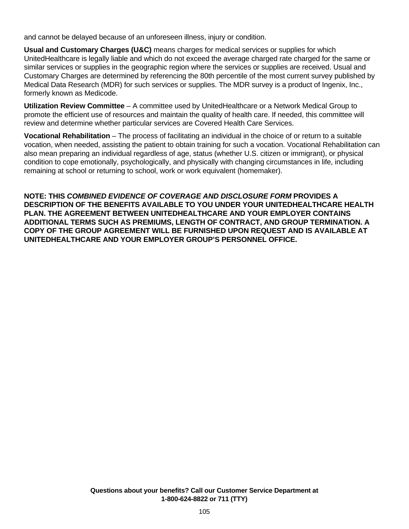and cannot be delayed because of an unforeseen illness, injury or condition.

**Usual and Customary Charges (U&C)** means charges for medical services or supplies for which UnitedHealthcare is legally liable and which do not exceed the average charged rate charged for the same or similar services or supplies in the geographic region where the services or supplies are received. Usual and Customary Charges are determined by referencing the 80th percentile of the most current survey published by Medical Data Research (MDR) for such services or supplies. The MDR survey is a product of Ingenix, Inc., formerly known as Medicode.

**Utilization Review Committee** – A committee used by UnitedHealthcare or a Network Medical Group to promote the efficient use of resources and maintain the quality of health care. If needed, this committee will review and determine whether particular services are Covered Health Care Services.

**Vocational Rehabilitation** – The process of facilitating an individual in the choice of or return to a suitable vocation, when needed, assisting the patient to obtain training for such a vocation. Vocational Rehabilitation can also mean preparing an individual regardless of age, status (whether U.S. citizen or immigrant), or physical condition to cope emotionally, psychologically, and physically with changing circumstances in life, including remaining at school or returning to school, work or work equivalent (homemaker).

**NOTE: THIS** *COMBINED EVIDENCE OF COVERAGE AND DISCLOSURE FORM* **PROVIDES A DESCRIPTION OF THE BENEFITS AVAILABLE TO YOU UNDER YOUR UNITEDHEALTHCARE HEALTH PLAN. THE AGREEMENT BETWEEN UNITEDHEALTHCARE AND YOUR EMPLOYER CONTAINS ADDITIONAL TERMS SUCH AS PREMIUMS, LENGTH OF CONTRACT, AND GROUP TERMINATION. A COPY OF THE GROUP AGREEMENT WILL BE FURNISHED UPON REQUEST AND IS AVAILABLE AT UNITEDHEALTHCARE AND YOUR EMPLOYER GROUP'S PERSONNEL OFFICE.**